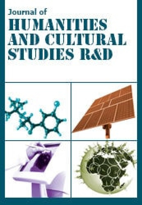#### Journal of HUMANTIKS **AND CULTURAL STUDIES RAD**

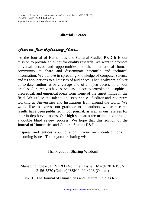## **Editorial Preface**

# *From the Desk of Managing Editor…*

 At the Journal of Humanities and Cultural Studies R&D it is our mission to provide an outlet for quality research. We want to promote universal access and opportunities for the international human community to share and disseminate scientific and technical information. We believe in spreading knowledge of computer science and its applications to all classes of audiences. That is why we deliver up-to-date, authoritative coverage and offer open access of all our articles. Our archives have served as a place to provoke philosophical, theoretical, and empirical ideas from some of the finest minds in the field. We utilize the talents and experience of editor and reviewers working at Universities and Institutions from around the world. We would like to express our gratitude to all authors, whose research results have been published in our journal, as well as our referees for their in-depth evaluations. Our high standards are maintained through a double blind review process. We hope that this edition of the Journal of Humanities and Cultural Studies R&D

 inspires and entices you to submit your own contributions in upcoming issues. Thank you for sharing wisdom.

Thank you for Sharing Wisdom!

Managing Editor JHCS R&D Volume 1 Issue 1 March 2016 ISSN 2156-5570 (Online) ISSN 2490-4228 (Online)

©2016 The Journal of Humanities and Cultural Studies R&D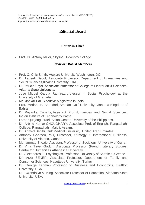## **Editorial Board**

## **Editor-in-Chief**

• Prof. Dr. Antony Miller, Skyline University College

## **Reviewer Board Members**

- Prof. C. Chic Smith, Howard University Washington, DC.
- Dr. Labeeb Bsoul, Associate Professor, Department of Humanities and Social Sciences,Khalifa University, UAE.
- Dr.Patricia Boyd, Associate Professor at College of Liberal Art & Sciences, Arizona State University.
- José Miguel García Ramírez, professor in Social Psychology at the University of Granada.
- Mr.Dibakar Pal Executive Magistrate in India.
- Prof. Medani P. Bhandari, Arabian Gulf University, Manama-Kingdom of Bahrain.
- Dr Priyanka Tripathi, Assistant Prof.Humanities and Social Sciences, Indian Institute of Technology Patna.
- Lorna Quejong Israel, Asian Center, University of the Philippines.
- Dr. Arbind Kumar CHOUDHARY, Associate Prof. of English, Rangachahi College, Rangachahi, Majuli, Assam.
- Dr. Ahmed Sebihi, Gulf Medical University, United Arab Emirates.
- Anthony Goerzen, PhD, Professor, Strategy & International Business, University of Victoria, Canada.
- Muhammad Shoaib, Assistant Professor of Sociology, University of Gujrat
- Dr Vina Tirven-Gadum, Associate Professor (French Literary Studies) Centre for Humanities Athabasca University.
- Dr. Alexandros G. Psychogios, Professor, University of Sheffield, Greece.
- Dr. Arzu SENER, Associate Professor, Department of Family and Consumer Sciences, Hacettepe University, Turkey.
- Dr. George Lehman, Professor of Business and Economics, Bluffton University, USA.
- Dr. Gwendolyn V. King, Associate Professor of Education, Alabama State University, USA.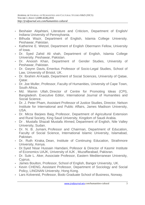- Beshaier Alqahtani, Literature and Criticism, Department of English/ Indiana University of Pennsylvania.
- Bilhuda Wazir, Department of English, Islamia College University. Peshawar, Pakistan.
- Katherine E. Wetzel, Department of English Obermann Fellow, University of Iowa.
- Dr. Syed Zahid Ali shah, Department of English, Islamia College University. Peshawar, Pakistan.
- Dr. Anoosh Khan, Department of Gender Studies, University of Peshawar, Pakistan.
- Dr. Gwynn Davis, Emeritus Professor of Socio-Legal Studies, School of Law, University of Bristol, UK.
- Dr. Ibrahim Al-Kaabi, Department of Social Sciences, University of Qatae, Qatar.
- Dr. Joe Muller, Professor, Faculty of Humanities, University of Cape Town, South Africa.
- Md. Mamin Ullah, Director of Centre for Promoting Ideas (CPI), Bangladesh. Executive Editor, International Journal of Humanities and Social Science.
- Dr. J. Peter Pham, Assistant Professor of Justice Studies, Director, Nelson Institute for International and Public Affairs, James Madison University, USA.
- Dr. Mirza Barjees Baig, Professor, Department of Agricultural Extension and Rural Society, King Saud University, Kingdom of Saudi Arabia.
- Dr . Mustafa Shazali Mustafa Ahmed, Department of English, Nile Valley University, Sudan.
- Dr. N. B. Jumani, Professor and Chairman, Department of Education, Faculty of Social Science, International Islamic University, Islamabad, Pakistan.
- Dr. Ruth Kiraka, Dean, Institute of Continuing Education, Strathmore University, Kenya.
- Dr.Syed Nisar Hussain Hamdani, Pofessor & Director of Kasmir Institute of Economics UAJK, University of AJK , Muzaffarabad, Pakisran.
- Dr. Sule L. Aker, Associate Professor, Eastern Mediterranean University, Cyprus.
- James Boulton, Professor, School of English, Bangor University, UK.
- Kevin CHENG, Assistant Professor, Department of Sociology and Social Policy, LINGNAN University, Hong Kong.
- Lars Kolvereid, Professor, Bodo Graduate School of Business, Norway.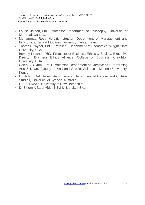- Louise Jalbert, PhD, Professor, Department of Philosophy, University of Montreal, Canada.
- Mohammad Reza Noruzi, Instructor, Department of Management and Economics, Tarbiat Modares University, Tehran, Iran.
- Thomas Traynor, PhD, Professor, Department of Economics, Wright State University, USA.
- Beverly Kracher, PhD, Professor of Business Ethics & Society, Executive Director, Business Ethics Alliance, College of Business, Creighton University, USA
- Caleb C. Okumu, PhD, Professor, Department of Creative and Performing Arts & Dean, Faculty of Arts and S ocial Sciences, Maseno University, Kenya
- Dr. Adam Gall, Associate Professor, Department of Gender and Cultural Studies, University of Sydney, Australia.
- Dr Paul Rowe, University of New Hampshire.
- Dr Sihem Arfaoui Abidi, NBU University KSA.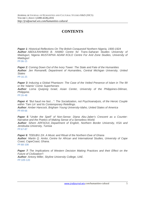### **CONTENTS**

**Paper 1**: Historical Reflections On The British Conquestof Northern Nigeria, 1900-1924 **Author**: ABDULRAHMAN B. HAMID Centre for Trans-Saharan Studies University of Maiduguri, Nigeria MUSTAPHA ADAM KOLO Centre For Arid Zone Studies, University of **Maiduguri** 

PP:06-15

**Paper 2**: Coming Down Out of the Ivory Tower: The State and Fate of the Humanities **Author**: Jen Romanelli, Department of Humanities, Central Michigan University, United **States** PP:16-25

**Paper 3**: Inducing a Global Phantasm: The Case of the Veiled Presence of Islam in The 99 or the 'Islamic' Comic Superheroes

**Author**: Lorna Quejong Israel, Asian Center, University of the Philippines-Diliman, Philippine.

PP:26-48

**Paper 4:** "But haud me fast...": The Socialization, not Psychoanalysis, of the Heroic Couple within 'Tam Lin' and Its Contemporary Retellings. **Author**: Amber Hancock, Brigham Young University-Idaho, United States of America PP:49-66

**Paper 5**: "Under the Spell" of Non-Sense: Diana Abu-Jaber's Crescent as a Counter-Narrative and the Poetics of Making Sense of a Senseless World. **Author**: Sihem ARFAOUI, Department of English, Northern Border University, KSA and Jendouba University, Tunisia PP:67-87

**Paper 6**: TEÐUÐU ZA: A Music and Ritual of the Northern Ewe of Ghana **Author**: Martin Q. Amlor, Centre for African and International Studies, University of Cape Coast, CapeCoast, Ghana. PP:88-108

**Paper 7:** The Implications of Western Decision Making Practices and their Effect on the Future of Civilization?. **Author**: Antony Miller, Skyline University College, UAE. PP:109-120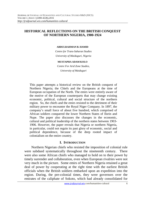#### **HISTORICAL REFLECTIONS ON THE BRITISH CONQUEST OF NORTHERN NIGERIA, 1900-1924**

#### **ABDULRAHMAN B. HAMID**

*Centre for Trans-Saharan Studies University of Maiduguri, Nigeria* 

#### **MUSTAPHA ADAM KOLO**

*Centre For Arid Zone Studies, University of Maiduguri* 

This paper attempts a historical review on the British conquest of Northern Nigeria; the Chiefs and the Europeans at the time of European occupation of the North. The emirs were entirely aware of the motive of the European counterparts that may change existing economic, political, cultural and social structure of the northern region. So, the chiefs and the emirs resisted to the detriment of their military power to encounter the Royal Niger Company. In 1897, the company's small force of about five hundred, which comprised of African soldiers conquered the lower Northern States of Ilorin and Nupe. The paper also discusses the changes in the economic, cultural and political leadership of the northern states between 1903- 1906. However, the paper reveals that Nigeria or northern Nigeria, in particular, could not regain its past glory of economic, social and political dependence, because of the deep rooted impact of colonialism on the entire country.

#### **I. INTRODUCTION**

Northern Nigerian chiefs who resisted the imposition of colonial rule were subdued systematically throughout the nineteenth century. There were also some African chiefs who managed to hold on to their power by timely surrender and collaboration, even when European rivalries were not very much in the picture. Some emirs of Northern Nigeria retained a great deal of power by cooperating at the right time with the earliest British officials when the British soldiers embarked upon an expedition into the region. During, the pre-colonial times, they were governors over the emirates of the caliphate of Sokoto, which had already consolidated for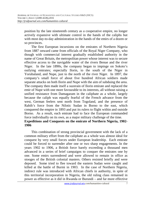position by the late nineteenth century as a cooperative empire, no longer actively expansive with ultimate control in the hands of the caliphs but with most day-to-day administration in the hands of the emirs of a dozen or so provinces.

The first European incursions on the emirates of Northern Nigeria from 1887 onward came from officials of the Royal Niger Company, who though with commercial interest gradually established authority in the name of Great Britain, the metropolitan power whose interest was to secure effective access to the navigable water of the rivers Benue and the river Niger. In the late 1890s, the company began to impinge on Sokoto's outlying emirates; especially Ilorin, to the south of the Niger in Yorubaland, and Nupe, just to the north of the river Niger. In 1897, the company's small force of about five hundred African soldiers made separate attacks on both Ilorin and Nupe with the aim of subduing the area. The company then made itself a suzerain of Ilorin emirate and replaced the emir of Nupe with one more favourable to its interests, all without raising a unified resistance from Damagaram in the caliphate as a whole, largely because the caliph was equally fearful of the French advance from the west, German feelers sent north from Togoland, and the presence of Rabih's force from the Nilotic Sudan in Borno to the east, which conquered the empire in 1893 and put its rulers to flight within and outside Borno. As a result, each emirate had to face the European commanded force individually on its own, as a major military challenge of the time. **Expeditions and Conquests on the emirate of Northern Nigeria, 1902- 1906** 

This combination of strong provincial government with the lack of a common military effort from the caliphate as a whole was almost ideal for conquest by very small forces under European leadership. Each emirate could be forced to surrender after one or two sharp engagements. In the years 1902 to 1906, a British force barely exceeding a thousand men advanced in a series of brief campaigns to conquer the emirates one by one. Some emirs surrendered and were allowed to remain in office as stooges of the British colonial masters. Others resisted briefly and were deposed. Some tried to flee toward the eastern Sudan were caught and killed at the battle of Burmi in 1903. In the case of Northern Nigeria, indirect rule was introduced with African chiefs in authority, in spite of this territorial incorporation in Nigeria, the old ruling class remained in power as effective as it did in Rwanda or Burundi – and far more effective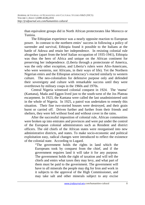than equivalent groups did in North African protectorates like Morocco or Tunisia.

The Ethiopian experience was a nearly opposite reaction to European power. In contrast to the northern emirs' success in following a policy of surrender and survival, Ethiopia found it possible to the Italians at the battle of Adowa and retain her independence. In resisting colonial rule altogether (apart from the brief Italian occupation of 1935-1941), Ethiopia was thus the hero of Africa and unique on the African continent for preserving her independence. (Liberia through a protectorate of America, was the only other exception, and Liberia's rulers were Afro-Americans, who were westerns, not Africans, in their ways of life). Yet the Northern Nigerian emirs and the Ethiopian aristocracy's reacted similarly to western culture. The neo-colonialists for defensive purpose only and defended their sovereignty and culture with remarkable success until they were overthrown by military coups in the 1960s and 1970s.

Central Nigeria witnessed colonial conquest in 1924. The 'mama' (Kantana), Mada and Eggon lived just to the south-west of the Jos Plateau escarpment. In 1923, the Kantana were called the last unadministered unit in the whole of Nigeria. In 1925, a patrol was undertaken to remedy this situation. Their fine two-storied houses were destroyed, and their grain burnt or carried off. Driven further and further from their friends and shelters, they were left without food and without cover in the rains.

After the successful imposition of colonial rule, African communities were broken up into emirates and provinces and were put under the control of the European colonial administrators such as Resident and district officers. The old chiefs of the African states were reorganised into new administrative districts, and states. To make socio-economic and political exploitation easy, radical changes were introduced to reflect the existence of the colonial state. According to Lugard.

"The government holds the rights in land which the Europeans took by conquest from the chief, and if the government requires land it will take it for any purpose. The government holds the right of taxation and will tell the chiefs and emirs what taxes they may levy, and what part of them must be paid to the government. The government will have to all minerals the people may dig for Iron and work in it subjects to the approval of the High Commissioner, and may take salt and other minerals subject to any excise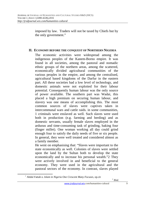imposed by law. Traders will not be taxed by Chiefs but by the only government."

#### **II. ECONOMY BEFORE THE CONQUEST OF NORTHERN NIGERIA**

The economic activities were widespread among the indigenous peoples of the Kanem-Borno empire. It was found in all societies, among the pastoral and nomadic ethnic groups of the northern areas, among the scattered, economically divided agricultural communities of the various peoples in the empire, and among the centralised, agricultural based kingdoms of the Darfur in the eastern part. All these societies had a low level of technology, and domestic animals were not exploited for their labour potential. Consequently human labour was the only source of power available. The southern part was Wadai, this placed a high premium on securing human labour, and slavery was one means of accomplishing this. The most common sources of slaves were captives taken in intercommunal wars and cattle raids. in some communities, 1 criminals were enslaved as well. Such slaves were used both in production (e.g. farming and herding) and as domestic servants, usually female slaves employed in the arduous and time-consuming task of grinding, baking four (finger millet). One woman working all day could grind enough four to satisfy the daily needs of five or six people. In general, they were well treated and considered almost as a family member.

He went on emphasising that: "Slaves were important to the state economically as well. Colonies of slaves were settled upon the land by the Sultan both to develop the state economically and to increase his personal wealth."2 They were actively involved in and beneficial to the general economy. They were used in the agricultural and the pastoral sectors of the economy. In contrast, slaves played

l

2 *Ibid*.

<sup>1</sup> Abdul Fattah o. *Islam in Nigeria One Crescent Many Focuses*, op.cit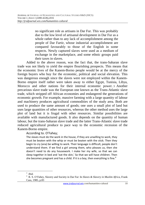no significant role as artisans in Dar Fur. This was probably due to the low level of artisanal development in Dar Fur as a whole rather than to any lack of accomplishment among the people of Dar Fartir, whose industrial accomplishment are compared favourably to those of the English in some respects. Newly captured slaves were used as a medium of exchange in the marketplace, and some ethnic groups paid their taxes in slaves.

Added to the above reason, was the fact that, the trans-Saharan slave trade was not likely to yield the empire flourishing prospects. This means that the economic lives of the Kanem-Borno people would be at the mercy of the foreign buyers who buy for the economic, political and social elevation. This was dangerous enough since the slaves were not employed within the Kanem-Borno empire itself rather were taken away to either Egypt, Tunisia, Libya, Morocco and other nations for their internal economic power. 3 Another precarious slave trade was the European one known as the Trans-Atlantic slave trade, which stripped off African economies and endangered the generations of economic growth. For example, massive farming with a large quantity of labour and machinery produces agricultural commodities of the study area. Both are used to produce the same amount of goods; one uses a small plot of land but uses large quantities of other resources, whereas the other method uses the large plot of land but it is frugal with other resources. Similar possibilities are available with manufactured goods. It also depends on the quantity of human labour, but the trans-Saharan slave trade and the latter Trans-Atlantic slave trade reduced agricultural produce to pace way to the economic recession of the Kanem-Borno empire.

#### According to. O'Fahey;

The slaves must do the work in the house, if they are unwilling to work, they must be beaten with the whip or must be beaten with the stick. Then they begin to cry (ana) be willing to work. Their language is difficult, people don't understand them. If we find a girl among them, who pleases us, then she doesn't need to do any housework. I make her my wife, so that we can sleep together in bed and 'eat the skin,' So that we will have children. Then she becomes pregnant and has a child. If it is a boy, then everything is fine.<sup>4</sup>

l

<sup>3</sup> *Ibid*.

<sup>4</sup> R. S. O'Fahey, Slavery and Society in Dar Fur: In *Slaves & Slavery in Muslim Africa*, Frank Cass, 1985, p.83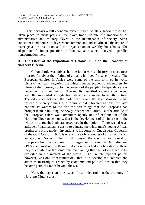This portrays a full economic system based on slave labour which has taken place in most parts in the slave trade, despite the importance of administrative and military slaves in the maintenance of society. Slave concubines and domestic slaves were common and indeed affected the nature of marriage as an institution and the organisation of wealthy households. The adaptation of similar practices in Trans-Saharan zone involved a parallel transformation there.

#### **III- The Effect of the Imposition of Colonial Rule on the Economy of Northern Nigeria.**

Colonial rule was only a short period in African history, in most areas it lasted for about the lifetime of a man who lived for seventy years. The European empires in Africa were some of the shortest-lived in world history. Africans regarded the white men as economic adventurers by virtue of their power, not by the consent of the people. Independence was never far from their minds. The revolts described above are connected with the successful struggle for independence in the twentieth century. The difference between the early revolts and the later struggle is that instead of merely aiming at a return to old African traditions, the later nationalists wanted to use also the best things that the Europeans had brought them in building the newly independent Africa. But the attitude of the European rulers was sometimes openly one of exploitation of the Northern Nigerian economy, that is the development of the interests of the whites or untouched mineral resources in the region. There was also an attitude of paternalism, a desire to educate the white man's young African brother and bring modern inventions to his consent. Guggisberg, Governor of the Gold Coast in 1925, is one of the early examples of a man with such an attitude. Some of the British foresaw the eventual withdrawal of Europeans from the colonies. Lord Lugard in his book: *the Dual Mandate* (1922), summed up the theory that colonialists had an obligation to those they ruled while at the same time maintaining that the colonies had to be exploited in the interest of the world. The French imperial policy, however, was one of 'assimilation', that is to develop the colonies and attach them firmly to France by economic and political ties so that they become parts of France beyond the sea.

Here, the paper analyses seven factors determining the economy of Northern Nigeria thus,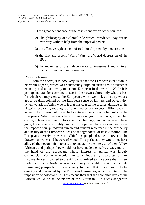- 1) the great dependence of the cash economy on other countries,
- 2) The philosophy of Colonial rule which introduces pay tax its own way without help from the imperial powers,
- 3) the effective replacement of traditional system by modern one
- 4) the first and second World Wars; the World depression of the 1930s
- 5) the regaining of the independence to investment and cultural contact from many more sources.

#### **IV- Conclusion**

From the above, it is now very clear that the European expedition in Northern Nigeria, which was consistently crippled structured of existence economy and almost every other non-European in the world. While it is perhaps natural for everyone to see in their own culture only what is best for which we may excuse the Europeans, when we look at history we are apt to be disappointed by the European sense of fairness and objectivity. When we ask in Africa who is it that has caused the greatest damage to the Nigerian economy, robbing it of one hundred and twenty million souls in an unbroken period of three full centuries the answer obviously is the Europeans. When we ask where to have our gold, diamonds, silver, tin, cotton, rubber even antiquities (national heritage) and other assets have gone, the answer inexorably points to Europe, yet there we can clearly see the impact of our plundered human and mineral resources in the prosperity and beauty of the European cities and the 'grandeur' of its civilisation. The Europeans perceiving African Chiefs as people destined forever to be drawers of water and hewers of wood. This perhaps they would not have allowed their economic interests to overshadow the interests of their fellow Africans, and perhaps they would not have made themselves ready tools in the hand of the Europeans whose interest in Africa was largely commercial. Yet, who would like to achieve this, regardless of any inconveniences it caused to the Africans. Added to the above that is new trade '*legitimate trade*' – was not likely to yield the African chiefs flourishing prospects. It was clearly to them that it was going to be directly and controlled by the European themselves, which resulted in the imposition of colonial rule. This means then that the economic lives of the African would be at the mercy of the European. This was dangerous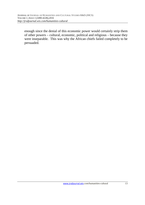enough since the denial of this economic power would certainly strip them of other powers – cultural, economic, political and religious – because they were inseparable. This was why the African chiefs failed completely to be persuaded.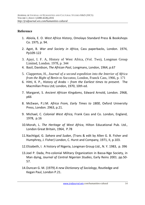### **Reference**

- 1. Abiola, E. O. *West Africa History*, Omolayo Standard Press & Bookshops Co. 1975, p. 94.
- 2. Agot, B. *War and Society in Africa*, Cass paperbacks, London. 1974, Pp109-122
- 3. Ajayi, I. F. A, History of West Africa, (Vol. Two), Longman Group Limited, London. 1978, p. 344
- 4. Basil, Davidson, *The African Past*, Longmans, London, 1964, p.67
- 5. Clapperton, H., *Journal of a second expedition into the Interior of Africa from the Bight of Benin to Soccatoo*, London, Franck Cass, 1966, p. 171
- 6. Hitti, K. P., *History of Arabs from the Earliest times to present*. The Macmillan Press Ltd; London, 1970, 10th ed.
- 7. Margaret, S. *Ancient African Kingdoms*, Edward Arnold, London. 2968, p66
- 8. McEwan, P.J.M. *Africa From, Early Times to 1800*, Oxford University Press, London. 2963, p.21.
- 9. Michael, C. *Colonial West Africa,* Frank Cass and Co. London, England, 1978, p.16
- 10.Morah, L. *The Heritage of West Africa*, Hilton Educational Pub. Ltd., London Great Britain, 1964, P.78
- 11.Nachtigal, G. *Sahara and Sudan*, (Trans & edit by Allen G. B. Fisher and Humphrey, J. Fisher) London, C. Hurst and Company, 1971, II, p.103.
- 12.Elizabeth, I. A history of Nigeria, Longman Group Ltd., N. Y. 1983, p. 396
- 13.Joel P. Dada, Pre-colonial Military Organization in Bassa-Nge Society, in Man dying, *Journal of Central Nigerian Studies*, Early Reins 2001. pp.50- 57.
- 14.Duncan G. M. (1979) *A new Dictionary of Sociology*, Routledge and Kegan Paul, London P.21.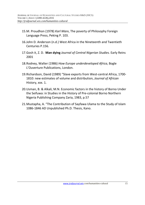- 15.M. Proudhon (1978) *Karl Marx*, The poverty of Philosophy Foreign Language Press, Peking P. 103.
- 16.John D. Anderson (n.d.) West Africa in the Nineteenth and Twentieth Centuries P.156.
- 17.Gosh it, Z. D. **Man dying** *Journal of Central Nigerian Studies.* Early Reins 2001
- 18.Rodney, Walter (1986) *How Europe underdeveloped Africa*, Bogle L'Ouverture Publications, London.
- 19.Richardson, David (1989) "Slave exports from West-central Africa, 1700- 1810: new estimates of volume and distribution, *Journal of African*  History, xxx. 1.
- 20.Usman, B. & Alkali, M.N. Economic factors in the history of Borno Under the Seifuwa: in Studies in the History of Pre-colonial Borno Northern Nigeria Publishing Company Zaria, 1983, p.57
- 21.Mustapha, A. "The Contribution of Sayfawa Ulama to the Study of Islam 1086-1846 AD Unpublished Ph.D. Thesis, Kano.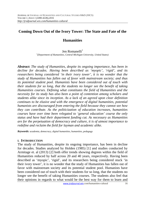### **Coming Down Out of the Ivory Tower: The State and Fate of the**

### **Humanities**

#### Jen Romanelli<sup>1</sup>

*1 (Department of Humanities, Central Michigan University, United States)* 

*Abstract: The study of Humanities, despite its ongoing importance, has been in decline for decades. Having been described as 'myopic', 'rigid', and its researchers being considered 'in their ivory tower', it is no wonder that the study of Humanities has fallen out of favor with mainstream society; and thus its potential student pool. Humanists have been considered out of touch with their students for so long, that the students no longer see the benefit of taking Humanities courses. Defining what constitutes the field of Humanities and the necessity for its study has also been a point of contention among scholars and students alike since its inception. As a lack of an agreed upon clear definition continues to be elusive and with the emergence of digital humanities, potential humanists are discouraged from entering the field because they cannot see how they can contribute. As the politicization of education increases, humanities courses have over time been relegated to 'general education' course the only status and have had their department funding cut. As necessary as Humanities are for the perpetuation of democracy and culture, it is of utmost importance to redefine and reclaim the field for layman and academic alike.* 

*Keywords: academia, democracy, digital humanities, humanities, pedagogy*

#### **I. INTRODUCTION**

The study of Humanities, despite its ongoing importance, has been in decline for decades. Studies analyzed by Holden (1985) [1] and studies conducted by Armitage et. al (2013) [2] both offer trends showing degrees within the field of Humanities reduced by half across 20 and 40 years, respectively. Having been described as 'myopic', 'rigid', and its researchers being considered stuck 'in their ivory tower', it is no wonder that the study of Humanities has fallen out of favor with mainstream society and its potential student pool. Humanists have been considered out of touch with their students for so long, that the students no longer see the benefit of taking Humanities courses. The students also feel that their opinions in regards to what would be the best way for them to learn and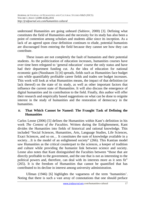understand Humanities are going unheard (Sabirov, 2000) [3]. Defining what constitutes the field of Humanities and the necessity for its study has also been a point of contention among scholars and students alike since its inception. As a lack of an agreed upon clear definition continues to elude, potential humanists are discouraged from entering the field because they cannot see how they can contribute.

 These issues are not completely the fault of humanists and their potential students. As the politicization of education increases, humanities courses have over time been relegated to 'general education' course the only status and have had their department funding cut. As the idea of education for national economic gain (Nussbaum 3) [4] spreads, fields such as Humanities face budget cuts while quantifiably profitable career fields and trades see budget increases. This work will look at what Humanities means, the impact of that definition (or lack thereof) on the state of its study, as well as other important factors that influence the current state of Humanities. It will also discuss the emergence of digital humanities and its contribution to the field. Finally, this author will offer their research and empirically based suggestions on what can be done to reignite interest in the study of humanities and the restoration of democracy in the humanities.

### **II. That Which Cannot be Named: The Fraught Task of Defining the Humanities**

Carlos Leone (2006) [5] defines the Humanities within Kant's definition in his work *The Contest of the Faculties.* Written during the Enlightenment, Kant divides the Humanities into fields of historical and rational knowledge. This included "Social Sciences, Humanities, Arts, Language Studies, Life Sciences, Exact Sciences, and so on… It constitutes the sum of knowledge available in a society…It is the model of an enlightened society" (266). This Kantian model saw Humanities as the critical counterpart to the sciences, a keeper of tradition and culture while providing the humanist link between science and society. Leone also notes that Kant distinguished the Faculties between "those that are directly profitable to the government, and the one that is not as interesting to the political powers and, therefore, can deal with its interests more as it sees fit" (265). It is the freedom of Humanities that cannot be quantified that has contributed to its decline in interest among university administration.

 Ullman (1946) [6] highlights the vagueness of the term 'humanities'. Noting that there is such a vast array of connotations that one should preface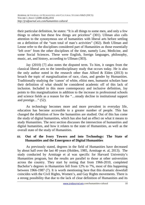their particular definition, he states: "It is all things to some men, and only a few things to others but these few things are priceless" (301). Ullman also calls attention to the synonymous use of humanities with liberal arts before settling on a definition of the "sum total of man's activities" (302). Both Ullman and Leone refer to the disciplines considered part of Humanities as those essentially 'left over' from the other disciplines of the time, namely Law, Medicine, and some Social Sciences. These were English, foreign languages, philosophy, music, art, and history, according to Ullman (303).

 Jay (2010) [7] also notes the disputed term. To him, it ranges from the classical liberal arts to the interdisciplinary study that occurs today. He is also the only author noted in the research other than Alford  $\&$  Elden (2013) to broach the topic of marginalization of race, class, and gender by Humanities. Traditionally studying the 'canon' of white, elitist men, humanist scholars base their definition of what should be considered academic off of this lack of inclusion. Included in this more contemporary and inclusive definition, Jay points to this marginalization in addition to the increase in professional schools and science fields as a reason for the "…steady decline in institutional support and prestige…" (52).

 As technology becomes more and more prevalent in everyday life, education has become accessible to a greater number of people. This has changed the definition of how the humanities are studied. Out of this has come the study of digital humanities, which has also had an effect on what it means to study Humanities. The next section discusses the intersection of humanities and digital humanities, and how it relates to the state of Humanities, as well as the overall state of the study of Humanities.

#### **III. Out of the Ivory Towers and into Technology: The State of Humanities and the Emergence of Digital Humanities**

 As previously stated, degrees in the field of Humanities have decreased by about half over the last 40 years (Holden, 1985, Armitage et. al, 2013). The study conducted by Armitage et al was specific for Harvard University's Humanities program, but the results are parallel to those at other universities across the country. They start by noting that from 1966-2010, completed Bachelor's degrees in Humanities fell from 12% to 7%, most of this happening between 1966-1987 (7). It is worth mentioning here that this dramatic downfall coincides with the Civil Rights, Women's, and Gay Rights movements. There is a strong possibility that due to the lack of clear definition of Humanities and its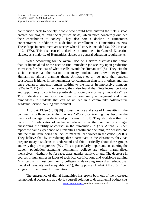contribution back to society, people who would have entered the field instead entered sociological and social justice fields, which more concretely outlined their contribution to society. They also note a decline in Humanities concentrators in addition to a decline in enrollment in Humanities courses. These drops in enrollment are steeper when History is included (36-20% instead of 24-17%). This also caused a decline in enrollment in General Education classes, as a majority of Humanities classes are general education requirements.

 When accounting for the overall decline, Harvard dismisses the notion that its financial aid or the need to find immediate job security upon graduation as reasons for the loss of what it calls "would be Humanists" (8). They cite the social sciences as the reason that many students are drawn away from Humanities, almost blaming them. Armitage et al. do note that student satisfaction is higher in the humanities concentration than it is in others and that once declared, students remain faithful to the major in impressive numbers (93% in 2011) (9). In their survey, they also found that "intellectual curiosity and opportunity to contribute positively to society are primary motivators" (9). This indicates a predisposition towards community engagement and civic mindedness in students that can be utilized in a community collaborative academic service learning environment.

 Alford & Elden (2013) [8] discuss the role and state of Humanities in the community college curriculum, where "Workforce training has become the mantra of college presidents and politicians…" (81). They also state that this leads to "…advocates of technical education in the community colleges questioning the utility of courses in the humanities..." (79). Alford  $\&$  Elden report the same experience of humanities enrollment declining for decades and cite the main issue being the lack of marginalized voices in the canon (79-80). They believe that by introducing these narratives in the classroom, they can prepare today's students to understand and think critically about these groups and why they are oppressed (80). This is particularly important, considering the student population attending community college are often marginalized themselves, whether it be for race, class, gender, ability, or age. The decrease in courses in humanities in favor of technical certifications and workforce training "curriculum in most community colleges is devolving toward an educational model of passivity and inequality" (81); the opposite of what Alford & Elden suggest for the future of Humanities.

 The emergence of digital humanities has grown both out of the increased technological access and as a do-it-yourself solution to departmental budget cuts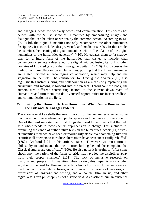and changing needs for scholarly access and communication. This access has helped with the 'elitist' view of Humanities by emphasizing images and dialogue that can be taken or written by the common person. According to Liu (2010) [9], the digital humanities not only encompasses the older humanities disciplines, it also includes design, visual, and media arts (409). In this article, he examines the meaning of digital humanities within "the relation of the digital humanities to the humanities generally" (410). He equates them to "a shadow play for a future form of the humanities that wishes to include what contemporary society values about the digital without losing its soul to other domains of knowledge work that have gone digital…" (410). Liu discusses the tradition of non-collaboration in Humanities, positing that the digital humanities are a step forward in encouraging collaboration, which may help end the stagnation in the field. The contributors to *Hacking the Academy* [10] also highlight this instant sharing and collaboration as a means of jumpstarting the curriculum and moving it forward into the present. Throughout the book, the authors turn different contributing factors to the current down state of Humanities and turn them into do-it-yourself opportunities for instant feedback and communication in the field.

### **IV. Putting the 'Human' Back in Humanities: What Can be Done to Turn the Tide and Re-Engage Students**

There are several key shifts that need to occur for the humanities to regain some traction in both the academic and public spheres and the interest of the students. One of the most important and first things that need to be done is that the field as a whole needs to reconsider its apprehension to change. This includes reexamining the canon of authoritative texts on the humanities. Stock [11] writes: "Humanities methods have been extraordinarily stable over something like five centuries; all attempts to introduce alternatives have been successfully rebuffed" (1762). Bradford [12], in his article, states: "However, we must turn to philosophy to understand the basic errors lurking behind the complaint that Classical studies are out of date" (100). He also notes it is useful to "offer some check upon the variety of the forms of pride that have led the disciplines away from their proper channels" (101). The lack of inclusive research on marginalized people in Humanities when writing this paper is also another signifier of the need for Humanities to broaden its horizons. Human existence in itself comes in a variety of forms, which makes for a variety of histories, art, expressions of language and writing, and or course, film, music, and other digital arts. Even philosophy is not a static field. As plastic as human existence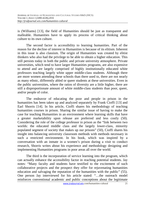is (Williams) [13], the field of Humanities should be just as transparent and malleable. Humanities have to apply its process of critical thinking about culture to its own culture.

 The second factor is accessibility to learning humanities. Part of the reason for the decline of interest in Humanities is because of its elitism. Inherent in this issue is also classism. The origin of Humanities was created by elitist thinkers who also had the privilege to be able to obtain a higher education. This still persists today in both the public and private university atmosphere. Private universities, which tend to have larger Humanities programs, are also expensive to attend and are largely comprised of highly institutionally educated white professors teaching largely white upper middle-class students. Although there are more women attending these schools than there used to, there are not nearly as many ethnic, differently abled or queer students at these universities. Even in the public universities, where the ratios of diversity are a little higher, there are still a disproportionate amount of white middle-class students than poor, queer, and/or people of color.

 The endeavor of educating the poor and people in prison in the humanities has been taken up and analyzed separately by Frank Cioffi [13] and Earl Shorris [14]. In his article, Cioffi shares his methodology of teaching humanities courses in prison. Sharing the similar issue of having to make the case for teaching Humanities in an environment where learning skills that have a greater marketability upon release are preferred and less costly (50). Considering the role of the college professor in prison as the "link between two worlds: the educated middle class and the largely lower-class, minority populated segment of society that makes up our prisons" (50), Cioffi shares his insight into balancing university classroom methods with methods necessary in such a restricted environment. In his book, which was inspired by a conversation with an inmate in a women's prison during a visit to conduct research, Shorris writes about his experience and methodology designing and implementing Humanities programs in poor areas all over the world.

 The third is the incorporation of service learning into the program, which can actually enhance the accessibility factor in reaching potential students. Jay notes: "Many faculty and students have testified to the excitement of such collaborative projects and the prospect they offer for rejuvenating humanities education and salvaging the reputation of the humanities with the public" (55). One person Jay interviewed for his article stated: "…the outreach model reinforces conventional academic and public conceptions about the legitimate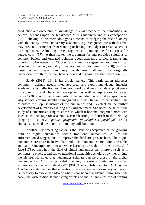production and ownership of knowledge. A vital practice of the humanities, we believe, depends upon the breakdown of this hierarchy and this conception." (55). Believing in this methodology as a means of bridging the rest of society with the 'ivory tower' university academic, Jay recognizes the setbacks that may prevent a professor from wanting or having the budget to create a service learning course. Admitting these programs are "among the first targets for budget cuts" (57), he then makes the argument for and provides solutions to common beliefs and outdated opinions about academic service learning and scholarship. He argues that "Successful community engagement requires critical reflection on gender, sexuality, diversity, and multiculturalism" (58), and that these courses create community collaboration, allowing for originally underserved youth to see they have access and purpose in higher education (58).

 Sandy (2013) [16], in her article, writes: "This participation addresses community defined needs; integrates local and expert knowledge; includes academic texts, reflection and hands-on work; and may include explicit goals for citizenship and character development as well as aspirations for social justice" (308). A former community organizer, she has a solid perspective on why service learning should be integrated into the Humanities curriculum. She discusses the Sophist history of the humanities and its effect on the further development of humanities during the Enlightenment. She notes the shift in the study of Humanities during this time, in which it became integrated more with science, set the stage for academic service learning to flourish in the field. By bringing in a new "*public, pragmatic philosopher's paradigm"* (313), Humanists opened the door to community collaboration.

 Another key emerging factor is the issue of acceptance of the growing field of digital humanities within traditional humanities. All of the aforementioned suggestions to improve the field are present here. The digital humanities are more inclusive than traditional humanities, are more accessible, and can be incorporated into a service learning curriculum. In his article, Jeff Rice [17] outlines how the field of digital humanities can improve itself as it continues to emerge, and shows traditional humanities scholars how they fit into the picture. He notes that humanities scholars can help those in the digital humanities by: "…showing coded meaning in various digital texts so that experience is better understood" (361).The contributors to *Hacking the Academy* iterate the idea that education is everywhere, and as society evolves, it is necessary to evolve the idea of what is considered academic. Throughout the book, the writers discuss publishing articles online instantly instead of waiting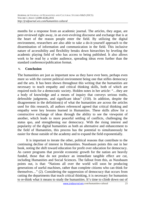months for a response from an academic journal. The articles, they argue, are peer-reviewed right away, in an ever-evolving discourse and exchange that is at the heart of the reason people enter the field. By utilizing the digital environment, researchers are also able to take a do-it-yourself approach to the dissemination of information and communication in the field. This inclusive nature of accessibility and flexibility breaks down hierarchies by leveling the academic playing field of who has access to being published. It also allows work to be read by a wider audience, spreading ideas even further than the standard conference/publication format.

#### **V. Conclusion**

The humanities are just as important now as they have ever been, perhaps even more so with the current political environment being one that stifles democracy and the arts. It has been shown throughout this writing that the humanities are necessary to teach empathy and critical thinking skills, both of which are required tools for a democratic society. Holden notes in her article: "…they are a body of knowledge and a means of inquiry that conveys serious truths, defensible judgments, and significant ideas" (150). In addition, despite the disagreement in the definition(s) of what the humanities are across the articles used for this research, all authors referenced agreed that critical thinking and empathy were key lessons learned in Humanities. These skills allow for a constructive exchange of ideas through the ability to see the viewpoint of another, which leads to more peaceful settling of conflicts, challenging the status quo, and strengthening our democracy. With the rising interest and popularity of the digital humanities as both an alternative and enhancement to the field of Humanities, this process has the potential to simultaneously be easier for those outside of the academy and to expand the field exponentially.

 It is important to iterate the other, political reasons that contribute to the continuing decline of interest in Humanities. Nussbaum points this out in her book*,* noting the shift toward education for profit over education for democracy. As career programs that provide economic growth for the nation are heavily funded, those that do not produce an immediate tangible effect are cut, including Humanities and Social Sciences. The fallout from this, as Nussbaum points out, is that: "Nations all over the world will soon be producing generations of useful machines, rather than complete citizens who can think for themselves…" (2). Considering the suppression of democracy that occurs from cutting the departments that teach critical thinking, it is necessary for humanists to re-think what it means to study the humanities. It's time to climb down out of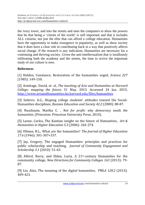the ivory tower, and into the streets and onto the computers to show the powers that be that being a 'citizen of the world' is still important and that it includes ALL citizens, not just the elite that can afford a college education. Humanities have the opportunity to make resurgence in popularity, as well as show society that it does have a clear role in contributing back in a way that positively affects social change. If the research is any indication, Humanities are necessary for a continuing and thriving society. Given the anti-intellectualism that is insidiously infiltrating both the academy and the streets, the time to revive the important study of our culture is now.

### **References**

[1] Holden, Constance, Restoration of the humanities urged, *Science 227* (1985): 149-150.

[2] Armitage, David, et. al, *The teaching of Arts and Humanities at Harvard College: mapping the future,* 31 May, 2013. Accessed 24 Jan. 2015, http://www.artsandhumanities.fas.harvard.edu/files/humanities

[3] Sabirov, A.G., Shaping college students' attitudes toward the Social-Humanities disciplines, *Russian Education and Society 42.2* (2000): 80-87.

[4] Nussbaum, Martha C. , *Not for profit: why democracy needs the humanities.* (Princeton: Princeton University Press, 2010).

[5] Leone, Carlos, The Kantian insight on the future of Humanities, *Art & Humanities in Higher Education 5.3* (2006): 264-274.

[6] Ullman, B.L., What are the humanities? *The Journal of Higher Education 17.6* (1946): 301-307+337.

[7] Jay, Gregory, The engaged Humanities: principles and practices for public scholarship and teaching, *Journal of Community Engagement and Scholarship 3.1* (2010): 51-63.

[8] Alford, Barry, and Elden, Lucia, A 21st-century Humanities for the community college, *New Directions for Community Colleges 163* (2013): 79- 87.

[9] Liu, Alan, The meaning of the digital humanities, *PMLA 128.2* (2013): 409-423.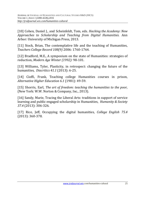[10] Cohen, Daniel J., and Scheinfeldt, Tom, eds. *Hacking the Academy: New Approaches to Scholarship and Teaching from Digital Humanities.* Ann Arbor: University of Michigan Press, 2013.

[11] Stock, Brian, The contemplative life and the teaching of Humanities, *Teachers College Record 108(9)* 2006: 1760-1764.

[12] Bradford, M.E., A symposium on the state of Humanities: strategies of reduction, *Modern Age Winter (1992):* 98-101.

[13] Williams, Tyler, Plasticity, in retrospect: changing the future of the humanities, *Diacritics 41.1* (2013): 6-25.

[14] Cioffi, Frank, Teaching college Humanities courses in prison, *Alternative Higher Education 6.1* (1981): 49-59.

[15] Shorris, Earl, *The art of freedom: teaching the humanities to the poor,* (New York: W.W. Norton & Company, Inc., 2013).

[16] Sandy, Marie, Tracing the Liberal Arts: traditions in support of service learning and public engaged scholarship in Humanities, *Humanity & Society 37.4* (2013): 306-326.

[17] Rice, Jeff, Occupying the digital humanities, *College English 75.4* (2013): 360-378.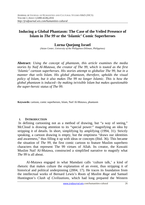### **Inducing a Global Phantasm: The Case of the Veiled Presence of Islam in** *The 99* **or the 'Islamic' Comic Superheroes**

### **Lorna Quejong Israel**

*(Asian Center, University of the Philippines-Diliman, Philippines)* 

**Abstract:** *Using the concept of phantasm, this article examines the media stories by Naif Al-Mutawa, the creator of The 99, which is touted as the first 'Islamic' cartoon superheroes. His stories attempt to globalize The 99, but in a manner that veils Islam. His global phantasm, therefore, upholds the visual policy of Islam, but it also makes The 99 no longer Islamic. This is how the global phantasm is induced—by making in/visible Islam but makes questionable the super-heroic status of The 99.*

**Keywords***:* cartoon, comic superheroes, Islam, Naif Al-Mutawa, phantasm

#### **I. INTRODUCTION**

 In defining cartooning not as a method of drawing, but "a way of seeing," McCloud is drawing attention to its "special power:" magnifying an idea by stripping it of details. In short, simplifying by amplifying (1994, 31). Strictly speaking, a cartoon drawing is empty, but the emptiness "draws our identities and awareness," thus filling it up with ideas or concepts (Ibid. 36). This became the situation of *The 99*, the first comic cartoon to feature Muslim superhero characters that represent The 99 virtues of Allah. Its creator, the Kuwaiti Muslim Naif Al-Mutawa, constructed a simplified narrative to magnify what *The 99* is all about.

Al-Mutawa engaged in what Mamdani calls 'culture talk,' a kind of rhetoric that makes culture the explanation of an event, thus stripping it of historical and political underpinning (2004, 17). He traces its foundation from the intellectual works of Bernard Lewis's *Roots of Muslim Rage* and Samuel Huntington's *Clash of Civilizations*, which had long prepared the Western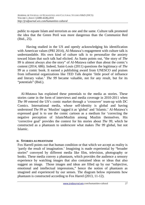public to equate Islam and terrorism as one and the same. Culture talk promoted the idea that the Green Peril was more dangerous than the Communist Red (Ibid., 25).

Having studied in the US and openly acknowledging his identification with American values (PRI 2014), Al-Mutawa's engagement with culture talk is understandable. His own kind of culture talk is to personalize the anxiety toward Islam that such talk had elicited. As Santo points out, "the story of *The 99* is almost always also the story" of Al-Mutawa rather than about the comic's content (2014, 686). Indeed, Saint-Louis (2011) questions the legitimacy of *The 99* as a comic book. It earned a publishing award from UNESCO and praises from influential organizations like TED Talk despite 'little proof of influence and literary value.' *The 99* became valuable, not for any result, but for its "potentials" (Ibid.).

Al-Mutawa has explained these potentials to the media as stories. These stories came in the form of interviews and media coverage in 2010-2011 when *The 99* entered the US's comic market through a 'crossover' team-up with DC Comics. International media, whose self-identity is global and having understood *The 99* as 'Muslim' tagged it as 'global' and 'Islamic.' Al-Mutawa's expressed goal is to use the comic cartoon as a medium for 'correcting the negative perception of Islam/Muslim among Muslim themselves. His 'corrective goal' provides the context for his stories about *The 99*, which he constructed as a phantasm to underscore what makes *The 99* global, but not Islamic.

#### **II. STORIES AS PHANTASM**

Fox Harrell points out that human condition or that which we accept as reality is 'partly the result of imagination.' Imagining is made experiential by "broader stories" conveyed by different media like film, television, photography or books. These media convey a phantasm, which provides the audience a sensory experience by watching images that also contained ideas or ideas that also suggest an image. Those images and ideas are filled up by our "subjective, emotional and intellectual impressions," hence the notion of phantasm as imagined and experienced by our senses. The diagram below represents how phantasm is constructed according to Fox Harrel (2013, 11-12).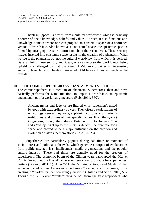Phantasm (space) is drawn from a cultural worldview, which is basically a source of one's knowledge, beliefs, and values. As such, it also functions as a knowledge domain where one can propose an epistemic space or a shortened version of worldview. Also known as a conceptual space, the epistemic space is framed by arranging ideas or information about the recent event. These sensory images inserted into epistemic space results in the creation of a phantasm. What we see is the phantasm, but not the cultural worldview from which it is derived. By examining these sensory and ideas, one can expose the worldviews being upheld or challenged by that phantasm. Al-Mutawa provides an interesting angle to Fox-Harrel's phantasm revealed; Al-Mutawa hides as much as he reveals.

#### **III. THE COMIC SUPERHEROAS PHANTASM: 9/11 VS THE 99**

The comic superhero is a medium of phantasm. Superheroes, then and now, basically performs the same function: to impart a worldview, an epistemic understanding, of a world has gone awry (Robb 2014, 360).

Ancient myths and legends are littered with 'supermen', gifted by gods with extraordinary powers. They offered explanations of why things were as they were, explaining customs, civilization's institutions, and origins of their specific taboos. From the *Epic of Gilgamesh*, through the Indian's *Mahabharata*, to Homer's *Iliad* and *Odyssey*, right up to the Virgil's *Aeneid*, the epic tale took shape and proved to be a major influence on the creation and evolution of later superhero stories (Ibid., 20-25).

Superheroes are particularly popular during bad times or moments of social unrest and political upheavals, which generate a corpus of explanations from politicians, activists, intellectuals, media organizations and the popular culture industry. These bad times are actually good for the creators of superheroes. The economic boom of the Clinton years bankrupted the Marvel Comic Group, but the Bush/Blair war on terror was profitable for superheroes' writers (DiPaolo 2011, 1). After 9/11, the "villainous Arabs and Muslims" that serve as backdrops to American superheroes "reached a critical mass," thus creating a "market for the increasingly curious" (Phillips and Strobl 2013, 59). Though the 9/11 event "minted" new heroes from the first responders who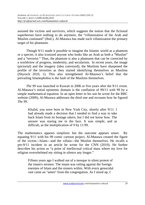assisted the victims and survivors, which suggests the notion that the fictional superheroes have nothing to do anymore, the "villainization of the Arab and Muslim continued" (Ibid.). Al-Mutawa has made such villainization the primary target of his phantasm.

Though 9/11 made it possible to imagine the Islamic world as a phantom or a specter, it also iconized anyone who looks like an Arab as both a "Muslim" and a "terrorist." Thus, the phantom is also a phantasm that can be corrected by a worldview of progress, modernity, and secularism. In recent years, the image (pictorial) and the imagery (idea conveyed), the Muslims have sharpened the profile of the terrorists as they started identifying themselves as Muslims (Shyrock 2010, 1). This also strengthened Al-Mutawa's belief that the prevailing Islamophobia is the fault of the Muslims themselves.

*The 99* was launched in Kuwait in 2006 or five years after the 9/11 event. Al-Mutawa's initial epistemic domain is the conflation of 99/11 with 99 by a simple mathematical equation. In an open letter to his son he wrote for the BBC website (2009), Al-Mutawa addresses the third one and recounts how he figured *The 99.* 

Khalid, you were born in New York City, shortly after 9/11. I had already made a decision that I needed to find a way to take back Islam from its hostage takers, but I did not know how. The answer was staring me in the face. It was simple, and as difficult, as the multiplication of 9 by 11:99.

The mathematics appears simplistic but the outcome appears smart. By equating 9/11 with his 99 comic cartoon project, Al-Mutawa created the figure of the victim—Islam—and the villain—the Muslim themselves. He recalls a pre-9/11 incident in an article he wrote for the CNN (2010). He further describes his action as "a point of intellectual critical mass where my love for religion overwhelmed my sitting in silence any longer."

Fifteen years ago I walked out of a mosque in silent protest of the imam's sermon. The imam was railing against the foreign enemies of Islam and the sinners within. With every genocidal rant came an "amen" from the congregation. As I stood up, I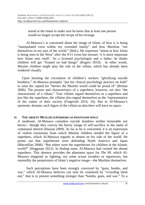stared at the imam to make sure he knew that at least one person would no longer accept the recipe of his revenge.

Al-Mutawa's is concerned about the image of Islam, of how it is being "manipulated even within my extended family" and how Muslims "see themselves in my part of the world." (Ibid.). He expresses "alarm at how Islam is being seen in the West" after the 9/11 event but stresses 'it is more important how Islam sees itself.' As a licensed psychologist and a father, he thinks children will get "fixated on bad things" (Rogers 2010). In other words, Muslim children might play the role of the villain, which has already been rendered visually.

Upon learning the circulation of children's stickers "glorifying suicide bombers," Al-Mutawa promptly "put his clinical psychology practice on hold" to raise the capital for "heroes the Muslim world could be proud of" (Brittan 2006). The powers and characteristics of a superhero, however, are also "the characteristic of a villain." True villains regard themselves as a superhero and just like the superhero, the villains also regard themselves as the "representative of the values of their society (Fingeroth 2014, 16). But in Al-Mutawa's epistemic domain, such figure of the villain-as-also-hero will have no space.

#### **IV. THE ABSENT MUSLIM SUPERHERO AS PHANTASM SPACE**

A moderate, Al-Mutawa considers suicide bombers neither honorable nor heroic-- though they convey the heroic image of self-sacrifice in the name of communal interest (Hassan 2009). As far as he is concerned, it is an expression of violent extremism from which Muslim children needed the figure of a superhero, which Al-Mutawa regards as absent on his side of the world. He points out that superheroes were defending North America and Japan (Macmillan 2008). "But where were the superheroes for children in the Islamic world?" (Haggman 2012). In finding none, Al-Mutawa had created the absent superhero. This absence provides the phantasm space for *The 99*, which Al-Mutawa imagined as fighting, not some actual invaders or oppressors, but ostensibly the perpetrators of Islam's negative image—the Muslims themselves.

Such perceptions have been strongly conveyed by "guns, bombs, and war," which Al-Mutawa believes can only be countered by "crowding them out," that is to present something stronger than "bombs, guns, and war." To a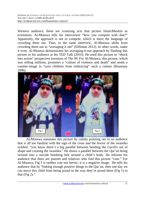Western audience, these are iconizing acts that picture Islam/Muslim as extremists. Al-Mutawa tells his interviewer "how you compete with that?" Apparently, the approach is not to compete, which is more the language of crowding them out. Thus, in the same interview, Al-Mutawa shifts from crowding them out to "averaging it out" (Ellliman 2012). In other words, make it even. Al-Mutawa demonstrates his averaging-it-out approach by flashing this picture to his audience at his TED Talk (2010). He used this picture to "shock into action" prospective investors of *The 99*. For Al-Mutawa, this picture, which was selling millions, promotes a "culture of violence and death" and needs a counter-image to "save children from embracing" such a culture (Boustany 2006).



Al-Mutawa annotates this picture by calmly pointing out to an audience that is all too familiar with the sign of the cross and the horror of the swastika symbol: "you know there's a big parallel between bending the crucifix out of shape and creating the swastika." He draws a parallel between the Qur'an being twisted into a suicide bombing belt around a child's body. He informs his audience that there are parents and relatives who find this picture "cute." For Al-Mutawa, Fig 1 is neither cute nor heroic; it is a negative image. He tells his audience that by "linking enough positive things to the Qur'an, then one day we can move this child from being proud in the way they're proud there (Fig 1) to that  $(Fig 2)$ ."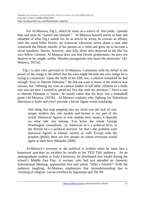For Al-Mutawa, Fig.1, which he notes as a source of 'less pride,' spreads hate and must be "named and shamed." Al-Mutawa himself seems to hate and ashamed of what Fig.1 stands for. In an article he wrote, he reveals an affinity with the serial killer *Dexter*, an American television series about a man who witnessed the bloody murder of his parents as a child and grew up to become a serial murderer. Dexter, however, only kills those who deserved to die like his own fellow criminal. Al-Mutawa does not find Dexter problematic; he does not deserve to be caught, unlike 'Muslim protagonists who harm the innocents' (Al-Mutawa, 2015a).

 Fig.1 is also very personal to Al-Mutawa. Consistent with his belief in the power of the image is the belief that his sons might become the very image he is trying to counteract. Upon the birth of his fifth son, a relative remarked he had enough "boys to liberate Palestine." He did not want to know if the relative was serious, but "offering my sons as cannon fodder to kill other children in a futile war was not how I wanted to spend my first day with my newborn." Since a war to liberate Palestine is 'futile,' he would rather that his boys win a basketball game (Al-Mutawa, 2015b). Al-Mutawa explains why fighting for Palestinian liberation is futile and won't provide a heroic figure worth emulating:

One thing that kept popping into my mind was the lack of real, proper modern day role models and heroes in our part of the world. Historical figures as role models have issues; it depends on what side you belong. You know the whole George Washington conundrum…to American he's a political hero, to the British he's a political terrorist. So that's the problem with historical figures in Islamic society as well. Except with the prophet (pbuh), there are few people on whom everyone would agree as their hero (Mujtaba 2008).

Al-Mutawa's aversion to the political is evident when he turns into a humorous anecdote an incident he recalls to his TED Talk audience. As an undergraduate student at Tufts University, he distributed free falafel during the school's Middle East Day. A woman, who had just attended an Amnesty International Meeting, approached him and asked, "Who's Falafel?" With the audience laughing, Al-Mutawa emphasizes that misunderstanding due to 'twisting of religion' can be rectified by Superman and *The 99.*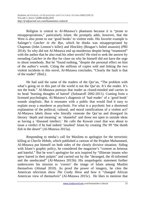Religion is central to Al-Mutawa's phantasm because it is "prone to misappropriations," particularly Islam. He promptly adds, however, that the West is also prone to use 'good books' to violent ends. His favorite example is Salinger's *Catcher in the Rye*, which he thinks was misappropriated by Chapman (John Lennon's killer) and Hinckley (Reagan's failed assassin) (PRI 2014). So why did not Al-Mutawa end up murderous despite being "enamored" with the author that he also read his other novels? He tried to seek the answer by rereading *Catcher in the Rye* for clues on why he himself did not have the urge to shoot somebody. But he "found nothing, "despite the personal effect on him of the author's words. Citing the millions of copies sold and linking the two violent incidents to this novel, Al-Mutawa concludes, "Clearly the fault is that of the reader" (Ibid.).

He had said the same of the readers of the Qur'an, "The problem with what's going on in this part of the world is not the Our'an. It's the reader. It's not the book." Al-Mutawa portrays that reader as closed-minded and carries in its head 'burning thoughts of hatred' (Solotaroff 2002-2011). Coming from a licensed psychologist, Al-Mutawa's diagnosis of 'bad reader' of a 'good book' sounds simplistic. But it resonates with a public that would find it easy to explain away a murderer as psychotic. For what is a psychotic but a shortened explanation of the political, cultural, and moral ramifications of a violent act? Al-Mutawa labels those who literally venerate the Qur'an and disregard its literary 'depth and meaning' as 'shameful' and those not open to outside ideas as having a 'diseased intellect.' He calls the Kuwait court that was about to issue a verdict if he had indeed 'insulted' Islam by creating *The 99* "the dumb fish in the desert" (Al-Mutawa 2015a).

Responding to media's call for Muslims to apologize for the terroristic killing at *Charlie Hebdo,* which published a cartoon of the Prophet Muhammed, Al-Mutawa put himself on both sides of the clearly divisive situation. Siding with Islam's graphic policy, he considered the magazine's "content as heinous" and hateful." But he won't apologize for acts inspired by "illiterate imams who spew hatred in their pulpits" and carried out by the "deranged, the ill-informed and the uneducated" (Al-Mutawa 2015b). His unapologetic statement further underscores his mission to 'correct' the image of Islam among Muslim themselves (Ahmad 2010). As proof the power of imagery, he cites the American television show *The Cosby Show* and how it "changed African American view of themselves" (Al-Mutawa 2015c). He likes to mention that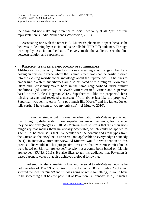the show did not make any reference to racial inequality at all, "just positive representation" (Radio Netherlands Worldwide, 2011).

Associating one with the other is Al-Mutawa's phantasmic space because he believes in 'learning by association' as he tells his TED Talk audience. Through learning by association, he has effectively made the audience see the link between religion and superheroes.

#### **V. RELIGION AS THE EPISTEMIC DOMAIN OF SUPERHEROES**

Al-Mutawa is not exactly introducing a new meaning about religion, but he is posing an epistemic space where the Islamic superheroes can be easily inserted into the existing worldview or knowledge about the superheroes. As he likes to emphasize, Western superheroes are also affiliated with a religion. Moreover, Islam and Christianity "were born in the same neighborhood under similar conditions" (Al-Mutawa 2010). Jewish writers created Batman and Superman based on the Bible (Haggman 2012). Superheroes, "like the prophets," have missing parents and received a message "from above just like the prophets." Superman was sent to earth "in a pod much like Moses" and his father, Jor-el, tells earth, "I have sent to you my only son" (Al-Mutawa 2010).

In another simple but informative observation, Al-Mutawa points out that, though god-descended, these superheroes are not religious, for instance, they do not pray (Rogers 2010). Al-Mutawa likes to stress that it is their nonreligiosity that makes them universally acceptable, which could be applied to *The 99:* "The premise is that I've secularized the content and archetypes from the Qur'an so the storyline is universal and applicable to everybody" (Kennedy 2011). In interview after interview, Al-Mutawa would draw attention to this premise. He would tell his prospective investors that 'western comics books were based on Biblical archetypes" so why not a comic book based on Islamic archetypes (KUNA 2013). He also likes to tell his audience that Pokemon is based Japanese values that also achieved a global following.

Pokemon is also something close and personal to Al-Mutawa because he got the idea of The 99 attributes from Pokemon's 300 attributes. "Pokémon spurred the idea for *The 99* and if I was going to write something, it would have to be something that has the potential of Pokémon," (Kennedy, Ibid.) If such a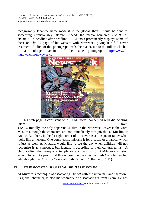recognizably Japanese name made it to the global, then it could be done to something unmistakably Islamic. Indeed, the media bannered *The 99* as "Islamic" in headline after headline. Al-Mutawa prominently displays some of these on *The 99* page of his website with Newsweek giving it a full cover treatment. A click of this photograph leads the reader, not to the full article, but to an enlarged version of the same photograph http://www.almutawa.com/newsweek/.



This web page is consistent with Al-Mutawa's concerned with dissociating Islam from the set of the set of the set of the set of the set of the set of the set of the set of the set of the set of the set of the set of the set of the set of the set of the set of the set of the set of the set of th

*The 99.* Initially, the only apparent Muslim in the Newsweek cover is the word Muslim although the characters are not immediately recognizable as Muslim or Arabic. But there, in the far right corner of the cover, is a mosque or rather what looks like a mosque. One could easily mistake it for a castle or a palace, which is just as well. Al-Mutawa would like to see the day when children will not recognize it as a mosque, but identity it according to their cultural terms. A child calling the mosque a temple or a church is for Al-Mutawa mission accomplished. As proof that this is possible, he cites his Irish Catholic teacher who thought that Muslims "were all Irish Catholic!" (Kennedy 2011).

#### **VI. THE DISSOCIATED ISLAM FROM THE 99 AS PHANTASM**

Al-Mutawa's technique of associating *The 99* with the universal, and therefore, its global character, is also his technique of dissociating it from Islam. He has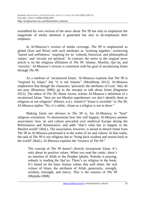assembled his own version of the news about *The 99* not only to emphasize the magnitude of media attention it generated but also to de-emphasize their emphasis.

In Al-Mutawa's version of media coverage, *The 99* is emphasized as global (East and West) with such attributes as 'working together,' eschewing 'hatred and selfishness,' inspiring for its 'cultural, historical, and philosophical values,' and 'secular yet spiritual.' In contrast, the stress in the original news article is on the religious affiliation of *The 99:* Islamic, Muslim, Qur'an, and 'terrorist.' Al-Mutawa's version is consistent with his goal of secularizing Islam through *The 99*.

As a medium of 'secularized Islam,' Al-Mutawa explains that *The 99* is "inspired by Islam," but "it is not Islamic" (Moulthrop 2012). Al-Mutawa emphasizes that though the characters 'personify the attributes of God,' they do not pray (Boustany 2006), go to the mosque or talk about Islam (Hagmann 2012). The editor of *The 99,* Marie Javins, echoes Al-Mutawa's definition of a secularized Islam, "they are *not* Muslim superheroes--we don't identify them as religious or not religious" (Moore, n.d.). Asked if "Islam is invisible" in *The 99*, Al-Mutawa replies "No, it's subtle...Islam as a religion is not in there."

Making Islam not obvious in *The 99* is, for Al-Mutawa, to "beat" religious extremism. To demonstrate how this will happen, Al-Mutawa another association: how art and culture prevailed over medieval Europe during the Reformation and Renaissance, and adds "that's what has to happen in the Muslim world" (Ibid.). The association, however, is meant to detach Islam from *The 99* as Al-Mutawa positioned it in the realm of art and culture. In that realm, the task of *The 99* is not religious but to "bring back wisdom and reason back to the world" (Ibid.). Al-Mutawa explains the "essence of *The 99*:"

The concept of *The 99* doesn't directly incorporate Islam. It's only about its positive values. When you read the comic, there's no mention of Allah or the Prophet (pbuh). Nobody is praying, nobody is reading the Qur'an. There's no religion in the book. It's based on the basic human values that well share, the real virtues of Islam, the attributes of Allah...generosity, strength, wisdom, foresight, and mercy. This is the essence of *The 99* (Mujtaba 2008).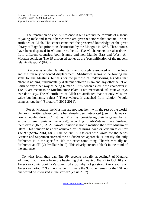The translation of *The 99's* essence is built around the formula of a group of young male and female heroes who are given 99 stones that contain The 99 attributes of Allah. The stones contained the preserved knowledge of the great library of Baghdad prior to its destruction by the Mongols in 1258. These stones have been dispersed in 99 countries, hence, *The 99* characters are also drawn from different countries, both Islamic and non-Islamic, East and West. Al-Mutawa considers The 99 dispersed stones as the 'personification of the modern Islamic diaspora' (Ibid.).

Diaspora is another familiar term and strongly associated with the Jews and the imagery of forced displacement. Al-Mutawa seems to be forcing the same for the Muslims, but this for the purpose of underscoring his idea that "there is nothing fundamentally different between Islam and any other belief on Earth or any other way of being human." Thus, when asked if the characters in *The 99* are meant to be Muslim since Islam is not mentioned, Al-Mutawa says "we don't say...The 99 attributes of Allah are attributed that not only Muslims value but humanity values." These values, if detached from religion 'would bring us together' (Solotaroff, 2002-2011).

For Al-Mutawa, the Muslims are not together—with the rest of the world. Unlike minorities whose culture has already been integrated (Jewish Hannukah now scheduled during Christmas), Muslims (considering their large number in across different parts of the world), according to Al-Mutawa, have 'isolated themselves' (Ibid.). Al-Mutawa's solution is not to mention the word Muslim or Islam. This solution has been achieved by not hiring Arab or Muslim talent for *The 99* (Santo 2014, 686). One of *The 99's* talents who wrote for the series Batman and Superman stressed the no-difference approach, "Honestly, the only difference is in the specifics. It's the exact same thing. There's virtually no difference at all" (Cadwalladr 2010). This clearly creates a blank in the mind of the audience.

To what form then can *The 99* become visually appealing? Al-Mutawa admitted that "I knew from the beginning that I wanted *The 99* to look like an American comic book" (Vazquez, n.d.). So why not go straight to creating an American cartoon? "I am not naive. If it were the 98 superheroes, or the 101, no one would be interested in the stories" (Zekri 2007).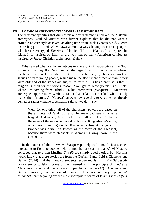#### **VII. ISLAMIC ARCHETYPES/STEREOTYPES AS EPISTEMIC SPACE**

The different specifics that did not make any difference at all are the "Islamic archetypes," said Al-Mutawa who further explains that he did not want a "Middle Eastern style or invent anything new or unusual' (Vazquez, n.d.). With his archetype in mind, Al-Mutawa admits "always having to correct people" who have stereotyped *The 99* as Islamic: "It's not Islamic. It's inspired by Islam. It is inspired by Islam in the way that so many American comics are inspired by Judeo-Christian archetypes" (Ibid.).

When asked what are the archetypes in *The 99*, Al-Mutawa cites a) the Noor stones containing the "wisdom of the ages," which has a self-updating mechanism so that knowledge is not frozen in the past; b) characters work in groups of three young people, which make the stone more effective than if they were old; and c) the stones are subject to misuse. His basic premise is that if religion is used for the wrong reason, "you get to blow yourself up. That's where I'm coming from" (Ibid.). To his interviewer (Vazquez) Al-Mutawa's archetypes appear more symbolic rather than Islamic. He asked what exactly makes them Islamic. Al-Mutawa's answers by reverting to what he has already denied or rather what he specifically said as 'we don't say.'

Well, for one thing, all of the characters' powers are based on the attributes of God. But also the main bad guy's name is Rughal. And as any Muslim child can tell you, Abu Rughal is the name of the one who gave directions to King Abraha's army, which was marching on the Kaaba to destroy it the year the Prophet was born. It's known as the Year of the Elephant, because there were elephants in Abraham's army. Now in the Qur'an,…

In the course of the interview, Vazquez politely told him, "it just seemed interesting to fight stereotypes with things that are sort of blank." Al-Mutawa conceded that to a non-Muslim, *The 99* are simply good stories, but Muslims would know that these stories are from the Qur'an (Santo, Ibid.). Clements and Gauvin (2014) find that Kuwaiti students recognized Islam in *The 99* despite non-reference to Islam. Some of them agreed with the principle of *jihad* as a "defensive force" and the absence of graphic violence (42). Clements and Gauvin, however, note that none of them sensed the "revolutionary implication" of *The 99*: that the young are the most appropriate bearer of Islam's virtues (58).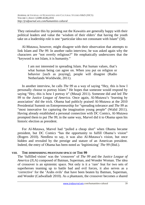They rationalize this by pointing out the Kuwaitis are generally happy with their political leaders and value the 'wisdom of their elders' that having the youth take on a leadership role is one "particular idea not consonant with Islam" (58).

Al-Mutawa, however, might disagree with their observation that attempts to link Islam and *The 99*. In another radio interview, he was asked again why the characters are "not overtly religious?" He emphatically underscores that the "keyword is not Islam, it is humanity."

I am not interested in spreading Islam. Put human values, that's what human being can agree on. When you put on religion or behavior [such as praying], people will disagree (Radio Netherlands Worldwide, 2011).

In another interview, he calls *The 99* as a way of saying "Hey, this is how I personally choose to portray Islam." He hopes that someone would respond by saying "Hey, this is how I portray it" (Musaji 2011). Someone did and led *The 99* to the *Justice League of America*. Once again, Al-Mutawa's 'learning by association' did the trick. Obama had publicly praised Al-Mutawa at the 2010 Presidential Summit on Entrepreneurship for "spreading tolerance and *The 99* as "most innovative for capturing the imagination young people" (Walid 2011). Having already established a personal connection with DC Comics, Al-Mutawa prompted them to put *The 99*, in the same way, Marvel did it to Obama upon his historic election as president.

For Al-Mutawa, Marvel had "pulled a cheap shot" when Obama became president, but DC Comics "has the opportunity to fulfill Obama's vision" (Rogers 2010). Needless to say, it was also Al-Mutawa's vision, but once hidden and revealed by the prestige and stature of an American president. Indeed, the entry of Obama has been noted as 'legitimizing' *The 99* (Ibid.).

#### **VIII. THE DIMINISHING PHANTASM SPACE OF THE 99**

The 'fulfilled vision' was the 'crossover' of *The 99* and the *Justice League of America* (JLA) composed of Batman, Superman, and Wonder Woman. The idea of crossover is an epistemic space. Not only is it a 'rare' feat for two sets of superheroes teaming up to battle bad and evil forces, it also serves as a 'corrective' for the 'Arabs evils' that have been beaten by Batman, Superman, and Wonder (Cadwalladr 2010). As a phantasm, the crossover becomes a shared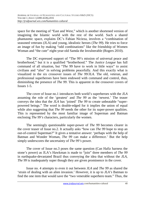space for the meeting of "East and West," which is another shortened version of imagining the Islamic world with the rest of the world. Such a shared phantasmic space, explains DC's Fabian Nicieza, involves a "combination of seasoned veterans (JLA) and young, idealistic heroes (*The 99*). He tries to force an image of fun by making "odd combinations" like the friendship of Women Woman and "the cute" eight-year-old Samda the Invulnerable (Rogers 2010).

The DC expressed support of "The 99's mission of universal peace and brotherhood," but it is a qualified "brotherhood." The *Justice League* has full command of all situation, but "*The* 99 have to work in little ways" to assist civilians and "also" in solving problems peacefully. And this exactly what is visualized in the six crossover issues of *The 99*/*JLA*. The old, veteran, and professional superheroes have been endowed with command and control, thus, diminishing the presence of *The 99*. This is apparent in the crossover covers of Issues 1-5.

The cover of Issue no.1 introduces both world's superheroes with the *JLA* assuming the role of the 'greatest' and *The 99* as the 'newest.' The teaser conveys the idea that the *JLA* has 'joined' *The 99* to create unbeatable "superpowered beings." The word is double-edged for it implies the union of equal while also suggesting that *The 99* needs the other for its super-power qualities. This is represented by the most familiar image of Superman and Batman enclosing *The 99's* characters, particularly the women.

The seemingly questionable super-power of *The 99* becomes clearer in the cover teaser of Issue no.2. It actually asks "how can *The 99* hope to stop an out-of-control Superman?" It gives a tentative answer: 'perhaps with the help of Batman and Wonder Woman, *The 99* can make a difference.' But the help simply underscores the uncertainty of *The 99's* power.

The cover of Issue no.3 poses the same question (Can Hafiz harness the stone's power) as JLA's Hawkman is made to "join" three members of *The 99* in earthquake-devastated Brazil thus conveying the idea that without the *JLA*, *The 99* is inadequately super though they are given prominence in the cover.

Issue no. 4 attempts to even it out between *JLA* and *The 99* as shared the 'strain of dealing with an alien invasion.' However, it is up to *JLA's* Batman to find the one item that would save the "two venerable superhero team." Thus, the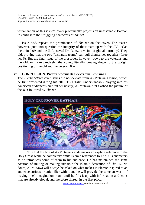visualization of this issue's cover prominently projects an unassailable Batman in contrast to the struggling characters of *The 99.*

Issue no.5 repeats the prominence of *The 99* on the cover. The teaser, however, puts into question the integrity of their team-up with the *JLA.* "Can the united 99 and the JLA" saved Dr. Ramzi's vision of global harmony? They did, proving that the two "disparate teams" can pull themselves together (Issue no. 6). But the final issue of the crossover, however, bows to the veterans and the old, or more precisely, the young literally bowing down to the upright positioning of the old and the veteran *JLA.* 

#### **IX. CONCLUSION: PICTURING THE BLANK OR THE IN/VISIBLE**

The *JL/The 99*crossover issues did not deviate from Al-Mutawa's vision, which he first presented during his 2010 TED Talk. Understandably playing into his American audience's cultural sensitivity, Al-Mutawa first flashed the picture of the *JLA* followed by *The 99*.



Note that the title of Al-Mutawa's slide makes an explicit reference to the Holy Cross while he completely omits Islamic references to The 99's characters as he introduces some of them to his audience. He has maintained the same position of muting or making invisible the Islamic derivation of *The 99.* No doubt, Al-Mutawa will always be asked on what makes it Islamic-inspired to an audience curious or unfamiliar with it and he will provide the same answer—of leaving one's imagination blank until he fills it up with information and icons that are already global, and therefore shared, in the first place.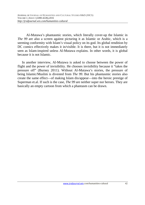Al-Mutawa's phantasmic stories, which literally cover-up the Islamic in *The 99* are also a screen against picturing it as Islamic or Arabic, which is a seeming conformity with Islam's visual policy on its god. Its global rendition by DC comics effectively makes it in/visible. It is there, but it is not immediately seen as Islam-inspired unless Al-Mutawa explains. In other words, it is global because it is not Islamic.

In another interview, Al-Mutawa is asked to choose between the power of flight and the power of invisibility. He chooses invisibility because it "takes the pressure off" (Burney 2011). Without Al-Mutawa's stories, the pressure of being Islamic/Muslim is divested from *The 99*. But his phantasmic stories also create the same effect—of making Islam dis/appear—into the heroic prestige of Superman et.al. If such is the case, *The 99* are neither super nor heroes. They are basically an empty cartoon from which a phantasm can be drawn.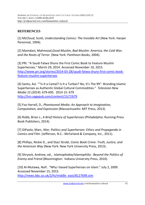## **REFERENCES**

[1] McCloud, Scott, *Understanding Comics: The Invisible Art* (New York: Harper Perennial, 1994).

[2] Mamdani, Mahmood,*Good Muslim, Bad Muslim: America, the Cold War, and the Roots of Terror.* (New York: Pantheon Books, 2004).

[3] PRI. "A Saudi Fatwa Shuns the First Comic Book to Feature Muslim Superheroes." March 29, 2014. Accessed November 10, 2015. http://www.pri.org/stories/2014-03-28/saudi-fatwa-shuns-first-comic-bookfeature-muslim-superheroes

[4] Santo, Avi. "''Is It a Camel? Is It a Turban? No, It's The 99'': Branding Islamic Superheroes as Authentic Global Cultural Commodities." *Television New Media 15 (2014*): 679-695. 2014 15: 679 http://tvn.sagepub.com/content/15/7/679

[5] Fox Harrell, D., *Phantasmal Media: An Approach to Imagination, Computation, and Expression* (Massachusetts: MIT Press, 2013).

[6] Robb, Brian J., *A Brief History of Superheroes* (Philadelphia: Running Press Book Publishers, 2014).

[7] DiPaolo, Marc, *War, Politics and Superheroes: Ethics and Propaganda in Comics and Film*. (Jefferson, N.C.: McFarland & Company, Inc., 2011).

[8] Phillips, Nickie D., and Staci Strobl, *Comic Book Crime: Truth, Justice, and the American Way* (New York: New York University Press, 2013).

[9] Shryock, Andrew, ed., *Islamophobia/Islamophilia : Beyond the Politics of Enemy and Friend* (Bloomington: Indiana University Press, 2010).

[10] Al-Mutawa, Naif.. "Why I based Superheroes on Islam." July 2, 2009. Accessed November 15, 2015. http://news.bbc.co.uk/2/hi/middle\_east/8127699.stm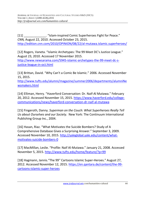[11] [11] [11] . Subsetsmanning and the superheroes Fight for Peace." *CNN,* August 22, 2010. Accessed October 23, 2015. http://edition.cnn.com/2010/OPINION/08/22/al-mutawa.islamic.superheroes/

[12] Rogers, Vaneta. "Islamic Archetypes: The 99 Meet DC's Justice League." August 23, 2010. Accessed 17 November 2015.

http://www.newsarama.com/5945-islamic-archetypes-the-99-meet-dc-sjustice-league-in-oct.html

[13] Brittan, David. "Why Can't a Comic Be Islamic." 2006. Accessed November 15, 2015.

http://www.tufts.edu/alumni/magazine/summer2006/departments/alumniNe wsmakers.html

[14] Elliman, Henry. "Haverford Conversation: Dr. Naif-Al Mutawa." February 20, 2012. Accessed November 15, 2015. https://www.haverford.edu/collegecommunications/news/haverford-conversation-dr-naif-al-mutawa

[15] Fingeroth, Danny. *Superman on the Couch: What Superheroes Really Tell Us about Ourselves and our Society.* New York: The Continuum International Publishing Group Inc., 2004.

[16] Hasan, Riaz. "What Motivates the Suicide Bombers? Study of A Comprehensive Database Gives a Surprising Answer." September 3, 2009. Accessed November 10, 2015. http://yaleglobal.yale.edu/content/whatmotivates-suicide-bombers-0

[17] MacMillan, Leslie. "Profile: Naif Al-Mutawa." January 21, 2008. Accessed November 5, 2015. http://www.tufts.edu/home/feature/?p=99

[18] Hagmann, Jannis."The 99'' Cartoons Islamic Super-Heroes." August 27, 2012. Accessed November 12, 2015. https://en.qantara.de/content/the-99 cartoons-islamic-super-heroes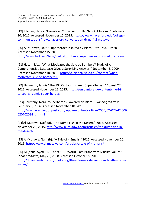[19] Elliman, Henry. "Haverford Conversation: Dr. Naif-Al Mutawa." February 20, 2012. Accessed November 15, 2015. https://www.haverford.edu/collegecommunications/news/haverford-conversation-dr-naif-al-mutawa

[20] Al-Mutawa, Naif. "Superheroes inspired by Islam." *Ted Talk*, July 2010. Accessed November 15, 2010. http://www.ted.com/talks/naif\_al\_mutawa\_superheroes\_inspired\_by\_islam

[21] Hasan, Riaz. "What Motivates the Suicide Bombers? Study of A Comprehensive Database Gives a Surprising Answer." September 3, 2009. Accessed November 10, 2015. http://yaleglobal.yale.edu/content/whatmotivates-suicide-bombers-0

[22] Hagmann, Jannis."The 99'' Cartoons Islamic Super-Heroes." August 27, 2012. Accessed November 12, 2015. https://en.qantara.de/content/the-99 cartoons-islamic-super-heroes

 [23] Boustany, Nora. "Superheroes Powered on Islam." *Washington Post*, February 8, 2006. Accessed November 10, 2015. http://www.washingtonpost.com/wpdyn/content/article/2006/02/07/AR2006 020702034\_pf.html

[24]Al-Mutawa, Naif (a). "The Dumb Fish in the Desert." 2015. Accessed November 20, 2015. http://www.al-mutawa.com/articles/the-dumb-fish-inthe-desert/

[25] Al-Mutawa, Naif. (b). "A Tale of 4 Emails." 2015. Accessed November 20, 2015. http://www.al-mutawa.com/articles/a-tale-of-4-emails/

[26] Mujtaba, Syed Ali. "The 99'—A World Class Brand with Muslim Values." *Dinar Standard,* May 28, 2008. Accessed October 15, 2015. http://dinarstandard.com/marketing/the-99-a-world-class-brand-withmuslimvalues/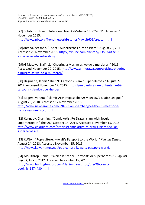[27] Solotaroff, Isaac. "Interview: Naif Al-Mutawa." 2002-2011. Accessed 10 November 2015.

http://www.pbs.org/frontlineworld/stories/kuwait605/creator.html

[28]Ahmad, Zeeshan. "The 99: Superheroes turn to Islam." August 20, 2011. Accessed 20 November 2015. http://tribune.com.pk/story/235834/the-99 superheroes-turn-to-islam/

[29]Al-Mutawa, Naif (c). "Cheering a Muslim as we do a murderer." 2015. Acccessed November 20, 2015. http://www.al-mutawa.com/articles/cheeringa-muslim-as-we-do-a-murderer/

[30] Hagmann, Jannis."The 99'' Cartoons Islamic Super-Heroes." August 27, 2012. Accessed November 12, 2015. https://en.qantara.de/content/the-99 cartoons-islamic-super-heroes

[31] Rogers, Vaneta. "Islamic Archetypes: The 99 Meet DC's Justice League." August 23, 2010. Accessed 17 November 2015. http://www.newsarama.com/5945-islamic-archetypes-the-99-meet-dc-sjustice-league-in-oct.html

[32] Kennedy, Channing. "Comic Artist Re-Draws Islam with Secular Superheroes in "The 99." October 14, 2011. Accessed November 15, 2015. http://www.colorlines.com/articles/comic-artist-re-draws-islam-secularsuperheroes-99

[33] KUNA . "Pop-culture: Kuwait's Passport to the World." *Kuwaiti Times*, August 24, 2013. Accessed November 15, 2015. http://news.kuwaittimes.net/pop-culture-kuwaits-passport-world/

[34] Moulthrop, Daniel. "Which Is Scarier: Terrorists or Superheroes?" *HuffPost Impact,* July 3, 2012. Accessed November 15, 2015 http://www.huffingtonpost.com/daniel-moulthrop/the-99-comicbook\_b\_1474430.html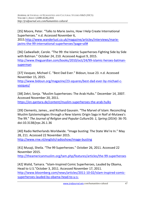[35] Moore, Peter. "Talks to Marie Javins, How I Help Create International Superheroes." n.d. Accessed November 6,

2015.http://www.wanderlust.co.uk/magazine/articles/interviews/mariejavins-the-99-international-superheroes?page=all#

[36] Cadwalladr, Carole. "The 99: the Islamic Superheroes Fighting Side by Side with Batman." October 24, 210. Accessed August 9, 2015. http://www.theguardian.com/books/2010/oct/24/99-islamic-heroes-batmansuperman

[37] Vasquez, Michael C. "Best Dad Ever." Bidoun, Issue 23. n.d. Accessed November 15, 2015.

http://www.bidoun.org/magazine/23-squares/best-dad-ever-by-michael-cvazquez/

[38] Zekri, Sonja. "Muslim Superheroes: The Arab Hulks." December 14, 2007. Accessed November 20, 2011.

https://en.qantara.de/content/muslim-superheroes-the-arab-hulks

[39] Clements, James., and Richard Gauvain. "The Marvel of Islam: Reconciling Muslim Epistemologies through a New Islamic Origin Saga in Naif al-Mutawa's The 99." *The Journal of Religion and Popular Culture*26: *1, Spring (2014):* 36-70. doi:10.3138/jrpc.26.1.36

[40] Radio Netherlands Worldwide. "Image busting: The State We're In." May 28, 211. Accessed 22 November 2015. http://www.rnw.nl/english/radioshow/image-busting

[41] Musaji, Sheila. "The 99 Superheroes." October 26, 2011. Accessed 22 November 2015.

http://theamericanmuslim.org/tam.php/features/articles/the-99-superheroes

[42] Walid, Tamara. "Islam-Inspired Comic Superheroes, Lauded by Obama, Head to U.S."October 3, 2011. Accessed November 17, 2011. http://www.bloomberg.com/news/articles/2011-10-02/islam-inspired-comicsuperheroes-lauded-by-obama-head-to-u-s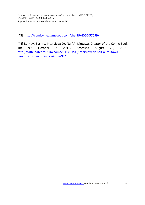[43] http://comicvine.gamespot.com/the-99/4060-57699/

[44] Burney, Bushra. Interview: Dr. Naif Al-Mutawa, Creator of the Comic Book The 99. October 9, 2011. Accessed August 23, 2015. http://caffeinatedmuslim.com/2011/10/09/interview-dr-naif-al-mutawacreator-of-the-comic-book-the-99/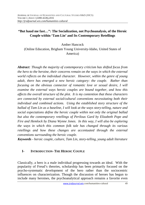## **"But haud me fast…": The Socialization, not Psychoanalysis, of the Heroic Couple within 'Tam Lin' and Its Contemporary Retellings**

Amber Hancock

(Online Education, Brigham Young University-Idaho, United States of America)

*Abstract: Though the majority of contemporary criticism has shifted focus from the hero to the heroine, their concerns remain on the ways in which the external world reflects on the individual character. However, within the genre of young adult, there has emerged a new heroic category: the couple. Rather than focusing on the obvious connector of romantic love or sexual desire, I will examine the external ways heroic couples are bound together, and how this affects the overall structure of the plot. It is my contention that these characters are connected by external social/cultural conventions necessitating both their individual and combined actions. Using the established story structure of the ballad of Tam Lin as a baseline, I will look at the ways story-telling, nature and social expectations define the heroic couple within not only the original ballad but also the contemporary retellings of Perilous Gard by Elizabeth Pope and Fire and Hemlock by Diana Wynne Jones. In this way, I will also be exploring the ways in which this common folk tale has changed through its various retellings and how these changes are accentuated through the external conventions surrounding the heroic couple.* 

*Keywords* - *heroic couple, culture, Tam Lin, story-telling, young adult literature*

# **I- INTRODUCTION- THE HEROIC COUPLE**

Classically, a hero is a male individual progressing towards an ideal. With the popularity of Freud's theories, scholarship has been primarily focused on the psycho-systematic development of the hero rather than the sociocentric influences on characterization. Though the discussion of heroes has begun to include many heroines, the psychoanalytical approach remains a favorite even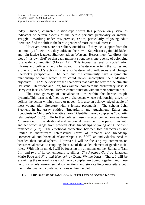today. Indeed, character relationships within this purview only serve as indicators of certain aspects of the heroic person's personality or internal struggle. Working under this premise, critics, particularly of young adult literature, find the shift in the heroic gender of more cultural interest.

However, heroes are not solitary outsiders. If they lack support from the community of their birth, they cultivate their own. Superheroes gain 'sidekicks' and join justice leagues; Sherlock adopts Watson. Heroes must "… direct 'the plot of [his own life]' so that each moment strengthens one's sense of belonging to a wider community" (Moretti 19). This increasing level of socialization informs and defines a hero's behavior. It is Watson who tells the stories and explains Sherlock's actions; it is also Watson who influences and changes Sherlock's perspective. The hero and the community have a symbiotic relationship without which they could never accomplish their idealized objectives. The 'sidekicks' are the characters that pave the way for the climatic last stand. Hermione and Ron, for example, complete the preliminary tasks so Harry can face Voldemort. Heroes cannot function without their communities.

 The first gateway of socialization lies within the heroic couple dynamic.This term is defined as two characters whose relationship drives or defines the action within a story or novel. It is also an acknowledged staple of most young adult literature with a female protagonist. The scholar John Stephens in his essay entitled "Impartiality and Attachment: Ethics and Ecopoiesis in Children's Narrative Texts" identifies heroic couples as "cathartic relationships" (207). He further defines these character connections as those "…grounded in the ideational and emotional investment one person has with another which range from pre-teen close friendships to young adult incipient romances" (207). The emotional connection between two characters is not limited to mainstream heterosexual norms of romance and friendship. Homosexual and bisexual relationships also fulfill an individual's need to broaden their social sphere. However, I will be focusing my comments on heterosexual romantic couplings because of the added element of gender social roles. With this in mind, I will be focusing my attentions on the 'Ballad of Tam Lin' and two of its contemporary retellings: *The Perilous Gard* by Elizabeth Marie Pope and *Fire and Hemlock* by Diana Wynne Jones. There, I will be examining the external ways such heroic couples are bound together, and these factors (namely nature, social conventions and story-telling) necessitate both their individual and combined actions within the plot.

### **II- THE BALLAD OF TAM LIN – ARETELLING OF SOCIAL ROLES**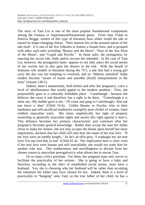The story of Tam Lin is one of the most popular foundational components among the Fantasy or Supernatural/Paranormal genre. From Jane Yolan to Patricia Briggs, writers of this type of literature have either retold the tale or reused its shape-changing climax. Their interest lies in the unusual nature of the tale itself. It is one of the few folktales to feature a female hero, and is grouped with other such tales including "Beauty and the Beast", "East of the Sun West of the Moon", and "Cupid and Psyche." In those tales, the protagonist, by enacting her social role, finds and/or rescues her intended. In the case of Tam Lin, however, the protagonist-Janet- appears to not only reject the social norms of her society but to also gain her desires in the end. With the dearth of feminine role models in literature during the 70's, a tale that had a young girl carry the day was too tempting to overlook, and its "didactic potential" helps readers become "aware of issues and possible [fresh] interpretations in the texts" (Joosen 130-1).

Indeed, Janet's mannerisms, both before and after her pregnancy, carry a level of rebelliousness that would appeal to the modern aesthetic. First, she purposefully goes to a culturally forbidden place – Carterhaugh - because she believes she owns it and therefore, has a right to be there. "Carterhaugh it is mine ain; /My daddie gave it me; / I'll come and gang to Carterhaugh,/ And ask nae leave o' thee" (Child 33-6). Unlike Beauty or Psyche, who in their meekness and self-sacrificial tendencies exemplify pure clichés of women, Janet exhibits masculine traits. She states emphatically her right of property ownership (a generally masculine right) and asserts this right *against a man's*. This defiance becomes her primary characteristic and continues after her pregnancy becomes general knowledge. Rather than accept the man her father chose to make her honest, she not only accepts the blame upon herself but more importantly, declares that her child will only bear the name of her true love. "If my love were an earthly knight, / As he's an elfin grey, /I wadnagie my ain true love/ For nae lord that ye hae" (Child 81-4). The implication here is clear: even if her true love were human and still unavailable, she would not trade him for another who was. This stubbornness and unwillingness to deviate from her chosen course (a masculine prerogative) is what allows her to rescue Tam.

Or so many critics postulate. For them, her pregnant state only serves to facilitate the practicality of her actions. She is going to have a baby and therefore, according to the edict of established social norms, must have a husband. Yes, she is choosing who her husband will be rather than accepting the substitute her father may have chosen for her. Indeed, there is a level of practicality to "hanging" onto Tam; as the true father of her child, he has a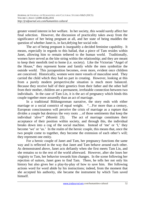greater vested interest in her welfare. In her society, this would surely affect her final selection. However, the discussion of practicality takes away from the significance of her being pregnant at all, and her state of being muddles the question of whether Janet is, in fact,defying her social role.

The act of being pregnant is inarguably a decided feminine capability. It means, especially in regards to this ballad, that a piece of Tam resides within Janet, allowing him to remain tethered to the human world. Traditionally, women have served as the kite string within the relationship; and they are meant to keep their menfolk tied to home (i.e. society). Like the Victorian "Angel of the House," they represent home and family while the men symbolize the outside world. This juxtaposition becomes, even more, evident once children are conceived. Historically, women were mere vessels of masculine seed. They carried the child which they had no part in creating. However, looking at this from a purely modern perspective,the situation is much more balanced. Because they receive half of their genetics from their father and the other half from their mother, children are a permanent, irrefutable connection between two individuals. In the case of Tam Lin, it is the act of pregnancy which binds this couple together more assuredly than an act of marriage.

In a traditional Bildungsroman narrative, the story ends with either marriage or a social constrict of equal weight. "... For more than a century, European consciousness will perceive the crisis of marriage as a rupture that divides a couple but destroys the very roots …of those sentiments that keep the individual 'alive'" (Moretti 23). The act of marriage constitutes their acceptance of their position within society, and through this, the individual breaks down into a cog of the social machine. Instead of 'me' or 'I,' they become 'we' or 'us.' In the realm of the heroic couple, this means that, once the two people come to together, they become the extension of each other's will; they represent one entity.

For a heroic couple of Janet and Tam, her pregnancy functions the same way and is reflected in the way that Janet and Tam behave around each other. As demonstrated above, Janet acts defiantly when she first meets Tam Lin, and she remains so to the rest of the world afterward. However, after she loses her virginity to Tam, her behavior towards him changes. In the scene following her rejection of suitors, Janet goes to find Tam. There, he tells her not only his history but also gives her a play-by-play of how to save him. Her following actions word for word abide by his instructions; indeed, from the moment that she accepted his authority, she became the instrument by which Tam saved himself.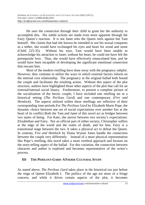He uses the connection through their child to grant her the authority to accomplish this. His subtle actions are made even more apparent through the Fairy Queen's reaction. It is not Janet who the Queen reels against but Tam himself. She claims that had she known he intended to use his sexual conquests as a tether, she would have exchanged his eyes and heart for wood and stone (Child 225-35). Without his eyes, Tam would have been unable to acknowledge his attraction to Janet; without his heart, he could not have felt the prerequisite love. Thus, she would have effectively emasculated him, and he would have been incapable of developing the significant emotional connection that rescues him.

Most of the modern retelling have done away with the pregnancy subplot. However, they continue to utilize the ways in which external factors inform on the internal core relationship. The pregnancy in the original ballad both bound the couple and facilitates the resulting action. Without this aspect of the plot structure, authors have highlighted those other aspects of the plot that call for an external/internal social binary. Furthermore, to present a complete picture of the socialization of the heroic couple, I have included one retelling set in a historical setting (*The Perilous Gard*) and one contemporary (*Fire and Hemlock*). The aspects utilized within these retellings are reflective of their corresponding time periods.For *The Perilous Gard* by Elizabeth Marie Pope, the dynamic choice between one set of social expectations over another lies at the heart of its conflict.Both the Tam and Janet of this novel act as bridges between two states of being. For Kate, she moves between two society's expectations: Elizabethan and Fairy. Not an official part of either society, Christopher suffers at the edge of the world and the realm of death, and for him, Fairy is a transitional stage between the two. It takes a physical act to defeat the Queen. In contrast, *Fire and Hemlock* by Diana Wynne Jones handle the connection between the couple very differently. Instead of a more physical representation like Pope's retelling, this novel takes a more cerebral approach and focuses on the story-telling aspect of the ballad. For this variation, the connection between character and author is explored and becomes representative of the writer's process.

### **III- THE PERILOUS GARD- AFAERIE CULTURAL STUDY**

As stated above, *The Perilous Gard* takes place in the historical era just before the reign of Queen Elizabeth I. The politics of the age are more of a fringe concern, and while it drives certain aspects of the plot, it becomes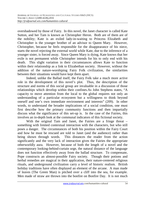overshadowed by those of Fairy. In this novel, the Janet character is called Kate Sutton, and her Tam is known as Christopher Heron. Both are of them are of the nobility; Kate is an exiled lady-in-waiting to Princess Elizabeth and Christopher is the younger brother of an advisor to Queen Mary. However, Christopher, because he feels responsible for the disappearance of his niece, starts the novel rejecting the external world while Kate, due to the inference of a younger sister, is forced away. Since Queen Mary is dying, Kate knows that her exile is not permanent while Christopher intends for his to only end with his death. This slight variation in their circumstances allows Kate to function within their relationship as a link to Elizabethan society. However, without the addition of the nature-worshiping Fairy Folk civilization, the similarities between their situations would have kept them apart.

Indeed, unlike the Ballad itself, the Fairy Folk take a much more active role in the development of this novel's plot. Thus, the description of the structure and norms of this social group are invaluable in a discussion of those relationships which develop within their confines.As John Stephens states, "A capacity to move attention from the local to the global requires not only an understanding of a particular ecosystem but a willingness to think beyond oneself and one's own immediate environment and interests" (209). In other words, to understand the broader implications of a social condition, one must first describe how the primary community functions and then impartially discuss what the significance of this set-up is. In the case of the Fairies, this involves an in-depth look at the communal indicators of this fictional society.

With the original Tam and Janet, the Fairies are a fringe threat – something with limited contextual interaction with the characters, but who still poses a danger. The circumstances of both his position within the Fairy Court and how he must be rescued are told to Janet (and the audience) rather than being shown through words. This distances the reader from the action significantly and the very lack of interaction gives the Fairies the appropriate otherworldly aura. However, because of both the length of a novel and the contemporary looking-behind-curtain urge, the natural distance of the language does not function effectively away from the ballad structure. To compensate, Pope constructs an almost-possible Fairy society. Though their potions and herbal remedies are magical in their application, their nature-centered religious rituals, and underground civilization carry a level of historic realism. British holiday traditions have often displayed an element of the arcane. A man made of leaves (The Green Man) is pitched over a cliff into the sea, for example. Men made of straw are thrown into the bonfire on Bonfire Day. It is not much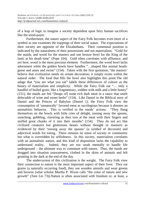of a leap of logic to imagine a society dependent upon fiery human sacrifices like the teind-payer.

Furthermore, the nature aspect of the Fairy Folk becomes even more of a symbol as one examines the trappings of their social status. The expectations of their society are opposite of the Elizabethans. Their communal position is indicated by the naturalness of their possessions and not materialism. "Gold for the maids, and wood for the masters and one bronze bowl for the King of the land, at his death time" (Pope 164). Gold often correlates with affluence, and yet here, wood is the most precious element. Furthermore, the wood bowl lacks adornment while the golden bowls have handles "…shaped like animal heads: geese and asses and swine" (154). Taken with the first quotation, 'the masters' believe that civilization needs no ornate decoration; it simply exists within the natural order. The food that fills the bowl also highlights this point.The old adage that "you are what you eat" labels these differences of culture as the binary of materialism and simplicity. While the Fairy Folk eat "… only a handful of boiled grain, like a fragmentary, sodden with milk and a little honey" (151), the maids are fed "[heaps of] some rich dark meat in a sauce that smelt delectable of wine and sweet herbs" (154). Like Daniel in the Biblical story of Daniel and the Princes of Babylon (Daniel 1), the Fairy Folk view the consumption of 'unnaturally' favored meat as sacrilegious because it denotes an animalistic behavior. This is verified in the maids' actions. "They flung themselves on the bowls with little cries of delight, tossing away the spoons, snatching, gobbling, slavering as they tore at the meat with their fingers and stuffed great chunks of it into their mouths" (154). They do not act like civilized creatures but gluttonous beasts without thought or manners as evidenced by their 'tossing away the spoons' (a symbol of decorum) and adjectival words for eating. There remains no sense of society or community but what is overridden by selfishness. In this society, materialism correlates with an animalistic nature, and this kind of disposition lacks the capability to understand reality. Indeed, they are too weak mentally to handle life underground – the ultimate way to commune with nature. Thus, the maids are drugged into situation unawareness, clothed in the skins of animals and left grunting in the dark at the end of the day.

The undercurrent of this civilization is the weight. The Fairy Folk view their connection to nature is the most important aspect of their lives. They eat grains (a naturally occurring food), they use wooden utensils and wear greens and browns (what scholar Martha P. Hixon calls "the color of nature and new growth" (*Tam Lin* 73)).Nature is often associated with freedom or, at least, a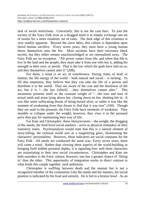lack of social restrictions. Conversely, this is not the case here. To join the society of the Fairy Folk even as a drugged maid is to simply exchange one set of norms for a more ritualistic set of rules. The dark edge of this existence is very readily apparent. Beyond the slave labor, this culture is dependent upon literal human sacrifice. Every seven years, they must have a young human throw themselves onto the fire. Most societies have their necessary black secrets, but they either remain unacknowledged or are rationalized away. The Fairy Folk are no exception. "All power comes from life, and when that life is low in the land and the people, they must take it from one who has it, adding his strength to their own, or perish. That is the law which the gods have laid on us, and they themselves cannot alter it" (208).

For them, a teind is an act of transference. During times of draft or famine, the life energy of the world – both natural and social – is lacking. To fill that emptiness, they believe that they can take the life of a person and distribute it to the world. They are aware of the cost and the blackness of the act, but it is "…the law [which] …they themselves cannot alter." This awareness presents itself as the constant weight of "…the tons and tons of actual earth and stone lying above her, closing down on her, shutting her in. It was like some suffocating dream of being buried alive, or rather it was like the moment of awakening from that dream to find that it was true" (160). Though they are used to the pressure, the Fairy Folk have moments of weakness. They stumble or collapse under the weight; however, they view it as the personal price they pay for maintaining their way of life.

For Kate and Christopher, these idiosyncrasies – the weight, the drugging of the maids, the food bowl social markers - serve as physical reminders of their transitory states. Psychoanalysts would state that this is a natural element of story-telling; the external world acts as a magnifying glass, illuminating the characters' personalities. However, these indicators are social constants for the Fairy Folk. All meals are conducted the same way. Every seven years, there will come a teind. Rather than viewing these aspects of the world-building as bringing forth hidden personal depths, it is signaling how well these characters are assimilating to their new social circumstances. Christopher and Kate are both outsiders to the Fairy culture; however, one has a greater chance of 'fitting in' than the other. This opportunity of integration works in direct contrast to what binds this couple together: rural ambitions.

Christopher is waffling between death and the manner but is not a recognized member of the community.Like the maids and the masters, his social position is indicated by his food and utensils. He is fed in a bronze bowl. As an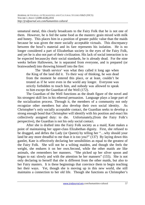unnatural metal, this clearly broadcasts to the Fairy Folk that he is not one of them. However, he is fed the same food as the masters: grain mixed with milk and honey. This places him in a position of greater public value than the maids because he was given the more socially acceptable victuals. This discrepancy between the bowl's material and its fare represents his isolation. He is no longer considered a part of Elizabethan society in the eyes of the Fairy Folk, and yet he is also not part of their civilization. His lack of social interaction is to be expected because,by their social standards, he is already dead. For the nine weeks before Halloween, he is separated from everyone, and is prepared (or brainwashed) into throwing himself into the fire:

The 'death service' was what they called it long ago when the King of the land did it. To their way of thinking, he *was* dead from the moment he entered this place, or at least, couldn't be treated as if he were even in the world any longer. Everyone was strictly forbidden to touch him, and nobody was allowed to speak to him except the Guardian of the Well (172).

The Guardian of the Well functions as the death figure of the novel and his strongest skill lies in his ethereal persuasion. Language plays a large part of the socialization process. Through it, the members of a community not only recognize other members but also develop their own social identity. As Christopher's only socially acceptable contact, the Guardian seeks to develop a strong enough bond that Christopher will identify with his position and enact his collectively assigned duty: to die. Unfortunately,(from the Fairy Folk's perspective), the Guardian is not his only social contact.

After she is drafted into the Fairy Folk society as a maid, Kate makes a point of maintaining her upper-class Elizabethan dignity. First, she refused to be drugged, and defies the Lady (or Queen) by telling her "…why should your land be any more dreadful to me than it is too you?" (137) By laying down this gantlet, Kate is effectively declaring her sensibilities as equal to the greatest of the Fairy Folk. She will not be a wilting maiden, and though she feels the weight, she endures it on her own.Second, while the other maids ate like animals, she remembers her manners. "She picked up her silver spoon and began to eat: slowly and with the attention he her manners" (155). She is not only declaring to herself that she is different from the other maids, but also to her Fairy masters. It is these beginnings that convince them to begin teaching her their ways. Yet, though she is moving up in this new world, she still maintains a connection to her old life. Though she functions as Christopher's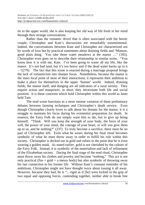tie to the upper world, she is also keeping her old way of life fresh in her mind through their strange conversations.

Rather than the romantic drivel that is often associated with the heroic couple, Christopher and Kate's discussions are remarkably unsentimental. Indeed, the conversations between Kate and Christopher are characterized not by words of love but by practical statements about draining fields and "Manure, good plain dung. You take those water meadows at the manor …" (185). Christopher even goes on to describe their relationship in similar terms. "You know how it is with me, Kate. I've been going to waste all my life, like the manor. It's not bad land, but it's too heavy and if the dead water backs up in it  $-$  "(279). The fact that this scene is enacted during a marriage proposal brings the lack of romanticism into sharper focus. Nonetheless, because the manor is the main focal point of most of their interactions, it represents their ambition to make a place for themselves in the upper 'human' world. Indeed, draining fields, the manor itself, and dunging are all indicators of a rural society. They require action and manpower; in short, they necessitate both life and social position. It is these concerns which hold Christopher within this world as Janet held Tam.

The tend scene functions as a more intense variation of these preliminary debates between farming techniques and Christopher's death service. Even though Christopher clearly loves to talk about his dreams for the manor, it is a struggle to maintain his focus during his existential preparation for death. In essence, the Fairy Folk do not simply want him to die, but to give up being himself. "Think. Will you keep the strength of your body, the force of your will, the power of your mind, the courage of your heart, or will you give them up to us, and be nothing?" (237) To truly become a sacrifice, there must be no part of Christopher left. Even what he wears during his final ritual becomes symbolic of what he must throw away in order to fulfill his role within this society. Christopher is decked out in gold and rubies to the point that he is even wearing a golden mask. As stated earlier, gold is not cherished by the culture of the Fairy Folk. Instead, it is symbolic of the materialism and lack of refinement of the Elizabethan society. During the final stage of the tend ritual, Christopher must throw away his clothes and jewelry and become "nothing." This act is not only practical (fire  $+$  gold  $=$  a messy body) but also symbolic of throwing away his last connection to his former life. Without Kate's constant reminder of his ambitions, Christopher might not have thought twice about tossing it all away. However, because they had, he is "…rigid as if [he] were locked in the grip of two equal and opposing forces, contending together, neither able to break free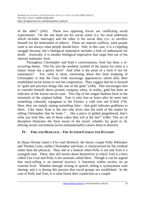of the other" (243). These two opposing forces are conflicting social expectations. On the one hand are his social wants (i.e. his rural ambitions which includes marriage) and the other is his social duty (i.e. to sacrifice himself for the betterment of others). These are natural conflicts; what people want is not always what people should have. Still, in this case, it is a crippling struggle because one's biological imperative includes a lack of enthusiasm for death. Ironically, it is another biological imperative that snaps him out of his internal stalemate: food.

Throughout Christopher and Kate's conversations, food has been a reoccurring theme. This fits into the aesthetic symbol of the manor for what is a manor house but a gentry farm? And what is the point of a farm if not for sustenance? Yet, what is more, interesting about this final tempting of Christopher is that the Fairy Folk encourage appearances which defy their established social norms to win his cooperation. They suggest that he is dressed in "gold and precious things like one of the gods" (246). This encourages him to consider himself above present company when, in reality, gold has been an indicator of the lowest social caste. This slip of the tongue harkens back to the essentials of the original ballad. Tam is only free to leave after he turns into something culturally repugnant to the Fairies- a cold iron rod (Child 170). Here, they are simply stating something false – that gold indicates godliness to them. Like Janet, Kate is the one who dives into the truth of the matter by telling Christopher that he looks "… like a piece of gilded gingerbread, that's what you look like, one of those cakes they sell at the fair!" (246). This act of deception illustrates the final moral of the novel; whether for good or ill, defying social conventions (even unintentionally) causes them to dissolve.

#### **IV- FIRE AND HEMLOCK – THE AUTHOR/CHARACTER DYNAMIC**

In Diana Wynne Jones's *Fire and Hemlock*, the heroic couple Polly Whittaker and Thomas Lynn, unlike Christopher and Kate, is characterized by the cerebral rather than the physical. They met at a funeral when Polly is ten and Tom is a youngish man. There, they tell stories about themselves in which Tom is a hero called Tan Coul and Polly is his assistant called Hero. Though it can be argued that story-telling is an internal practice, it functions within society on an external level. Whether through writing or speech, telling is synonymous with sharing, and it is during this process that social groups are established. In the case of Polly and Tom, it is what forms their connection as a couple.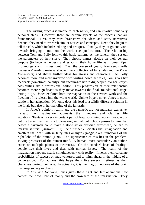The writing process is unique to each writer, and can involve some very personal steps. However, there are certain aspects of the process that are foundational. First, they must brainstorm for ideas and story narratives. Second, they need to research similar stories and concepts. Next, they begin to tell the tale, which includes editing and critiques. Finally, they let go and work towards bringing it out into the world (i.e. publication). The relationship between Tom and Polly follows this basic pattern. At the funeral, they set out the parameters of their story. They choose names, decide on their general purpose (to become heroes), and establish their home life as Thomas Piper (ironmonger) and his assistant. Over the course of years, Tom sends Polly 'necessary' reading material (books like a collection of fairy tales and the *Three Musketeers*) and shares further ideas for stories and characters. As Polly becomes more and more involved with writing down her tales, Tom gives her feedback (sometimes harshly), but encourages her to dig deeper into her story's possibilities like a professional editor. This progression of their relationship becomes more significant as they move towards the final, foundational stage: letting it go. Jones explores both the stagnation of the coveted work and the freedom of its release into the wider world. Unlike Pope's novel, Jones is much subtle in her adaptation. Not only does this lead to a wildly different solution in the finale but also in her handling of the fantastic.

In Jones's opinion, reality and the fantastic are not mutually exclusive; instead, the imagination augments the mundane and clarifies life situations."Fantasy is very important part of how your mind works. People trot out the truism that man is a tool-making animal, but nobody pauses to think that before a caveman could make a stone ax or obsidian arrowhead, he had to imagine it first" (*Answers* 131). She further elucidates that imagination and "matters that dealt with in fairy tales or myths (magic)" are "functions of the right lobe of the brain" (129). The significance of this lies in the problemsolving processes of the human mind. A human, most particularly an author, exists on multiple planes of awareness. On the standard level of 'reality,' people live their lives and deal with normal issues. The realm of the imagination happens nearly simultaneously with reality. It helps them calculate probabilities of success on mad ventures, and to think ahead in the middle of a conversation. For authors, this helps them live several lifetimes as their characters during their one. In actuality, it is the magic functions of the brain that keep society evolving.

In *Fire and Hemlock*, Jones gives these right and left operations new names: the Now Here of reality and the Nowhere of the imagination. They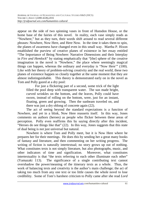appear on the side of two spinning vases in front of Hunsdon House, or the home base of the fairies of this novel. In reality, each vase simply reads as "Nowhere," but as they turn, their words shift around to read several different phrases: Nowhere, Now Here, and Here Now. In the time it takes them to spin, the planes of awareness have changed even in this small way. Martha P. Hixon established the purview of creative planes of existence in her essay entitled "The Importance of Being Nowhere: Narrative Dimensions and their Interplay in *Fire and Hemlock*" by stating emphatically that "[the] sphere of the creative imagination in the novel is "Nowhere," the place where seemingly magical things can happen, whereas the ordinary and everyday is "Now Here'" (100). Like with her theory of problem-solving creativity and the real world, these two planes of existence happen so closely together at the same moment that they are almost indistinguishable. This theory is demonstrated early on in the novel as Tom and Polly gazed at a dry pool:

For just a flickering part of a second, some trick of the light filled the pool deep with transparent water. The sun made bright, curved wrinkles on the bottom, and the leaves, Polly could have sworn, instead of rolling on the bottom, were, just for an instant, floating, green and growing. Then the sunbeam traveled on, and there was just a dry oblong of concrete again (22).

The act of seeing beyond the standard expectations is a function of Nowhere, and yet in a blink, Now Here reasserts itself. In this way, Jones comments on authors (heroes) as people who flicker between these areas of perception. Polly even reaffirms this by saying directly after this incident, "Heroes do see things like that" (22). In this way, Jones suggests that this state of dual being is not just universal but natural.

Nowhere is where Tom and Polly meet, but it is Now Here where he prepares her for their meetings. He does this by sending her a great many books of fantasy and literature, and then commenting on her writing progress. The writing of fiction is naturally intertextual; no story grows up out of nothing. What constitutes texts is not simply literature, but also photographs, music, and other indicators of time and signification. Moreover, what constitutes intertextuality is that "the texts referring to each other illuminate each other" (Yamazaki 113). The significance of a single contributing text cannot overshadow the power/meaning of the itinerary texts as a whole. Thus, the work of balancing texts and creativity is the author's main challenge; the act of taking too much from any one text or too little causes the whole novel to lose credibility. Some of Tom's harshest criticism to Polly came after she read *Lord*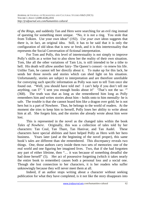*of the Rings*, and suddenly Tan and Hero were searching for an evil ring instead of questing for something more unique. "No, it is not a ring. You stole that from Tolkien. Use your own ideas" (192). *Use your own ideas* suggests that there is, in fact, an original idea. Still, it has to be said that it is only the configuration of old ideas that is new or fresh, and it is this intertextuality that represents the Social Conversation of fictional interpretation.

For Tom and Polly, this level of intertextuality is not simply to improve Polly's skills as a writer but to also show her the reality of their own situation. Tom, like all the other variations of Tam Lin, is still intended to be a tithe to hell. His death will allow another fairy- The Queen's consort - to renew his life. Unlike Tam, he cannot tell her directly about it. To make up for this lack, he sends her those novels and stories which can shed light on his situation. Unfortunately, stories are subject to interpretation and are therefore unreliable for conveying such specific information as Polly was sure to tell Tom once she found out. "Well, you should have told me! I can't help if you don't tell me anything, can I?' 'I sent you enough books about it!' 'That's not the sa- '" (368). The truth was that as long as she remembered him long as Polly remembers him and writes stories about him – holds onto to him mentally- he is safe. The trouble is that she cannot hoard him like a dragon over gold; he is not hers but is a part of Nowhere. Thus, he belongs to the world of readers. At the moment she tries to keep him to herself, Polly loses her ability to write about him at all. She forgets him, and the stories she already wrote about him were lost.

This is represented in the novel as the changed tales within the book *Tales of Nowhere*. Originally, this was a collection of tales told by her characters: Tan Coul, Tan Thare, Tan Hanivar, and Tan Audel. These characters have special abilities and have helped Polly as Hero with her hero business. Years later (and at the beginning of the novel proper), this same book's tales are different than she remembered. This discrepancy reveals two things. One, those authors carry inside them two sets of memories: one of the real world and one figuring her imagined lives. Two, that if she had forgotten any part of either lifetime, then "… it was because of something dreadful she had done herself" (5). Her act of possessive forgetting (which it takes nearly the entire book to remember) causes both a personal loss and a social one. Though she lost connection to her characters, it is her readers who suffer unknowingly because they will never meet them at all.

Indeed, if an author stops writing about a character without seeking publication for what they have completed, is it not like the story disappears into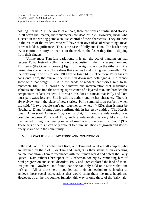nothing – or hell? In the world of authors, there are boxes of unfinished stories. In all ways that matter, their characters are dead or lost. However, those who succeed in the writing game also lose control of their characters. They are now in the realm of the readers, who will have their own ideas of what things mean or what holds significance. This is the case of Polly and Tom. The harder they try to control the story or keep it for themselves, the faster they find it slipping from their fingers.

Unlike most Tam Lin variations, it is not the act of hanging on that rescues Tom. Instead, Polly must do the opposite. In the final scene, Tom and Mr. Leroy (the Queen's consort) fight for the right to not be the tithe, and it is during this scene that Polly realizes that she has to let Tom go emotionally. "So the only way to win is to lose, I'll have to lose" (413). The more Polly tries to hang onto Tom, the quicker she pulls him down into nothingness. He cannot grow with that weight. It is in the hands of readers that stories gain fresh, renewable life. It is through their interest and interpretation that academics, scholars and fans find the shifting significance of a layered text, and broaden the perspectives of later readers. However, this does not mean that Polly and Tom must part ways forever. She is still his author, and he her character. There is alwaysNowhere – the place of new stories. Polly summed it up perfectly when she said, "If two people can't get together anywhere- "(420), then it must be Nowhere. Diana Wynne Jones confirms this in her essay entitled "The Heroic Ideal: A Personal Odyssey," by saying that, "…though a relationship was possible between Polly and Tom, such a relationship is only likely to be maintained through continuing repeated small acts of heroism from both" (98). These acts of heroism can only amount to future situations of growth and stories freely shared with the community.

#### **V- CONCLUSION – SUMMATIONS AND IMPLICATIONS**

Polly and Tom, Christopher and Kate, and Tam and Janet are all couples who are defined by the plot. For Tam and Janet, it is their status as an expecting couple that allows Tam to reconnect with the human world and defeat the Fairy Queen. Kate tethers Christopher to Elizabethan society by reminding him of rural progression and social disorder. Polly and Tom explored the land of social imagination –Nowhere- and found that one can only hold onto stories that one let's go. All of these heroic couples use their connection to each other to achieve those social expectations that would bring them the most happiness. However, do all heroic couples function this way or only those of the 'fairy tale'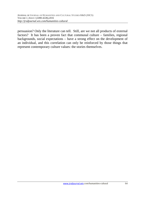persuasion? Only the literature can tell. Still, are we not all products of external factors? It has been a proven fact that communal culture – families, regional backgrounds, social expectations – have a strong effect on the development of an individual, and this correlation can only be reinforced by those things that represent contemporary culture values: the stories themselves.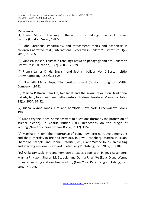#### **References**

[1] Franco Moretti, The way of the world: the bildungsroman in European culture (London: Verso, 1987).

[2] John Stephens, Impartiality, and attachment: ethics and ecopoiesis in children's narrative texts, International Research in Children's Literature. 3(2), 2010, 205-16.

[3] Vanessa Joosen, Fairy-tale retellings between pedagogy and art, Children's Literature in Education, 36(2), 2005, 129-39.

[4] Francis James Childs, English, and Scottish ballads. Vol. 1(Boston: Little, Brown Company; 1857),114-25.

[5] Elizabeth Marie Pope, The perilous guard (Boston: Houghton Mifflin Company, 1974).

[6] Martha P Hixon, Tam Lin, fair Janet and the sexual revolution: traditional ballads, fairy tales, and twentieth- century children literature, Marvels & Tales, 18(1), 2004, 67-92.

[7] Diana Wynne Jones, Fire and hemlock (New York: Greenwillow Books, 1985).

[8] Diana Wynne Jones, Some answers to questions (formerly the profession of science fiction), in Charlie Butler (Ed.), Reflections on the Magic of Writing,(New York: Greenwillow Books, 2012), 115-33.

[9] Martha P. Hixon, The importance of being nowhere: narrative dimensions and their interplay in fire and hemlock, in Teya Rosenberg, Martha P. Hixon, Sharon M. Scapple, and Donna R. White (Eds), Diana Wynne Jones: an exciting and exacting wisdom, (New York: Peter Lang Publishing, Inc., 2002). 96-107.

[10] AkikoYamazaki, Fire and hemlock: a text as a spellcoat, in Teya Rosenberg, Martha P. Hixon, Sharon M. Scapple, and Donna R. White (Eds), Diana Wynne Jones: an exciting and exacting wisdom, (New York: Peter Lang Publishing, Inc., 2002), 108-16.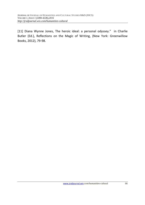[11] Diana Wynne Jones, The heroic ideal: a personal odyssey." in Charlie Butler (Ed.), Reflections on the Magic of Writing, (New York: Greenwillow Books, 2012), 79-98.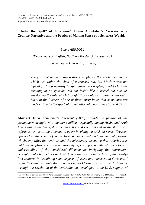## **"Under the Spell" of Non-Sense<sup>5</sup> : Diana Abu-Jaber's** *Crescent* **as a Counter-Narrative and the Poetics of Making Sense of a Senseless World.**

*Sihem ARFAOUI* 

*(Department of English, Northern Border University, KSA and Jendouba University, Tunisia)* 

*The yarns of seamen have a direct simplicity, the whole meaning of which lies within the shell of a cracked nut. But Marlow was not typical [if his propensity to spin yarns be excepted], and to him the meaning of an episode was not inside like a kernel but outside, enveloping the tale which brought it out only as a glow brings out a haze, in the likeness of one of these misty halos that sometimes are made visible by the spectral illumination of moonshine (Conrad 8).* 

**Abstract:***Diana Abu-Jaber's Crescent (2003) provides a picture of the postmodern struggle with identity conflicts, especially among Arabs and Arab Americans in the twenty-first century. It could even amount to the status of a reference text as to the dilemmatic query involvingthe crisis of sense. Crescent approaches the crisis of sense from a conceptual and ideological position whichdemystifies the myth around the missionary discourse that America sets out to accomplish. The novel additionally reflects upon a cultural psychological understanding of the considered dilemma by intriguing the characters' perception of what defines an Arab American identity in the turn of the twentyfirst century. In examining some aspects of sense and nonsense in Crescent, I argue that this text embodies a senseless world which it also tries to balance through the revelation of the contradictions enveloped in the U. S. support of* 

 $\overline{\phantom{0}}$ 

<sup>5</sup> My subtitle is in part borrowed from Diana Abu-Jaber, *Crescent* (New York: W.W. Norton & Company, Inc., 2003): (295). The image also lends itself to the loss even of academic figures in the novel, such as Han and Aziz, to nonsense to the extent of giving in to superstition.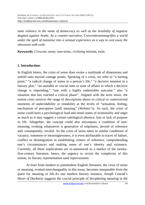*state violence in the name of democracy as well as the invalidity of negative dogmas against Arabs. As a counter-narrative, Crescenttransmogrifies a world under the spell of nonsense into a sensual experience as a way to cast away the obsession with exile.*

**Keywords:** *Crescent, sense, non-sense, civilizing miss*ion, exile.

### **1. Introduction:**

In English letters, the crisis of sense does evoke a multitude of dimensions and unfold onto myriad vantage points. Speaking of a crisis, we refer to "a turning point," "a radical change of status in a person's life," "a decisive moment in a literary plot," "an unstable or crucial time or state of affairs in which a decisive change is impending," "one with a highly undesirable outcome," also "a situation that has reached a critical phase". Aligned with the term sense, the notion crisis restricts the range of descriptions above to critical or controversial moments of undecidability or instability at the levels of "sensation, feeling, mechanism of perception [and] meaning" (*Webster's*). As such, the crisis of sense could have a psychological load and entail states of irrationality and angst as much as it may suggest a certain ontological absence, loss or lack of purpose in life. Altogether, the concept could also encompass a condition of nonmeaning, evoking whatsoever is generative of emptiness, devoid of reference and, consequently, invalid. As the crisis of sense takes in similar conditions of vacancy, nonsense or meaninglessness, it is even attributable to traces of failure, conflict or disintegration in establishing centers of reference, comprehending one's circumstances and making sense of one's identity and existence. Currently, all these implications are re-announced as a marker of the twentyfirst-century literature, hence, the urgency to revisit the complexity of this notion, its literary representation sand repercussions.

At least from modern to postmodern English literature, the crisis of sense or meaning, evoked interchangeably in this essay, becomes inseparable from the quest for meaning in life.As one modern literary instance, Joseph Conrad's *Heart of Darkness* suggests the crucial principle of deciphering meaning in the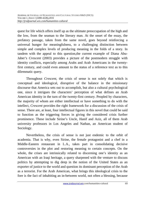quest for life which offers itself up as the ultimate preoccupation of the high and the low, from the seaman to the literary man. At the onset of the essay, the prefatory passage, taken from the same novel, goes beyond reinforcing a universal hunger for meaningfulness, to a challenging distinction between simple and complex levels of producing meaning in the folds of a story. In tandem with the appeal to this question,the current example of Diana Abu-Jaber's *Crescent* (2003) provides a picture of the postmodern struggle with identity conflicts, especially among Arabs and Arab Americans in the twentyfirst century, and could even amount to the status of a reference text as to this dilemmatic query.

Throughout *Crescent*, the crisis of sense is not solely that which is conceptual and ideological, disruptive of the balance in the missionary discourse that America sets out to accomplish, but also a cultural psychological one, since it intrigues the characters' perception of what defines an Arab American identity in the turn of the twenty-first century. Peopled by characters, the majority of whom are either intellectual or have something to do with the intellect, *Crescent* provides the right framework for a discussion of the crisis of sense. There are, at least, four intellectual figures in this novel that could be said to function as the triggering forces in giving the considered crisis further prominence. These include Sirine's Uncle, Hanif and Aziz, all of them Arab university professors in Los Angeles and Nathan, an American student of Sociology.

Nevertheless, the crisis of sense is not just endemic to the orbit of academia. That is why, even Sirine, the female protagonist and a chef in a Middle-Eastern restaurant in L.A., takes part in consolidating decisive controversies in the plot and restoring meaning to certain concepts. On the whole, the crises are intrinsically related to discerning one's identity as an American with an Iraqi heritage, a query sharpened with the venture to discuss politics by attempting to dig deep in the notion of the United States as an exporter of justice to the world and question its dominant perception of the Arab as a terrorist. For the Arab American, what brings this ideological crisis to the fore is the fact of inhabiting an in-between world, not often a blessing, because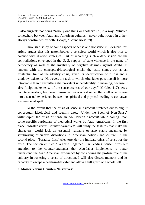it also suggests not being "wholly one thing or another" i.e., in a way, "situated somewhere between Arab and American cultures---never quite rooted in either, always constrained by both" (Majaj, "Boundaries" 79).

Through a study of some aspects of sense and nonsense in *Crescent*, this article argues that this textembodies a senseless world which it also tries to balance with diverse strategies. Part of recording such a dark vision are the contradictions enveloped in the U. S. support of state violence in the name of democracy as well as the invalidity of negative dogmas against Arabs. In tandem with the conceptual/ideological crisis, the exile stands out as an existential trait of the identity crisis, given its identification with loss and a shadowy existence. However, the task to which Abu-Jaber puts herself is more intractable than transmitting the prevalent undecidability in meaning, because it also "helps make sense of the senselessness of our days" (Orfalea 117). As a counter-narrative, her book transmogrifies a world under the spell of nonsense into a sensual experience by seeking spiritual and physical feeding to cast away a nonsensical spell.

To the extent that the crisis of sense in *Crescent* stretches out to engulf conceptual, ideological and identity axes, "Under the Spell of Non-Sense" willinterpret the crisis of sense in Abu-Jaber's *Crescent* while calling upon some specific particulars of theoretical works by Arab Americans. In the first place, "Master versus Counter-narratives" will study the features that make the characters' world lack an essential valuable or also stable meaning, by scrutinizing discursive distortions in American politics and culture. In the second place, "Paradise Lost" tries torender the intricate crisis of sense for the exile. The section entitled "Paradise Regained: On Feeding Sense" turns our attention to the counter-strategies that Abu-Jaber implements to better understand the Arab American experience by considering the profuse role of the culinary in fostering a sense of direction. I will also dissect memory and its capacity to escape a death-in-life orbit and allow a full grasp of a whole self.

### **2. Master Versus Counter-Narratives:**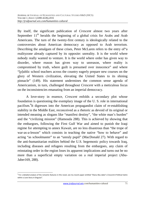By itself, the significant publication of *Crescent* almost two years after September  $11<sup>th</sup>$  heralds the beginning of a global crisis for Arabs and Arab Americans. The turn of the twenty-first century is ideologically related to the controversies about American democracy as opposed to Arab terrorism. Describing the amalgam of these crises, Peter McLaren refers to the entry of"a realityzone already captured by its opposite: unreality. It is the world where nobody really wanted to venture. It is the world where order has given way to disorder, where reason has given way to unreason, where reality is compromised by truth, where guilt is presumed over innocence" and where "[p]ublic school teachers across the country eagerly prepare new courses on the glory of Western civilization, elevating the United States to its shining pinnacle" (149). His statement undermines the common sense agenda of Americanism, in turn, challenged throughout *Crescent* with a meticulous focus on the inconsistencies emanating from an imperial democracy.

A love-story in essence, *Crescent* enfolds a secondary plot whose foundation is questioning the exemplary image of the U. S. role in international pacifism. <sup>6</sup>It digresses into the American propagandist claim of re-establishing stability in the Middle East, reconceived as a rhetoric as devoid of its original or intended meaning as slogans like "manifest destiny", "the white man's burden" and the "civilizing mission" (Hamouda 288). This is achieved by showing that the embargoes, following the First Gulf War and aimed to punish the Iraqi regime for attempting to annex Kuwait, are no less disastrous than "the trope of war-as-a-lesson" which consists in teaching the native "how to behave" and acting "as schoolmaster" to an "unruly pupil" (MacDonald 27). With regard to the anti-humanitarian realities behind the U.S. hegemonic policy towards Iraq, including diseases and refugees resulting from the embargoes, any claim of reinstating order in the region loses its apparent implications and turns out be no more than a superficial empty variation on a real imperial project (Abu-Jaber169, 288).

 $\overline{\phantom{0}}$ 6 For a detailed analysis of the romantic features in this novel, see my recent paper entitled "Diana Abu-Jaber's *Crescent*:A Political Satire within a Love Story in Disguise".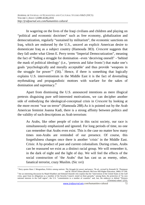In wagering on the lives of the Iraqi civilians and children and playing on "political and economic doctrines" such as free economy, globalization and democratization, regularly "sustained by militarism", the economic sanctions on Iraq, which are endorsed by the U.S., unravel an explicit American desire to domesticate Iraq as a subject country (Hamouda 383). *Crescent* suggests that they fall under what Glenn E. Perry terms "Imperial Democratization", meaning the fact of "hiding a struggle for domination –even 'deceiving oneself' –'behind the mask of political ideology' (i.e., 'pretexts and false fronts') that make one's goals 'psychologically and morally acceptable' and thus provide 'weapons in the struggle for power"  $(56)$ .<sup>7</sup> Hence, if there is something that logically explains U.S. interventionism in the Middle East it is the fact of dovetailing mythmaking and propagandistic mottoes with warfare for the sakes of domination and supremacy.<sup>8</sup>

Apart from dismissing the U.S. announced intentions as mere illogical pretexts disguising pure self-interested motivations, we can decipher another side of embodying the ideological-conceptual crisis in *Crescent* by looking at the more recent "war on terror" (Hamouda 288).As it is pointed out by the Arab American feminist Joanna Kadi, there is a strong affinity between politics and the validity of such descriptions as Arab terrorism:

As Arabs, like other people of color in this racist society, our race is simultaneously emphasized and ignored. For long periods of time, no one can remember that Arabs even exist. This is the case no matter how many times non-Arabs are reminded of our presence. Of course, this forgetfulness changes once there is another 'crisis' in the Middle East. Crisis: A by-product of past and current colonialism. During crises, Arabs can be reassured we exist as a distinct racial group. We will remember it, in the dark of night and the light of day. We will feel the effects of the social construction of 'the Arabs' that has cast us as enemy, other, fanatical terrorist, crazy Muslim. (Sic xvi)

 $\overline{\phantom{0}}$ 7 Perry quotes Hans J. Morgenthau, *Politics among nations: The Struggle for power and peace,* 7th ed., revised by Kenneth W. Thompson and W. David Clinton (Boston: McGraw Hill Higher Education, 2006): 97-100.

<sup>&</sup>lt;sup>8</sup> See an interesting discussion by Majid Khadduri and Edmund Ghareeb who explain that the "intervention of the United States in the Gulf crisis, apart from its obligations as a member of the Security Council, rested on three grounds," among them, the protection of "its own national interests in the Gulf region", the U.S. "commitments to a number of countries" and, last, the endeavor to defend "Western (Christian) values" (252).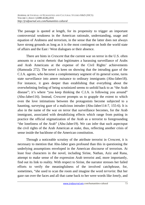The passage is quoted at length, for its propensity to trigger an important controversial weakness in the American rationale, understanding, usage and equation of Arabness and terrorism, in the sense that the latter does not always have strong grounds as long as it is the most contingent on both the world state of affairs and the East / West dialogues or their absence.

There are hints in *Crescent* that the current war on terror in the U.S. often amounts to a racist rhetoric that legitimates a harassing surveillance of Arabs and Arab Americans at the expense of the Civil Rights' achievements (Hamouda 272). The novel is keen on showing that the intruding gaze of the C.I.A. agents, who become a complementary segment of its general scene, turns state surveillance into amere nuisance to ordinary immigrants (Abu-Jaber18). For instance, it goes deeper than establishing that everything about the overwhelming feeling of being scrutinized seems to unfold back to as "the Arab disease"; it's where "you keep thinking the C.I.A. is following you around" (Abu-Jaber116). Instead, *Crescent* prompts us to grapple the extent to which even the love intimations between the protagonists become subjected to a haunting, surveying gaze of a malicious intruder (Abu-Jaber114-7, 155-6). It is also in the name of the war on terror that surveillance becomes, for the Arab immigrant, associated with destabilizing effects which range from putting in practice the official stigmatization of the Arab as a terrorist to foregrounding "the loneliness of the Arab" (Abu-Jaber19). We can infer that such aspectsput the civil rights of the Arab American at stake, thus, reflecting another crisis of sense inside the backbone of the American constitution.

Through a noticeable scrutiny of the attribute terrorist in *Crescent*, it is necessary to mention that Abu-Jaber goes profound than this in questioning the underlying assumptions enveloped in the American discourse of terrorism. At least four characters in the novel, including Sirine, Nathan, Aziz and Rana, attempt to make sense of the expression Arab terrorist and, more importantly, find out its link to reality. With respect to Sirine, the narrator stresses her failed efforts to verify the meaningfulness of the involved catchphrase, for, sometimes, "she used to scan the room and imagine the word *terrorist*. But her gaze ran over the faces and all that came back to her were words like *lonely*, and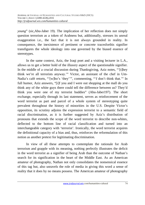*young*" (sic,Abu-Jaber 19). The implication of her reflection does not simply question terrorism as a token of Arabness but, additionally, stresses its unreal exaggeration i.e., the fact that it is not always grounded in reality. In consequence, the inexistence of pertinent or concrete tracesforthis signifier transfigures the whole ideology into one governed by the biased essence of stereotypes.

In the same context, Aziz, the Iraqi poet and a visiting lecturer in L.A., allows us to get a better hold of the illusory aspect of the questionable signifier. In the middle of a crucial discussion during Thanksgiving, Aziz notes, "'[t]hey think we're all terrorists anyway.'" Victor, an assistant of the chef in Um-Nadia's café retorts, "'[w]ho's 'they''", commenting, "'*I* don't think that.'" In full humor, Aziz answers, "[i]f you and I were out shopping at the mall do you think any of the white guys there could tell the difference between us? They'd think you were one of my terrorist buddies" (Abu-Jaber197). The short exchange, especially through its last statement, serves as reinforcement of the word terrorist as part and parcel of a whole system of stereotyping quite prevalent throughout the history of minorities in the U.S. Despite Victor's opposition, its scrutiny adjoins the expression terrorist to a semantic field of racial discrimination, as it is further suggested by Aziz's distribution of pronouns that extends the scope of the word terrorist to describe non-whites, deflected to the bottom line of racial classification and turned into an interchangeable category with 'terrorist'. Ironically, the word terrorist acquires the definitional capacity of a bias and, thus, reinforces the reformulation of this notion as another pretext for legitimating discrimination.

In view of all these attempts to contemplate the rationale for Arab terrorism and grapple with its meaning, nothing perfectly illustrates the deficit in the word terrorist as a signifier of being Arab than the outcome of Nathan's search for its signification in the heart of the Middle East. As an American amateur of photography, Nathan not only consolidates the nonsensical essence of this tag but, also unravels the role of media in giving this word a sense of reality that it does by no means possess. The American amateur of photography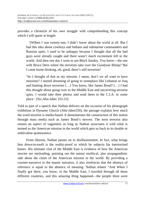provides a chronicle of his own struggle with comprehending this concept which I will quote at length:

 '[W]hen I was twenty-one, I didn't know about the world at all. But I had this idea about cowboys and Indians and submarine commanders and Russian spies. I used to be unhappy because I thought that all the bad guys were already caught and there wasn't much excitement left in the world. And then one day I went to see *Black Sunday*. You know—the one with Bruce Dern where the terrorists take over the Goodyear Blimp? But I came home thinking, oh, good, there's still terrorists!

'So I thought of that as my mission. I mean, don't we all want to have missions? I started dreaming of going to someplace like Lebanon or Iraq and hunting down terrorists […] You know, like James Bond? […] I had this thought about going over to the Middle East and uncovering terrorist spies. I would take their photos and send them to the C.I.A. or some place.' (Sic,Abu-Jaber 252-53)

Told as part of a speech that Nathan delivers on the occasion of his photograph exhibition in Dynamo Church (Abu-Jaber250), the passage explains how much the word terrorist is media-based. It demonstrates the construction of this notion through mass media such as James Bond's movies. The term terrorist also retains an aspect of vagueness as long as Nathan associates it with what is termed as the American mission in the world which gets us back to its double or ambivalent quintessence.

From illusion, Nathan passes on to disillusionment. In fact, what brings him down-to-earth is the reality-proof to which he subjects his interiorized biases. His ultimate visit of the Middle East is evidence of how the American movies are misleading, pointing out the untrue mythical, also propagandistic side about the claim of the American mission in the world. By providing a counter-narrative to the master narrative, it also reinforces that the absence of reference is equal to the absence of meaning. Nathan relates "And When I finally got there, you know, to the Middle East, I traveled through all these different countries, and this amazing thing happened—the people there were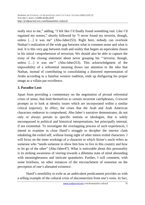really nice to me," adding, "I felt like I'd finally found something real. Like I'd regained my senses," shortly followed by "I never found my terrorist, though, unless […] it was me" (Abu-Jaber253). Right here, nobody can overlook Nathan's realization of the wide gap between what is common sense and what is real. It is this very gap between truth and reality that begets an equivalent chasm in his initial comprehension of terrorism. We should also be able to capture the irony of the closing statement about never grasping his "'terrorist, though, unless […] it was me'" (Abu-Jaber253). This acknowledgment of the impossibility of a referential meaning draws our attention to the idea that Nathan, instead of contributing to consolidating a distorted representation of Arabs according to a familiar western tradition, ends up disfiguring his proper image as a villain par excellence.

# **3. Paradise Lost:**

Apart from providing a commentary on the negotiation of pivotal referential crises of sense, that lend themselves to certain recurrent catchphrases, *Crescent* prompts us to look at identity issues which are incorporated within a similar critical trajectory. In effect, the crises that the Arab and Arab American characters endeavor to comprehend, Abu-Jaber's narrative demonstrates, do not only or always pertain to specific notions or ideologies, that is solely encompassed in political and historical interpretations, but principally internal, if not existential. To investigate the overlapping process of such experiences, I intend to examine in close Hanif's struggle to decipher the interior clash inhabiting the exiled self, without losing sight of other minor exiled characters. I will focus on the inner workings of a character to which Sirine's uncle refers as someone who "needs someone to show him how to live in this country and how to let go of the other" (Abu-Jaber47). What is noticeable about this personality is its striking awareness of veering towards a dilemma state of mind abounding with meaninglessness and intricate quandaries. Further, I will comment, with some briefness, on other instances of the encroachment of nonsense on the perception of one's alienated existence.

 Hanif's sensibility to exile as an ambivalent predicament provides us with a telling example of the cultural crisis of disconnection from one's roots. In fact,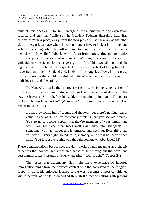only, at first, does exile, for him, emerge as the alternative to free expression, security and survival. While still in President Saddam Hussein's Iraq, Han dreams of "a new place, away from the new president, as far away as the other side of the world, a place where he will no longer have to look at his brother and sister not-sleeping, where he will not have to count his heartbeats, his breaths, the pulse in his eyelids" (Abu-Jaber14). Apart from representing an opportunity to escape persecution, exile also sounds Han's single occasion to escape his guilt-ridden conscience for endangering the life of his two siblings and the togetherness of his family. Unexpectedly, however, the fact of being forced to leave Iraq and live in England and, lately, in Los Angeles allows him to grasp firmly the ironies that could be enfolded in the alternative of exile as a synonym of dislocation and alienation.

 To Han, what marks the emergent crisis of sense is the re-conception of his exile from Iraq as being indivisible from losing his sense of direction. The note he leaves to Sirine before his sudden resignation points out "'Things are broken. The world is broken'" (Abu-Jaber296). Somewhere in the novel, Han reconfigures exile as

a dim, gray room, full of sounds and shadows, but there's nothing real or actual inside of it. You're constantly thinking that you see old dreams. You go up to people, certain that they're members of your family, and when you get close their faces melt away into total strangers'. Or sometimes you just forget this is America and not Iraq. Everything that you were—every sight, sound, taste, memory, all of that has been wiped away. You forget everything you thought you knew. (Abu-Jaber162)

These contemplations best reflect the dark world of non-meaning and ghostly presences that bounds Han's fractured sense of self throughout the novel and best manifests itself through an ever-wandering "soulful ache" (Tepper 24).

The losses that accompany Han's first-hand experience of imposed immigration range from the physical contact with the homeland to the religious scope. In truth, his enforced journey to the west becomes almost conditioned with a certain loss of faith embodied through the fact of cutting with praying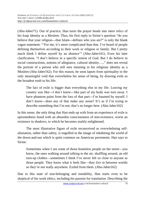(Abu-Jaber71). Out of practice, Han turns the prayer beads into mere relics of his Iraqi identity as a Moslem. Thus, his first reply to Sirine's question "do you believe that your religion---that Islam---defines who you are?" is only the blank vague statement: "'For me, it's more complicated than that. I've heard of people defining themselves according to their work or religion or family. But I pretty much think I define myself by an absence'" (Abu-Jaber161). Even his later clarification, "I don't believe in a specific notion of God. But I do believe in social constructions, notions of allegiance, cultural identity….," does not reveal the portrait of a person who still sees meaning in his religious identity as a Moslem (Abu-Jaber162). For this reason, he soon lapses from spirituality to the only meaningful void that overwhelms his sense of being, by drawing exile as the broadest truth in his life:

The fact of exile is bigger than everything else in my life. Leaving my country was like---I don't know---like part of my body was torn away. I have phantom pains from the loss of that part---I'm haunted by myself. I don't know---does any of that make any sense? It's as if I'm trying to describe something that I'm not, that's no longer here. (Abu-Jaber162)

In this sense, the only thing that Han ends up with from an experience of exile is uprootedness fused with an absurdist consciousness of non-existence, worse an existence in shadows, to which he becomes starkly enlightened.

The most illustrative figure of exile reconceived as overwhelming selfalienation, rather than safety, is engulfed in the image of inhabiting the world of the down-and-out which is quite common on American pavements. Han says to Sirine:

Sometimes when I see some of those homeless people on the street—you know, the ones walking around talking to the air, shuffling around, an old torn-up clothes—sometimes I think I've never felt so close to anyone as those people. They know what it feels like—they live in between worlds so they're not really anywhere. Exiled from them. (Abu-Jaber162)

Due to this state of non-belonging and instability, Han starts even to be skeptical of his work ethics, including his passion for translation. Describing the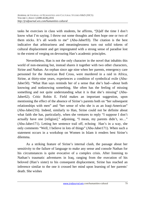tasks he exercises in class with students, he affirms, "[h]alf the time I don't know what I'm saying. I throw out some thoughts and then hope one or two of them sticks. It's all words to me" (Abu-Jaber93). The citation is the best indicative that arbitrariness and meaninglessness turn out solid tokens of cultural displacement and get impregnated with a strong sense of paradise lost to the extent of verging on devouring Han's academic principles.

Nevertheless, Han is not the only character in the novel that inhabits this world of non-meaning but, instead shares it together with two other characters, Sirine and Nathan. An orphan since age nine when her parents, emergency care personnel for the American Red Cross, were murdered in a raid in Africa, Sirine, at thirty-nine years, experiences a condition of symbolical exile (Abu-Jaber50). "What Han says reminds her of a sense that she's had---about both knowing and notknowing something. She often has the feeling of missing something and not quite understanding what it is that she's missing" (Abu-Jaber62). Critic Robin E. Field makes an important suggestion, upon mentioning the effect of the absence of Sirine's parents both on "her subsequent relationships with men" and "her sense of who she is as an Iraqi-American" (Abu-Jaber216). Indeed, similarly to Han, Sirine could not be definite about what faith she has, particularly, when she ventures to reply "I suppose I don't actually have one [religion]," adjoining, "I mean, my parents didn't, so…" (Abu-Jaber171). Letting her sentence trail off, echoing Han's in a way, she only comments "Well, I believe in lots of things" (Abu-Jaber171). When such a statement occurs in a workshop on Women in Islam it renders best Sirine's dilemma.

As a striking feature of Sirine's internal clash, the passage about her sensitivity to the failure of language to make any sense and console Nathan for his circumstances is quite evocative of a complex crisis. After listening to Nathan's traumatic adventures in Iraq, ranging from the execution of his beloved (Han's sister) to his consequent displacement, Sirine has reached an inference similar to the one it crossed her mind upon learning of her parents' death. She wishes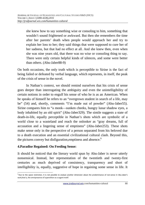she knew how to say something wise or consoling to him, something that wouldn't sound frightened or awkward. But then she remembers the time after her parents' death when people would approach her and try to explain her loss to her; they said things that were supposed to cure her of her sadness, but that had no effect at all. And she knew then, even when she was nine years old, that there was no wise or consoling thing to say. There were only certain helpful kinds of silences, and some were better than others. (Abu-Jaber88-9)

On both occasions, the only truth which is perceptible to Sirine is the fact of being failed or defeated by verbal language, which represents, in itself, the peak of the crisis of sense in the novel.

In Nathan's context, we should remind ourselves that his crisis of sense goes deeper than interrogating the ambiguity and even the unintelligibility of certain notions in order to engulf his sense of who he is as an American. When he speaks of himself he refers to an "overgrown student in search of a life, may be" (54) and, shortly, comments "I'm made out of powder" (Abu-Jaber55). Sirine compares him to "a monk—sunken cheeks, hungry lunar shadow eyes, a body inhabited by an old spirit" (Abu-Jaber329). The simile suggests a state of death-in-life, equally perceptible in Nathan's shots which are symbolic of a world close to a wasteland and reach the onlooker as "gray dreams, full of accusation and a lingering sense of emptiness" (Abu-Jaber253). These shots make sense only in the perspective of a person separated from his beloved due to a death execution and an essential civilizational cultural clash. Beyond this, the pictures convey but disfiguration, emptiness and absence.<sup>9</sup>

### **4.Paradise Regained: On Feeding Sense:**

 $\overline{\phantom{0}}$ 

It should be noticed that the literary world spun by Abu-Jaber is never utterly nonsensical. Instead, her representation of the twentieth and twenty-first centuries as much deprived of consistency, transparency and short of intelligibility is, equally, suggestive of hope in regaining some sense in life. It

<sup>&</sup>lt;sup>9</sup> Due to the space restriction, it is not possible to analyze another dimension about the predominance of non-sense in Abu-Jaber's work,that is, the omnipresence of superstition as a cogent motif.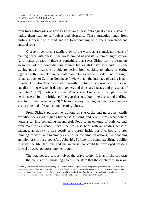even traces itineraries of how to go beyond these ontological crises, instead of letting them lead to self-defeat and absurdity. These strategies range from nurturing oneself with food and art to reconciling with one's homeland and cultural roots.

*Crescent* identifies a tactile view of the world as a significant means of making peace with oneself, the world around us and its system of signification. As a matter of fact, if there is something that saves Sirine from a desperate awareness of the contradictions around her as strikingly as Hanif it is the staying power that she is able to derive from cooking to others or eating together with them. Her concentration on taking care of this skill and forging it brings us back to Carolyn Korsmeyer's view that "the intimacy of eating is part of what knits together those who eat---the mutual trust presumed, the social equality of those who sit down together, and the shared tastes and pleasures of the table" (187). Critics Lorraine Mercer and Linda Strom emphasize the pertinence of food in bridging "the gap that may look like chaos and add[ing] structure to the narrative"  $(39)$ .<sup>10</sup> In such a way, feeding and eating are given a strong potential of establishing meaningfulness.

From Sirine's perspective, as long as she cooks and nurses her tactile expertise she exists, figures her sense of being and, even, turns what sounds nonsensical into something meaningful. Food is an epitome of patience and, even more, of existence, since "she was also born with an abiding sense of patience, an ability to live deeply and purely inside her own body, to stop thinking, to work, and to simply exist inside the simplest actions, like chopping an onion or stirring a pot" (Abu-Jaber19). Suffice it to scrutinize Sirine's ability to grasp the life, the love and the richness that could be enveloped inside a forkful of sweet potatoes into her mouth:

The potatoes are soft as velvet, the gravy satiny. It is as if she can taste the life inside all those ingredients: the stem that the cranberries grew on,

l

<sup>&</sup>lt;sup>10</sup>Likewise, Abu-Jaber affirms that, in her family, "meals were always the place where things really got hashed out. That was where we found out who each other was" (Field 217). That is why, food is depicted as a pivotal dynamic in *Crescent*, departing from the principle "that if you want to work spirituality, or if you have a sense of it of any kind, one of the best ways to go about it is to take care of yourself. Take care of your physical being, so that the spiritual being will also be brightened and nurtured" (Field224-25).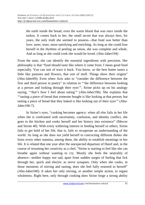the earth inside the bread, even the warm blood that was once inside the turkey. It comes back to her, the small secret that was always hers, for years, the only truth she seemed to possess—that food was better than love: surer, truer, more satisfying and enriching. As long as she could lose herself in the rhythms of peeling an onion, she was complete and whole. And as long as she could cook she would be loved. (Abu-Jaber194)

From the taste, she can identify the essential ingredients with precision. Her philosophy is that "food should taste like where it came from. I mean good food especially. You can sort of trace it back. You know, so the best butter tastes a little like pastures and flowers, that sort of stuff. Things show their origins" (Abu-Jaber69). Even when Aziz asks to "consider the difference between the first and third person in poetry" in relation to "'the difference between looking at a person and looking through their eyes'", Sirine picks up on his analogy saying, "'that's how I feel about eating'" (Abu-Jaber196). She explains that "'tasting a piece of bread that someone bought is like looking at that person; but tasting a piece of bread that they baked is like looking out of their eyes'" (Abu-Jaber196-7).

In Sirine's eyes, "cooking becomes agency: when all else fails in her life when she is confronted with uncertainty, confusion, and identity conflict, she goes to the kitchen and cooks herself and her history into existence" (Mercer and Strom 40). With every withering interest in feeding herself or others, Sirine fails to get hold of her life, that is, fails to recuperate an understanding of the world. As long as she does not yield herself to concocting different dishes she loses every other stamina, among them, the ability to establish meanings in her life. It is related that one year after the unexpected departure of Hanif and, in the course of resuming her creativity as a chef, "Sirine is starting to feel like she can breathe again without wanting to cry. Mostly she feels the neutrality of absence—neither happy nor sad, apart from sudden surges of feeling that lick through her, quick and electric as nerve synapses. Only when she cooks, in those moments of stirring and tasting, does she feel fully restored to herself" (Abu-Jaber340). It takes her only stirring, or another simple action, to regain wholeness. Right here, only through cooking does Sirine forge a strong ability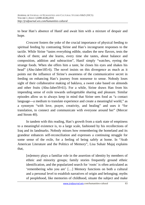to bear Han's absence of Hanif and await him with a mixture of despair and hope.

*Crescent* fosters the yoke of the crucial importance of physical feeding to spiritual feeding by contrasting Sirine and Han's incongruent responses to the tactile. While Sirine "tastes everything edible, studies the new flavors, tests the shock of them; and she learns, every time she tastes, about balance and composition, addition and subtraction", Hanif simply "watches, eyeing the strange foods. When she offers him a taste, he closes his eyes and shakes his head" (Abu-Jaber185-6). The novel insists on this divergence as much as it points out the influence of Sirine's awareness of the communicative secret in feeding on enhancing Han's journey from nonsense to sense. Nobody loses sight of their collaborative making of baklava, a sweet cake based on almonds and other fruits (Abu-Jaber59-61). For a while, Sirine draws Han from his impending sense of exile towards unforgettable sharing and pleasure. Similar episodes allow us to always keep in mind that Sirine sees food as "a contact language---a medium to translate experience and create a meaningful world," as a synonym "with love, prayer, creativity, and healing" and uses it "for translation, to connect and communicate with everyone around her" (Mercer and Strom 40).

In tandem with this reading, Han's growth from a stark state of emptiness to a meaningful existence is, to a large scale, fashioned by his recollections of Iraq and its landmarks. Nobody misses how remembering the homeland and its grandeur enhances self-reconciliation and expresses a continuing struggle for some sense of the exile, for a feeling of being safely at home. In "Arab American Literature and the Politics of Memory", Lisa Suhair Majaj explains that,

[m]emory plays a familiar role in the assertion of identity by members of ethnic and minority groups; family stories frequently ground ethnic identification, and the popularized search for 'roots' is often articulated as 'remembering who you are' […] Memory functions on both a cultural and a personal level to establish narratives of origin and belonging; myths of peoplehood, like memories of childhood, situate the subject and make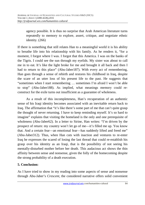agency possible. It is thus no surprise that Arab American literature turns repeatedly to memory to explore, assert, critique, and negotiate ethnic identity. (266)

If there is something that still relates Han to a meaningful world it is his ability to breathe life into his relationship with his family. As he renders it, "for a moment, I forgot where I was. I forgot that this America. I was on the banks of the Tigris. I could see the sun through my eyelids. My sister was about to call me in to eat. It's like the light broke for me and brought it all back and then I had to return to this place" (Abu-Jaber187). With every act of remembering, Han goes through a sense of rebirth and restores his childhood in Iraq, despite the scare of an utter loss of his present life to the past. He suggests that "sometimes when I start remembering … sometimes I'm afraid I won't be able to stop" (Abu-Jaber188). As implied, what meanings memory could reconstruct for the exile turns out insufficient as a guarantee of wholeness.

As a result of this incompleteness, Han's recuperation of an authentic sense of his Iraqi identity becomes associated with an inevitable return back to Iraq. The affirmation that "it's like there's some part of me that can't quite grasp the thought of never returning. I have to keep reminding myself. It's so hard to imagine" explains that visiting the homeland is the only and one prerequisite of wholeness (Abu-Jaber62). In a letter to Sirine, Han writes: "I'm driven by the prospect of return: my country won't let go of me—it's filled me up. You know that. And a certain fear—an emotional fear—has suddenly lifted and freed me" (Abu-Jaber312). Thus, when Han cuts with inaction and ventures to re-enter Iraq he expresses the scared of losing the last thread that could re-establish his grasp over his identity as an Iraqi, that is the possibility of not seeing his mentally-disturbed mother before her death. This audacious act shows the thin affinity between sense and nonsense, given the folly of the homecoming despite the strong probability of a death execution.

# **5. Conclusion:**

As I have tried to show in my reading into some aspects of sense and nonsense through Abu-Jaber's *Crescent*, the considered narrative offers solid convenient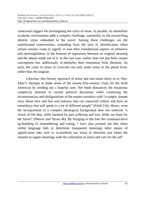contextual triggers for investigating the crisis of sense. In parallel, its immediate academic environment adds a complex challenge, essentially, to the overarching identity crises embodied in the novel. Among these challenges are the multifaceted controversies, extending from the lack of identification when certain notions cease to signify or lose their foundational aspects of reference and meaningfulness, to the features of opposition between an original meaning and the abuses made out of it. In this last case, reality does not just belie certain conceptions but, additionally re-identifies their emanation from illusions. As such, the crisis of sense in *Crescent* can only make sense in the plural form, rather than the singular.

Likewise, this literary approach of sense and non-sense alerts us to Abu-Jaber's attempts to make sense of the twenty-first-century crises for the Arab American by sending out a hopeful note. Her book denounces the disastrous complicity inherent in current political discourses while countering the inconsistencies and disfigurations of the master-narrative with "a simple, human story about love and fear and jealousy that can transcend culture and have an immediacy that will speak to a lot of different people" (Field 216). Hence, even the incorporation of a complex ideological background does not undercut "a vision of life that, while haunted by past suffering and loss, holds out hope for the future" (Mercer and Strom 46). By bringing to the fore the communicative up-building of remembering and eating, I have also pointed out that when verbal language fails to determine transparent meanings other means of signification take over to re-establish our sense of direction and foster the stamina to regain meanings with the cultivation of sense and care for the self.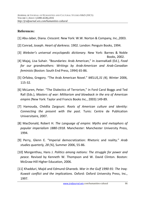## **References:**

- [1] Abu-Jaber, Diana. *Crescent*. New York: W.W. Norton & Company, Inc.,2003.
- [2] Conrad, Joseph. *Heart of darkness*. 1902. London: Penguin Books, 1994.
- [3] *Webster's universal encyclopedic dictionary*. New York: Barnes & Noble Books, 2002.
- [4] Majaj, Lisa Suhair. "Boundaries: Arab American," in JoannaKadi (Ed.), *Food for our grandmothers: Writings by Arab-American and Arab-Canadian feminists* (Boston: South End Press, 1994) 65-86.
- [5] Orfalea, Gregory. "The Arab American Novel." *MELUS,31 (4)*, Winter 2006, 115-32.
- [6] McLaren, Peter. "The Dialectics of Terrorism," in Ford Carol Boggs and Ted Rall (Eds.), *Masters of war: Militarism and blowback in the era of American empire (*New York: Taylor and Francis Books Inc., 2003) 149-89.
- [7] Hamouda, Chédlia Zargouni. *Roots of American culture and identity: Connecting the present with the past*. Tunis: Centre de Publication Universitaire, 2007.
- [8] MacDonald, Robert H. *The Language of empire: Myths and metaphors of popular imperialism 1880-1918*. Manchester: Manchester University Press, 1994.
- [9] Perry, Glenn E. "Imperial democratization: Rhetoric and reality." *Arab studies quarterly, 28 (¾*), Summer 2006, 55-86.
- [10] Morgenthau, Hans J. *Politics among nations: The struggle for power and peace.* Revised by Kenneth W. Thompson and W. David Clinton. Boston: McGraw-Hill Higher Education, 2006.
- [11] Khadduri, Majid and Edmund Ghareeb. *War in the Gulf 1990-91: The Iraq-Kuwait conflict and the implications*. Oxford: Oxford University Press, Inc., 1997.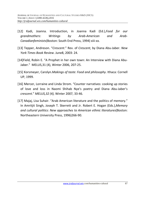- [12] Kadi, Joanna. Introduction, in Joanna Kadi (Ed.),*Food for our grandmothers*: *Writings by Arab-American and Arab-Canadianfeminists*(Boston: South End Press, 1994) xiii-xx.
- [13] Tepper, Andreson. "*Crescent*." Rev. of *Crescent*, by Diana Abu-Jaber. *New York Times Book Review*. June8, 2003: 24.
- [14]Field, Robin E. "A Prophet in her own town: An Interview with Diana Abu-Jaber." MELUS,31 (4), Winter 2006, 207-25.
- [15] Korsmeyer, Carolyn.*Makings of taste: Food and philosophy*. Ithaca: Cornell UP, 1999.
- [16] Mercer, Lorraine and Linda Strom. "Counter narratives: cooking up stories of love and loss in Naomi Shihab Nye's poetry and Diana Abu-Jaber's *crescent*." *MELUS,32 (4),* Winter 2007, 33-46.
- [17] Majaj, Lisa Suhair. "Arab American literature and the politics of memory." In Amritjit Singh, Joseph T. Skerrett and Jr. Robert E. Hogan (Eds.),*Memory and cultural politics: New approaches to American ethnic literatures*(Boston: Northeastern University Press, 1996)266-90.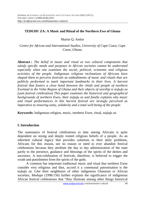### **TEÐUÐU ZA: A Music and Ritual of the Northern Ewe of Ghana**

Martin Q. Amlor

*Centre for African and International Studies, University of Cape Coast, Cape Coast, Ghana.* 

**Abstract :** *The belief in music and ritual as two cultural components that satisfy specific needs and purposes in African societies cannot be underrated especially when one examines the social, political, economic and religious activities of the people. Indigenous religious inclinations of Africans have shaped them to perceive festivals as embodiments of music and rituals that are publicly performed to mark important landmarks in their lives. A harvest festival that fosters a close bond between the chiefs and people of northern Eweland in the Volta Region of Ghana and their objects of worship is tedudu za (yam festival celebration) This paper examines the historical and geographical backgrounds of northern Ewes, their teɖuɖu za and finally explains why music and ritual performances in this harvest festival are strongly perceived as imperative to ensuring unity, solidarity and a total well-being of the people.* 

**Keywords:** Indigenous religion, music, northern Ewes, ritual, *teɖuɖu za*.

#### **I. Introduction**

The sustenance of festival celebrations to date among Africans is quite dependent on strong and deeply rooted religious beliefs of a people. As an inherited cultural legacy that provides solutions to their daily problems, Africans for this reason, see no reason or need to ever abandon festival celebrations because they attribute the day to day administration of the state partly to the presence, guidance and blessings of the spirits of the deities and ancestors. A non-celebration of festivals, therefore, is believed to trigger the wrath and punishment from the spirits of the gods.

A common but important traditional music and ritual that northern Ewes consider very religious and thus, accord it a communal patronisation is the *teɖuɖu za*. Like their neighbours of other indigenous Ghanaian or African societies, Modupe (1998:150) further explains the significance of indigenous African festival celebrations that "they illustrate among other things historical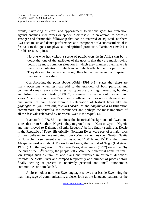events, harvesting of crops and appeasement to various gods for protection against enemies, evil forces or epidemic diseases". In an attempt to access a stronger and formidable fellowship that can be renewed or adjusted, northern Ewes see music and dance performance as a component of a successful ritual in festivals to the gods for physical and spiritual protection. Parrinder (1949:41), for this reason, opines:

No one who has visited a scene of public worship in Africa can be in doubt that one of the attributes of the gods is that they are music-loving gods. The most common situation in which they manifest themselves is the musical situation in which music which affects them is performed. They descend to the people through their human media and participate in the drama of worship.

Corroborating the point above, Mbiti (1991:141), states that there are many occasions when festivals add to the grandeur of both personal and communal rituals; among these festival types are planting, harvesting, hunting and fishing festivals. Dzide (2000:99) examines the festivals of Eweland and states: "there is no northern Ewe town or village that does not celebrate at least one annual festival. Apart from the celebration of festival types like the *gligbagba za* (wall-breaking festival) *sasadu za* and *danyibakaka za* (migration commemoration festivals), the commonest and perhaps the most important of all the festivals celebrated by northern Ewes is the *tedudu za*.

Mamattah (1976:65) examines the historical background of Ewes and states that from Southern Nigeria, they migrated first to Ketu or Oyo in Nigeria and later moved to Dahomey (Benin Republic) before finally settling at Ŋɔtsie in the Republic of Togo. Historically, Northern Ewes were part of a major bloc of Ewes believed to have migrated from *Dotsie* (sometimes spelt Nuatja, Nuatia or Nouatche), a settlement area that lies about  $6^{\circ}$  30' N and  $15^{\circ}$  E on the Lome-Atakpame road and about 112km from Lome, the capital of Togo (Daketsey, 1979:1). On the migration of Northern Ewes, Amenumey (1997) states that "by the end of the  $17<sup>th</sup>$ century, the people left *Dotsie*, their ancestral home, in small kin groups such as families and clans and travelled in different directions towards the Volta River and camped temporarily at a number of places before finally settling at present in relatively peaceful and small autonomous communities or homelands".

A close look at northern Ewe languages shows that beside Ewe being the main language of communication, a closer look at the language patterns of the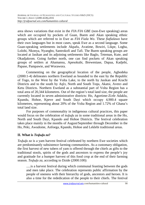area shows variations that exist in the *FIA FIA GBE* (non-Ewe speaking) areas which are occupied by pockets of Guan, Buem and Akan speaking ethnic groups which are referred to in Ewe as *FIA Fiala Wo*. These *fiafialawo* have their own languages but in most cases, speak Ewe as a second language. Some Guan-speaking settlements include Akpafu, Avatime, Bowiri, Likpe, Logba, Lolobi, Nkonya, Nyangbo, Santrokofi and Tafi. The Buem speaking groups are located at Jasikan and its adjoining settlements like Baglo, Teteman, Kute, and Okadjakrom. Going further north, one can find pockets of Akan speaking groups of settlers at Ahamansu, Apesokubi, Breweniase, Dapaa, Kadjebi, Papase, Pampawie, and Worawora.

Commenting on the geographical location of the people, Agbodeka (2000:1-4) delineates northern Eweland as bounded to the east by the Republic of Togo, to the West by the Volta Lake, to the north by Jasikan and Krachi Districts and to the south by Aŋlɔ, North and South Toŋu, Akatsi, Avenɔ and Ketu Districts. Northern Eweland as a substantial part of Volta Region has a total area of 20,344 kilometres. Out of the region's total land size, the people are currently located in seven administrative districts: Ho, Agortime-Ziɔfe Adaklu, Kpandu, Hohoe, Kpeve and South Dayi which occupy 4,900.4 square kilometres, representing about 20% of the Volta Region and 1.72% of Ghana's total land size.

For purposes of commonality in indigenous cultural practices, this paper would focus on the celebration of *tedudu za* in some traditional areas in the Ho, North and South Dayi, Kpando and Hohoe Districts. The festival celebration takes place mainly in the months of August/September through December in the Ho, Peki, Awudome, Anfoega, Kpando, Hohoe and Leklebi traditional areas.

### **II. What is** *Teɖuɖu za***?**

*Tedudu za* is a yam harvest festival celebrated by northern Ewe societies which are predominantly subsistence farming communities. As a customary obligation, the first harvest of new tubers of yam is offered through the chiefs as gifts to the traditional stools, spirits of the gods and ancestors to express the people's joy and gratitude for a bumper harvest of this food crop at the end of their farming season. *Tedudu za*, according to Dzide (2000:100):

.....is a harvest festival during which communal feasting between the gods and men take place. The celebration represents public affirmation by the people of oneness with their hierarchy of gods, ancestors and heroes. It is also a time for the rededication of the people to their chiefs. The festival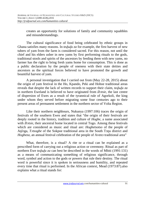creates an opportunity for solutions of family and community squabbles and misunderstandings.

The cultural significance of food being celebrated by ethnic groups in Ghana satisfies many reasons. In *tedudu za* for example, the first harvest of new tubers of yam from the farm is considered sacred. For this reason, not until the chief and his elders usher in new yams by first performing rituals to the gods, traditional stools and spirits of the ancestors by feeding them with new yams, no farmer has the right to bring fresh yams home for consumption. This is done as a public declaration by the people of oneness with their state deities and ancestors as the spiritual forces believed to have promoted the growth and bountiful harvest of yam.

A personal investigation that I carried out from (May 22-28, 2015) about the origin of yam festival in the Ho, Kpando, Peki and Hohoe traditional areas reveals that despite the lack of written records to support their claim, *tedudu za* in northern Eweland is believed to have originated from *Ŋɔtsie,* the last centre of dispersion of Ewes as a result of the tyrannical rule of Agorkoli, the king under whom they served before migrating some four centuries ago to their present areas of permanent settlement in the northern sector of Volta Region.

Like their northern neighbours, Nukunya (1997:106) traces the origin of festivals of the southern Ewes and states that "the origin of their festivals are deeply rooted in the history, tradition and culture of *Hogbe*, a name associated with *Dotsie*, their ancestral home located in central Togo. Among these festivals which are considered as music and ritual are: *Hogbetsotso* of the people of Aŋlɔga, *Tɔtsogbe* of the Sokpoe traditional area in the South Tɔŋu district and *Hogbeza*, an annual festival celebration of the people of Aveno traditional area"

What, therefore, is a ritual? A rite or a ritual can be explained as a prescribed form of carrying out a religious action or ceremony. Ritual as part of northern Ewe *tedudu za* can best be described in the words of Mbiti (1991:131) as a means of communicating something of religious significance, through word, symbol and action to the gods or powers that rule their destiny. The ritual word is powerful since it is spoken in seriousness and humility, and repeated every time that ritual is performed. In the African context, Mead (1973:87).also explains what a ritual stands for: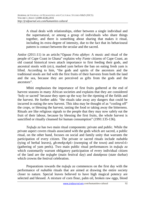A ritual deals with relationships, either between a single individual and the supernatural, or among a group of individuals who share things together, and there is something about sharing that makes it ritual, including its extra degree of intensity, due to the fact that its behavioural pattern is contact between the secular and the sacred.

Amlor (2011:11) in an article;"*Oguaa Fetu afahye*: A music and ritual of the people of Cape Coast in Ghana" explains why *Fante* citizens of Cape Coast, an old coastal historical town attach importance to first feeding their gods, and ancestral stools with (*etɔ*), mashed yam before the ban on eating fresh yam is lifted. According to him, "the gods and spirits of the ancestors and the traditional stools are fed with the first fruits of their harvests from both the land and the sea, because they are perceived as gifts from the gods and the ancestors".

Mbiti emphasises the importance of first fruits gathered at the end of harvest seasons in many African societies and explains that they are considered 'holy or sacred' because they open up the way for the ripening of the fields and the harvest. He further adds: "the rituals take away any dangers that could be incurred in eating the new harvest. This idea may be thought of as "cooling off" the crops, or blessing the harvest, tasting the food or taking away the bitterness. Rituals are like religious signals to the people that they may now safely eat the fruit of their labour, because by blessing the first fruits, the whole harvest is sanctified or ritually cleansed for human consumption" (1991:135-136).

*Tedudu za* has two main ritual components: private and public. While the private aspect covers rituals associated with the gods which are sacred, a public ritual, on the other hand, focuses on social and family unity that warrants the participation of every citizen. The private or sacred rituals include *nubabla* (tying of herbal leaves), *gbɔmekpɔkplɔ* (sweeping of the town) and *tetsrolɔlɔ* (gathering of yam peels). Two main public ritual performances in *teɖuɖu za* which customarily warrant obligatory participation of every individual citizen of the land are the *teɖugbe* (main festival day) and *dutakpeza* (state durbar) which crowns the festival celebration.

Preparations towards the *tedudu za* commences on the first day with the performance of *nubabla* rituals that are aimed at drawing the entire society closer to nature. Special leaves believed to have high magical potency are selected and blessed. A mixture of corn flour, palm oil, broken raw eggs, blood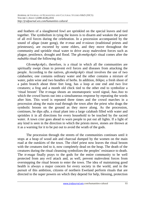and feathers of a slaughtered fowl are sprinkled on the special leaves and tied together. The symbolism in tying the leaves is to disarm and weaken the power of all evil forces during the celebration. In a procession accompanied by the sound of *afaga* (state gong), the *trɔnua* and *trɔsiawo* (traditional priests and priestesses), are escorted by some elders, and they move throughout the community and sprinkle ritual water to drive away malevolent forces such as plague, pestilence, drought and flood. The *gbɔmekpɔkplɔ* ritual comes after the *nubabla* ritual the following day.

*Gbɔmekpɔkplɔ,* therefore, is a ritual in which all the communities are spiritually swept clean to prevent evil forces and diseases from attacking the people. According to the natives, *gbɔmekpɔkplɔ* ritual involves the use of two calabashes; one contains ordinary water and the other contains a mixture of water, palm wine and two bundles of herbs. In addition, *blikpo*; a fresh shoot of a palm branch about three feet long, has a loop at one end and two live creatures; a frog and a month old chick tied to the other end to symbolize a 'ritual broom' The *trɔnuga* shouts an onomatopoeic word signal, *haa..hoo* to which the crowd bursts out into a simultaneous response by repeating the words after him. This word is repeated three times and the crowd marches in a procession along the main road through the town after the priest who drags the symbolic broom on the ground as they move along. As the procession, continues, he dips *afla*, a ritual plant into a large calabash filled with water and sprinkles it in all directions for every household to be touched by the sacred water. A town crier goes ahead to warn people to put out all lights. If a light of any kind is seen in the direction to which the priests move, stones are thrown at it as a warning for it to be put out to avoid the wrath of the gods.

The procession through the streets of the communities continues until it stops at a heap of wood ash and charcoal dumped by the women on the main road at the outskirts of the town. The chief priest now leaves the ritual broom with the creatures tied to it, now completely dead on the heap. The death of the creatures during the ritual cleansing symbolizes the peoples' resistance to death. The *trɔnuga* finally prays to the gods for the entire community to be well protected from any evil attack and, as well, prevent malevolent forces from overstepping the ritual broom to enter the town. The idea of maintaining good health is always a major concern for every society in the world, and in the pursuit of this ambition, citizens of northern Eweland perform rituals that are directed to the super powers on which they depend for help, blessing, protection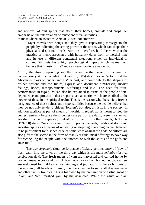and removal of evil spirits that affect their homes, animals and crops. As emphasis on the interrelation of music and ritual activities of most Ghanaian societies, Aziaku (2009:230) stresses:

Prayer moves with songs and they give a captivating message to the people by indicating the strong power of the spirits which can shape their physical and spiritual needs. Africans, therefore, hold the view that the practice of music associated with humanity dates from primordial time and its use in different contextual situations either on individual or community basis has a high psychological impact which makes them

believe that "music is life" and can never be done away with.

Music, therefore, depending on the context within which it is used in contemporary Africa, is what Ihekweazu (1985) describes as "a tool that the African employs to understand his/her past, and contribute to the shaping of his/her present and the future, express and document him/herself; his/her feelings, hopes, disappointments, sufferings and joy". The need for ritual performances in *teɖuɖu za* can also be explained in terms of the people's total dependence and protection that are perceived as merits which are ascribed to the powers of those in the spiritual realm. This is the reason why the society frowns on ignorance of these values and responsibilities because the people believe that they do not only render a citizen 'foreign', but also, a misfit in the society. In addition sacrifice as part of rituals of worship in *tedudu za*, is meant to feed the deities regularly because they (deities) are part of the daily, weekly or annual worship that is inseparably linked with them. In other words, Nukunya (1997:90) states: "sacrifices are offered to pacify the gods, traditional stools and ancestral spirits as a means of removing or stopping a looming danger believed to be punishment for disobedience or some strife against the gods. Sacrifices are also gifts to the sacred in the form of thanks or ritual meal offerings to pave way for reconciling the people with one another, or with the spirits of the gods and ancestors".

The *gbɔmekpɔkplɔ* ritual performance officially permits entry of 'new of fresh yam' into the town on the third day which is the main *tedugbe* (festival celebration day). The fresh tubers of yam are harvested and carried home by women, teenage boys and girls. A few metres away from home, the load carriers are welcomed by children amidst singing and jubilation. In the early hours of the morning, all heads and family members reunite to settle all disagreements and other family troubles. This is followed by the preparation of a ritual meal of 'plain' and 'red' mashed yam, by the *trɔnuawo.* While the white or plain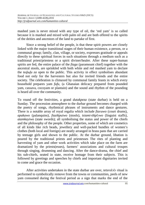mashed yam is never mixed with any type of oil, the 'red yam' is so called because it is mashed and mixed with palm oil and are both offered to the spirits of the deities and ancestors of the land to partake of first.

Since a strong belief of the people, is that these spirit powers are closely linked with the major transitional stages of their human existence, a person, or a communal group; family, clan, village, or society, expresses gratitude or appeals directly to these spiritual forces in such situations through a medium such as a traditional priest/priestess or a spirit diviner/healer. After these super-human spirits are fed, the entire palace of the *fiaga* (paramount chief) together with the ancestral stools, are sprinkled with both white and red mashed yam to declare the *teɖuɖu za* open to the public. This activity in effect symbolises abundant food not only for the harvesters but also for invited friends and the entire society. The celebration is climaxed by communal family feasts in which every household prepares yam *fufu,* (a Ghanaian delicacy prepared from pounded yam, cassava, cocoyam or plantain) and the sound and rhythm of the pounding is heard all over the community.

To round off the festivities, a grand *dutakpeza* (state durbar) is held on a Sunday. The procession atmosphere to the durbar ground becomes charged with the poetry of songs, rhythmical phrases of instruments and dance gestures. There is a notable array of royal regalia which include *fiavuwo* (court drums), *apakawo* (palanquins), *fiazikpuiwo* (stools), *tsiami-tikplɔwo* (linguist staffs), *atamkayiwo* (state swords); all symbolising the status and power of the chiefs and the philosophy of the people. Other properties, some of which are cosmetics of all kinds like rich beads, jewellery and well-packed bundles of women's clothes (both local and foreign) are neatly arranged in brass pans that are carried by teenage girls and shown to the public. At the durbar ground, libation is poured by the traditional priests and priestesses The rites of planting and harvesting of yam and other work activities which take place on the farm are dramatized by the priests(esses), farmers' associations and cultural troupes through singing, drumming and dancing. After the dance-drama, the chief and his sub-chiefs, seated in state, receive homage from their subjects. This is followed by greetings and speeches by chiefs and important dignitaries invited to come and grace the occasion.

After activities undertaken in the state durbar are over, *tetsrolɔlɔ* ritual is performed to symbolically remove from the towns or communities, peels of new yam consumed during the festival period as a sign that marks the end of the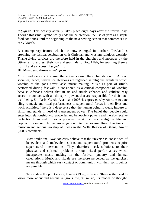*tedudu za*. This activity actually takes place eight days after the festival day. Though this ritual symbolically ends the celebration, the use of yam as a staple food continues until the beginning of the next sowing season that commences in early March.

A contemporary feature which has now emerged in northern Eweland is crowning the festival celebration with Christian and Moslem religious worship. Thanksgiving services are therefore held in the churches and mosques by the citizenry, to express their joy and gratitude to God/Allah, for granting them a fruitful and a successful *tedudu* za.

## **III. Music and dance in** *teɖuɖu za*

Music and dance cut across the entire socio-cultural foundation of African societies; hence, festival celebrations are regarded as religious events in which worship of the gods never lacks music making. Music as part of rituals performed during festivals is considered as a critical component of worship because Africans believe that music and rituals enhance and validate easy access or contact with all the spirit powers that are responsible for their total well-being. Similarly, Gyedu-Asamoah (2003:4) expresses why Africans to date cling to music and ritual performances to supernatural forces in their lives and work activities: "there is a deep sense that the human being is weak, impure or sinful and stands in need of transcendent power. The belief that people could enter into relationship with powerful and benevolent powers and thereby receive protection from evil forces is prevalent in African socio-religious life and popular discourse". In his investigation into the socio-cultural functions of music in indigenous worship of Ewes in the Volta Region of Ghana, Amlor (2009) comments:

Most traditional Ewe societies believe that the universe is constituted of benevolent and malevolent spirits and supernatural problems require supernatural interventions. They, therefore, seek solutions to their physical and spiritual problems through ritual performances which incorporate music making in the festival, puberty and funeral celebrations. Music and rituals are therefore perceived as the quickest means through which easy contact or communion with their spirit beings are possible.

To validate the point above, Nketia (1962), stresses: "there is the need to know more about indigenous religious life, its music, its modes of thought,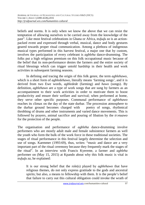beliefs and norms. It is only when we know the above that we can resist the temptation of allowing ourselves to be carried away from the knowledge of the past". Like most festival celebrations in Ghana or Africa, *tedudu za* is an actionpacked event and expressed through verbal, musical, dance and body gestures geared towards proper ritual communication. Among a plethora of indigenous musical types performed in this harvest festival, a major one that by custom, involves the participation of every celebrant is *agbleha* dance-drumming. The folks put a high religious premium on this folk occupational music because of the belief that its non-performance denies the farmers and the entire society of ritual blessings which can trigger untold hardship in their health and work activities in subsequent farming seasons.

In defining and tracing the origin of this folk genre, the term *agblehawo,* which is a short form of *agbledehawo*, literally means 'farming songs', and it is derived from two Ewe words, *agbledede* (farming) and *hawo* (songs). By definition, *agblehawo* are a type of work songs that are sung by farmers as an accompaniment to their work activities in order to motivate them to boost productivity and ensure their welfare and survival; when performed at home, they serve other specific purposes. Communal performance of *agblehawo* reaches its climax on the day of the state durbar. The procession atmosphere to the durbar ground becomes charged with poetry of songs, rhythmical throbbing of drums and other instruments and varied dance movements. This is followed by prayers, animal sacrifice and pouring of libation by the *trɔnuawo* for the protection of the people.

The organisation and performance of *agbleha* dance-drumming involve performers who are mostly adult male and female subsistence farmers as well the youth who form the bulk of the work force in these traditional societies. The stages of ritual performance in this festival largely determine the selection and use of songs. Kaemmer (1993:69), thus, writes: "music and dance are a very important part of the ritual ceremony because they frequently mark the stages of the ritual". In an interview with Francis Kyereme, a farmer and *agbleha* performer on (May 15, 2015) at Kpando about why this folk music is vital in *teɖuɖu za,* he explained:

It is our strong belief that the role(s) played by *agblehawo* that have religious themes, do not only express gratitude to the gods and ancestral spirits; but also, a means to fellowship with them. It is the people's belief that failure to carry out this cultural obligation could invoke the wrath of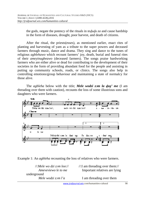the gods, negate the potency of the rituals in *tedudu za* and cause hardship in the form of diseases, drought, poor harvest, and death of citizens.

After the ritual, the priests(esses), as mentioned earlier, enact rites of planting and harvesting of yam as a tribute to the super powers and deceased farmers through music, dance and drama. They sing and dance to the tunes of religious *agblehawo* which recount farmers' joy, death, burial and funeral rites of their *ameyinugbeawo* (deceased farmers). The songs praise hardworking farmers who are either alive or dead for contributing to the development of their societies in the form of providing abundant food for the people and assisting in putting up community schools, roads, or clinics. The songs also help in controlling emotions/group behaviour and maintaining a state of normalcy for those alive.

The *agbleha* below with the title; *Mele wodzi zɔm la ɖaŋ' me* (I am threading over them with caution), recounts the loss of some illustrious sons and daughters who were farmers.



Example 1: An *agbleha* recounting the loss of relatives who were farmers.

//:*Mele wo dzi zɔm loo*:// //:I am threading over them:// *Ameveviewo le to me* Important relatives are lying underground *Mele wodzi zxm l'a* **I** am threading over them

www.jrsdjournal.wix.com/humanities-cultural 98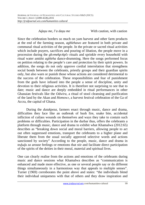*Adanu me, l'a danu me* With caution, with caution

Since the celebration borders so much on yam harvest and other farm products at the end of the farming season, *agblehawo* are featured in both private and communal ritual activities of the people. In the private or sacred ritual activities which include prayers, sacrifices and pouring of libation, the people move in a procession during the *gbɔmekpɔkplɔ* rituals and sprinkle every household with ritual water amidst *agbleha* dance-drumming. Here the songs performed focus on petition relating to the people's care and protection by their spirit powers. In addition, the songs do not only approve cordial interrelation that strengthens social bonds between the celebrants, priestly groups and their guardian spirits only, but also warn or punish those whose actions are considered detrimental to the success of the celebration. These responsibilities and fear of punishment from the gods have infused into the people a sense of discipline, unity and devotion to their religious activities. It is therefore not surprising to see that to date; music and dance are deeply embedded in ritual performances in other Ghanaian festivals like the *Odwira,* a ritual of stool cleansing and purification of the land by the Akan and *Homowɔ,* a harvest festival celebration of the Ga of Accra, the capital of Ghana.

During the *dutakpeza*, farmers enact through music, dance and drama, difficulties they face like an outbreak of bush fire, snake bite, accidental infliction of cutlass wounds on themselves and ways they take to contain such problems or difficulties. Participation in the durbar thus, offers the celebrants a platform through music, dance and drama to exhibit what Khamalwa (2012:65) describes as "breaking down social and moral barriers, allowing people to act out often suppressed emotions, transport the celebrants to a higher plane and liberate them from the usual socially approved selective words and actions sanctioned by society" According to the people, music, dance and drama in *teɖuɖu za* arouse feelings or emotions that stir and facilitate direct participation of the spirits of the deities in their moral, material and spiritual lives.

One can clearly realise from the actions and emotions of the celebrants during music and dance sessions what Khamalwa describes as "communication is enhanced and made more effective, as one or several people say or do different things simultaneously in a harmonious way that appeals to multiple senses". Turner (1969) corroborates the point above and states: "the individuals blend their individual uniqueness with that of others and they draw inspiration and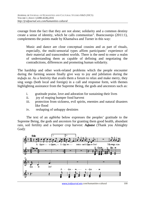courage from the fact that they are not alone; solidarity and a common destiny create a sense of identity, which he calls communitas". Buencosenjo (2011:1), complements the points made by Khamalwa and Turner in this way:

Music and dance are close conceptual cousins and as part of rituals, especially, the multi-sensorial types affirm participants' experience of their material and transcendent worlds. There is the need to enter a realm of understanding them as capable of defining and negotiating the contradictions, differences and promoting human solidarity.

The hardship and other work-related problems which the people encounter during the farming season finally give way to joy and jubilation during the *teququ za*. As a festivity that avails them a forum to relax and make merry, they sing songs (both local and foreign) in a call and response form, with themes highlighting assistance from the Supreme Being, the gods and ancestors such as:

- i. gratitude praise, love and adoration for sustaining their lives
- ii. joy of reaping bumper food harvest
- iii. protection from sickness, evil spirits, enemies and natural disasters like flood
- iv. reshaping of unhappy destinies

The text of an *agbleha* below expresses the peoples' gratitude to the Supreme Being, the gods and ancestors for granting them good health, abundant rain, soil fertility and a bumper crop harvest: *Aɖaase* (Thank you Almighty God):

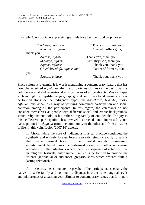Example 2: An *agbleha* expressing gratitude for a bumper food crop harvest.

| $\frac{1}{2}$ Adaase, adaase:// | //:Thank you, thank you:// |
|---------------------------------|----------------------------|
| Nunamela, adaase                | One who offers gifts,      |
| thank you.                      |                            |
| Adaase, adaase                  | Thank you, thank you       |
| Mawuga, adaase                  | Almighty God, thank you    |
| Adaase, adaase                  | Thank you, thank you       |
| Gbledelawofofo, adaase loo!     | Father of farmers, thank   |
| you                             |                            |
| Adaase, adaase                  | Thank you, thank you       |

Since culture is dynamic, it is worth mentioning a contemporary feature that has now characterized *tedudu za:* the use of varieties of musical genres to satisfy both ceremonial and recreational musical tastes of all celebrants. Musical types such as highlife, hip-life, reggae, rap, gospel and brass band music are now performed alongside the indigenous types like *agblehawo*, *bɔbɔɔbɔ, gbolo, agblɔʋu,* and *adeʋu* as a way of fostering communal participation and social cohesion among all the participants. In this regard, the celebrants do not consider themselves as people with different social and ethnic backgrounds, status, religions and colours but rather a big family of one people. The joy in this collective participation has revived, attracted and increased youth participation in *tedudu za* from one community to the other and from all walks of life. In this vein, Idolor (2007:16) asserts: Ì

In Africa, while the core of indigenous musical practice continues, the synthetic and entirely foreign forms also exist simultaneously to satisfy the diverse musical tastes of the pluralist society. Sometimes, entertainment based music is performed along with other non-music activities. In other situations where there is a sequence of activities, like in religious festivals, entertainment music is performed to provide the listener (individual or audience), gregariousness which ensures quite a lasting relationship.

All these activities stimulate the psyche of the participants especially the natives to settle family and community disputes in order to expunge all evils and misfortunes of a passing year. Similar to contemporary issues that form part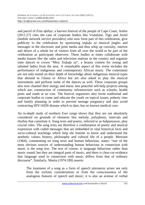and parcel of *Fetu afahye*, a harvest festival of the people of Cape Coast, Amlor (2011:27) cites the case of corporate bodies like Vodafone, Tigo and Airtel (mobile network service providers) who now form part of this celebration, give publicity to the celebration by sponsoring *tedudu* za musical jingles and messages in the electronic and print media and thus whip up curiosity, interest and desire of a whole lot of visitors from all over the world to be part of the celebration as participant observers. These bodies at times collaborate with media houses like the radio and television stations in the country and organise state dances to crown "Miss *Tedudu za*", a beauty contest for young and talented ladies from the area. A remarkable aspect of this event includes the performance of indigenous and contemporary African music. The contestants are not only tested on their depth of knowledge about indigenous musical types that abound in Ghana or Africa but are also asked to play the musical instruments and perform some of the dances as well. These corporate groups also now channel their energy and music into peaceful self-help projects among which are; construction of community infrastructure such as schools, health posts and roads at no cost. The festival organizers also invite traditional and corporate bodies to come and educate the youth on topical issues; puberty rites and family planning in order to prevent teenage pregnancy and also avoid contracting HIV/AIDS disease which to date, has no known medical cure.

An in-depth study of northern Ewe songs shows that they are not absolutely considered on grounds of elements like melody, polyphony, intervals and rhythm that constitute it. Song texts and poetry, referred to as *hakpanyawo*, play crucial roles. The song texts are therefore a combination of poetry and musical expression with coded messages that are embedded in vital historical facts and socio-cultural teachings which help the listener to know and understand the aesthetic values, history, philosophy and cultural life of a people. Merriam (1964), commenting on song texts and human behaviour, states: "one of the most obvious sources of understanding human behaviour in connection with music is the song text. The text of course, is language behaviour rather than music sound, but they are integral parts of music, and there is clear-cut evidence that language used in connection with music differs from that of ordinary discourse". Similarly, Nketia (1974:189) asserts:

The treatment of a song as a form of speech utterances arises not only from the stylistic considerations or from the consciousness of the analogous features of speech and music; it is also an avenue of verbal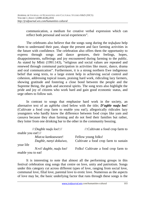communication, a medium for creative verbal expression which can reflect both personal and social experiences".

The celebrants also believe that the songs sung during the *teququza* help them to understand their past, shape the present and face farming activities in the future with confidence. The celebration also offers them the opportunity to express through songs and dance gestures, their feelings, hopes, disappointments, sufferings and joy encountered during farming to the public. As stated by Mbiti (1991:143), "religious and social values are repeated and renewed through communal participation in activities like music, dance, drama and oral communication". Furthermore, it is a strong northern Ewe indigenous belief that song texts, to a large extent help in achieving social control and cohesion, addressing topical issues, praising hard work, ridiculing lazy farmers, showing gratitude and fostering a close bond between the people and the Supreme Being, the gods and ancestral spirits. The song texts also highlight the pride and joy of citizens who work hard and gain good economic status, and urge others to follow suit.

In contrast to songs that emphasise hard work in the society, an alternative text of an *agbleha* cited below with the title; *D'agble naɖu loo!* (Cultivate a food crop farm to enable you eat!), allegorically ridicules lazy youngsters who hardly know the difference between food crops like yam and cassava because they shun farming and do not feed their families but rather, they loiter from one drinking bar to the other in the community boozing.

| $\frac{1}{2}$ :Dagble nadu loo!:// | $\mathcal{N}$ : Cultivate a food crop farm to |
|------------------------------------|-----------------------------------------------|
| enable you eat!://                 |                                               |
| Miatoa kankoawoee!                 | Fellow young folks!                           |
| Dagble, nanyi dokuiwo,             | Cultivate a food crop farm to sustain         |
| your life                          |                                               |
| Novi! dagble, nadu loo!            | Folks! Cultivate a food crop farm to          |
| enable you to eat!                 |                                               |

It is interesting to note that almost all the performing groups in this festival celebration sing songs that centre on love, unity and patriotism. Songs under this category cut across different types of love, ranging from social love, communal love, filial love, parental love to erotic love. Numerous as the aspects of love may be, the basic underlying factor that runs through these songs is the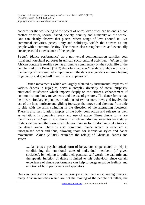concern for the well-being of the object of one's love which can be one's blood brother or sister, spouse, friend, society, country and humanity on the whole. One can clearly observe that places, where songs of love abound in Ewe communal activities, peace, unity and solidarity, wields the citizens as one people with a common destiny. The themes also strengthen ties and eventually create peaceful co-existence of the people.

*Yedudu* (dance performance) as a non-verbal communication satisfies both ritual and non-ritual purposes in African socio-cultural activities. *Ɣeɖuɖu* in the African context is readily seen as a running commentary on the social life of the people. Radcliffe Brown (1952) describes dance as "the state of elation in which the feeling of increased self-importance in the dancer engenders in him a feeling of geniality and goodwill towards his companions".

Dance movements which are largely dictated by instrumental rhythms of various dances in *tequaluza*, serve a complex diversity of social purposes: emotional satisfaction which impacts deeply on the citizens, enhancement of communication, body movements and the use of gestures. The dance forms may be linear, circular, serpentine, or columns of two or more rows and involve the use of the hips, intricate and gliding footsteps that move and alternate from side to side with the arms swinging in the direction of the alternating footsteps. There is also fast rotation, ripples of the body, contraction and release, as well as variations in dynamics levels and use of space. Three dance forms are identifiable in *teququ za*: solo dance in which an individual executes basic styles of dance alone and the form in which two, three or four individuals take turns in the dance arena. There is also communal dance which is executed in unorganised order and thus, allowing room for individual styles and dance movements. Akuna (2008:1) examines the role(s) of Ghanaian dances and states:

.....dance as a psychological form of behaviour is speculated to help in conditioning the emotional state of individual members (of given societies), by helping to build their personal self-worth, the cathartic and therapeutic function of dance is linked to this behaviour, since certain experience of dance performance can help to purge negative feelings and emotion of both performers and spectators

One can clearly notice in this contemporary era that there are changing trends in many African societies which are not the making of the people but rather, the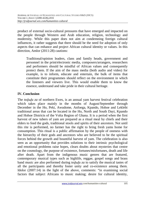product of external socio-cultural pressures that have emerged and impacted on the people through Western and Arab education, religion, technology and modernity. While this paper does not aim at condemning foreign cultural influences, it rather suggests that there should be the need for adoption of only aspects that can enhance and project African cultural identity or values. In this direction, Amlor (2011:28) cautions:

Traditional/opinion leaders, clans and family heads, government and personnel in the print/electronic media, composers/arrangers, researchers and performers should be mindful of African values and consequently protect them. If the aim of the mass media (both audio and video) for example, is to inform, educate and entertain, the bulk of items that constitute their programmes should reflect on the environment in which the listeners and viewers live. This would enable them to know the essence, understand and take pride in their cultural heritage.

# **IV. Conclusion**

The *teququ za* of northern Ewes, is an annual yam harvest festival celebration which takes place mainly in the months of August/September through December in the Ho, Peki, Awudome, Anfoega, Kpando, Hohoe and Leklebi traditional areas that can be located in the Ho, North and South Dayi, Kpando and Hohoe Districts of the Volta Region of Ghana. It is a period when the first harvest of new tubers of yam are prepared as a ritual meal by chiefs and their elders to feed the gods, traditional stools and spirits of their ancestors. Not until this rite is performed, no farmer has the right to bring fresh yams home for consumption. This ritual is a public affirmation by the people of oneness with the hierarchy of their gods and ancestors who are believed to be the spiritual forces behind the growth and bountiful harvest of yam. The celebration is also seen as an opportunity that provides solutions to their intrinsic psychological and emotional problems raise hopes, clears doubts about mysteries that centre on the cosmology, the purpose of existence, fortunes/misfortunes, death and life after death. Apart from the indigenous music genres that are featured, contemporary musical types such as highlife, reggae, gospel songs and brass band music are also performed during *tedudu za* to satisfy the musical tastes of all the participants and thereby foster unity and co-existence among them. Idolor (2007:14) in the light of the above, comments: "in examining social factors that subject Africans to music making; desire for cultural identity,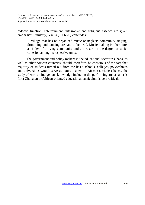didactic function, entertainment, integrative and religious essence are given emphasis". Similarly, Nketia (1966:20) concludes:

A village that has no organized music or neglects community singing, drumming and dancing are said to be dead. Music making is, therefore, an index of a living community and a measure of the degree of social cohesion among its respective units.

The government and policy makers in the educational sector in Ghana, as well as other African countries, should, therefore, be conscious of the fact that majority of students turned out from the basic schools, colleges, polytechnics and universities would serve as future leaders in African societies; hence, the study of African indigenous knowledge including the performing arts as a basis for a Ghanaian or African-oriented educational curriculum is very critical.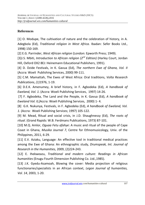# **References**

[1] O. Modupe, The cultivation of nature and the celebration of history, in A. Adegbola (Ed), *Traditional religion in West Africa.* Ibadan: Sefer Books Ltd., 1998) 150-169.

[2] E.G. Parrinder, *West African religion* (London: Epworth Press; 1949).

[3]J.S. Mbiti, *Introduction to African religion (2nd Edition)* (Harley Court, Jordan Hill, Oxford OX2 8EJ: Heinemann Educational Publishers, 1991).

[4] D. Dzide Festivals, in K. Gavua (Ed), *The northern Ewe of Ghana, Vol. II* (Accra: Woeli Publishing Services, 2000) 99-111.

[5] C.M. Mamattah, The Ewes of West Africa: Oral traditions, *Volta Research Publications*, *(1)*1976, 1-19.

[6] D.E.K. Amenumey, A brief history, in F. Agbodeka (Ed), *A handbook of Eweland, Vol. 1*. (Accra: Woeli Publishing Services, 1997) 14-26.

 [7] F. Agbodeka, The Land and the People, in K. Gavua (Ed), *A handbook of Eweland Vol. II,*(Accra: Woeli Publishing Services, 2000) 1- 4.

[8] G.K. Nukunya, Festivals, in F. Agbodeka (Ed), *A handbook of Eweland, Vol. 1*. (Accra: Woeli Publishing Services; 1997) 105-122.

[9] M. Mead, Ritual and social crisis, in J.D. Shaughnessy (Ed), *The roots of ritual*. (Grand Rapids: W.B. Ferdmans Publications, 1973) 87-101.

[10] M.Q. Amlor, *Oguaa Fetu afahye*: A music and ritual of the people of Cape Coast in Ghana, *Musika Journal 7*, Centre for Ethnomusicology*,* Univ. of the Philippines, 2011, 6-29.

[11] E.V. Aziaku, Language: An effective tool in traditional medical practices among the Ewe of Ghana: An ethnographic study, *Drumspeak, Int. Journal of Research in the Humanities,* 2009, (2)224-243.

[12] E. Ihekweazu, *Traditional and modern culture: Readings in African humanities* (Enugu Fourth Dimension Publishing Co. Ltd.,1985).

[13] J.K. Gyedu-Asamoah, Blowing the cover: Media projection of religious functionaries/specialists in an African context, *Legon Journal of humanities, Vol. 14*, 2003, 1-20.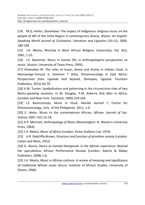[14] M.Q. Amlor, *Dovohawo*: The impact of indigenous religious music on the people of Wli of the Volta Region in contemporary Ghana, *Waves: An English-Speaking World Journal of Civilisation, Literature and Liguistics (10-11),* 2009, *180-199.* 

[15] J.H. Nketia, Worship in West African Religion, *Universitas; Vol. 4(1),* 1962, 1-25.

[16] J.E. Kaemmer, Music in human life, in *Anthropological perspectives on music*. (Austin: University of Texas Press, 1993).

[17] Khamalwa W. The roles of music, dance and drama in Imbalu ritual, in Nannyonga-Tamusa S, Solomon T (Eds), *thnomusicology in East Africa: Perspectives from Uganda and beyond*, (Kampala, Uganda: Fountain Publishers, 2012) 63-70.

[18] V.W. Turner, Symbolisation and patterning in the circumcision rites of two Bantu-speaking societies, in M. Douglas, P.M. Keberry (Ed) *Man in Africa*, (London and New York: Tavistock, 1969) 229-244.

[19] J.S. Buenconsejo, Music in ritual, *Musika Journal 7,* Centre for Ethnomusicology*,* Univ. of the Philippines. 2011, 1-4.

[20] E. Idolor, Music to the contemporary African, *African. Journal of Soc. Science* 2007, 4(1) 13-18.

[21] A.P. Merriam, *Anthropology of Music* (Bloomington: N. Western University Press, 1964).

[22] J.H. Nketia, *Music of Africa* (London, Victor Gollancz Ltd; 1974).

[23] A.R. Radcliffe-Brown, *Structure and function of primitive society* (London: Cohen and West, 1952).

[24] G. Akuna, *Dance as mental therapeutic in the African experience: Beyond the speculations* African Performance Review (London: Adonis & Abbey Publishers, 2008) 1-8.

[25] J.H. Nketia, *Music in African cultures: A review of meaning and significance of traditional African music* (Accra: Institute of African Studies, University of Ghana, 1966).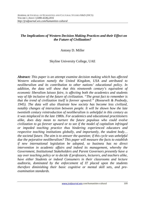# *The Implications of Western Decision Making Practices and their Effect on the Future of Civilization?*

## Antony D. Miller

# Skyline University College, UAE

*Abstract: This paper is an attempt examine decision making which has affected Western education namely the United Kingdom, USA and attributed to neoliberalism and its contribution to other nations' educational policy. In addition, the data will show that this nineteenth century's equivalent of economic liberalism laissez faire, is affecting both the academics and students way of life inclusive of the future of civilization. "The great fact to remember is that the trend of civilization itself is forever upward:" (Roosevelt & Peabody, 1945). The data will also illustrate how society has become less civilized, notably changes of interaction between people. It will be shown how the late twentieth century reintroduction of neoliberalism is unhelpful in this century as it was misplaced in the late 1980s. For academics and educational practitioners alike, does duty mean to nurture the future populous who could evolve civilization to go forever upward or to see if the model of capitalism infringed or impeded teaching practice thus hindering experienced educators and respective teaching institutions globally, and importantly, the student body… the societal future. The aim is to answer the question; if this cycle was unhelpful due the pejorative neoliberalism? This paper will measure the facts to establish if new international legislation be adopted, so business has no direct intervention in academic affairs and indeed its management, whereby the Government, Institutional Stakeholders and Parent Governors presently have a say over teaching policy or to decide if professors, lecturers, and teachers alike, have either Students or indeed Consumers in their classrooms and lecture auditoria, dominated by the enforcement of IT placed upon the students therefore diminishing their basic cognitive or mental skill sets, and preexamination standards.*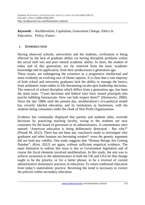*Keywords - Neoliberalism, Capitalism, Generation Change, Ethics in Education, Policy, Future .*

# **I. INTRODUCTION**

Having observed schools, universities and the students, civilization is being effected by the lack of graduate ability via having discipline problems within the social skill sets and poor mental academic ability. In short, the student of today and of this generation, are far removed from the basic academic knowledge and its application, from their predecessors a generation ago.

These issues, are endangering the existence as a progressive intellectual and more evidently an evolving race of *Homo sapiens.* It is clear that a vast majority of both school and university graduates lack the ability to manage the basics; from arithmetic times-tables to life threatening on-the-spot leadership decisions. The removal of school discipline which differs from a generation ago, has been the main issue. "Court decisions and federal laws have turned principals into psycho babbling bureaucrats. How can kids respect them?" (Hymowitz, 2000). Since the late 1980s until the present day, neoliberalism's eco-political model has covertly labeled education, and its institutions as businesses, with the students being consumers under the cloak of Non Profit Organizations.

Evidence has continually displayed that parents and students alike, override decisions by practicing teaching faculty, owing to the students are now customers for the board of governors or its administrators. A commentator once uttered: "American education is being deliberately destroyed - But why?" (Potash M, 2012). There has not been any conclusive study to investigate why graduates and other humans are becoming weaker? -even the genetic argument did not hold any validity. One study suggests that "Human Beings Are Getting Dumber". (Kim, 2012) yet again, without sufficient empirical evidence. The main limitation to redress this issue is due to Government legislation and of course the fiscal elements involved neoliberalism. In this study, the aim was to achieve awareness to the administrators in both the UK and USA be that change ought to be the priority, or for a better phrase; to be a reversal of current administrative dominance practices in education: To return traditional education from today's materialistic practice. Reversing the trend is necessary to correct the policies within secondary education.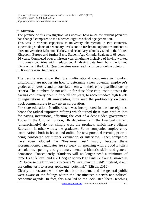#### **II. METHOD**

The premise of this investigation was uncover how much the student populous has changed compared to the nineteen-eighties school age generation.

This was in various capacities as university chairperson in two countries, supervising students of secondary levels and to freshman-sophomore students at three universities: Lebanon, Turkey, and secondary schools visited in the United Kingdom, Europe and further East.. Student Age Criteria Evaluated: 08 years – 26 years. Completed over a thirteen year timeframe inclusive of having worked in fourteen countries within education. Analysing data from both the United Kingdom and the USA. Questionnaires were used inclusive of online opinion. **III. RESULTS AND DISCUSSION**

The results also show that the multi-national companies in London, disturbingly are not certain how to determine a new potential employee's grades at university and to correlate them with their entry qualifications or criteria. The numbers do not add-up for these blue-chip institutions as the bar has continually been in free-fall for years, to accommodate high levels of registrations at UK universities, thus keep the profitability on fiscal track commensurate to any given corporation.

For state education, Neoliberalism was incorporated in the late eighties, hence the radical unproven reforms which turned these state entities into fee paying institutions, offsetting the cost of a debt ridden government. Today in the City of London, HR departments in the financial district, (unsurprisingly) do not simply trust the products which leave Higher Education in other words; the graduates. Some companies employ entry examinations both in-house and online for new potential recruits, prior to being considered for further evaluation or interview. Other companies have even adopted the "Poshness Test" simply because these aforementioned candidates are so weak in: speaking with a good English articulation, spelling and grammar, mental arithmetic skills and general demeanor. Consequently "Students will no longer need a minimum of three Bs at A level and a 2:1 degree to work at Ernst & Young, known as EY, because the firm wants to create "a level playing field". Instead, it will use online tests to assess applicants' potential." (Elison, 2015)

Clearly the research will show that both academe and the general public were aware of the failings within the late nineteen-ninety's neo-political economic agenda. In fact, this also led to the lackluster liberal teaching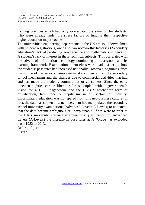training practices which had only exacerbated the situation for students, who were already under the stress factors of funding their respective higher education major courses.

The universities' engineering departments in the UK are so underwhelmed with student registrations, owing to two noteworthy factors: a) Secondary education's lack of producing good science and mathematics students. b) A student's lack of interest in these technical subjects. This correlates with the advent of information technology dominating the classroom and its learning framework. Examinations themselves were made easier to show the students' pass rates had increased nationally. However, beginning from the source of the various issues one must commence from the secondary school mechanism and the changes due to commercial activities that had and has made the students commodities or consumers. Since the early nineteen eighties certain liberal reforms coupled with a government's vision for a US "Reaganesque and the UK's "Thatcherite" form of privatization, free trade or capitalism in all sectors of industry, unfortunately education was not spared from this neo-business culture. In fact, the data has shown how neoliberalism had manipulated the secondary school university examinations (Advanced Levels: A-Levels) to an extent, that the data became ambiguous or unexplainable. If we were to refer to the UK's university entrance examinations qualification of Advanced Levels (A-Levels) the increase in pass rates at A 'Grade has exploded from 1982 to 2013. Refer to figure 1.

Figure 1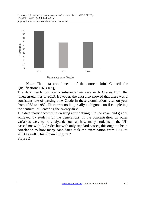

Pass rate at A Grade

 Note: The data compliments of the source: Joint Council for Qualifications UK, (JCQ)

The data clearly portrays a substantial increase in A Grades from the nineteen-eighties to 2013. However, the data also showed that there was a consistent rate of passing at A Grade in these examinations year on year from 1965 to 1982. There was nothing really ambiguous until completing the century until entering the twenty-first.

The data really becomes interesting after delving into the years and grades achieved by students of the generations. If the concentration on other variables were to be analyzed; such as how many students in the UK passed not with A Grades but with only standard passes, this ought to be in correlation to how many candidates took the examination from 1965 to 2013 as well. This shown in figure 2

Figure 2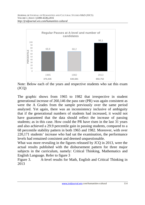

Note: Below each of the years and respective students who sat this exam  $(JCQ)$ 

The graphic shows from 1965 to 1982 that irrespective in student generational increase of 260,146 the pass rate (PR) was again consistent as were the A Grades from the sample previously over the same period analyzed. Yet again, there was an inconsistency inclusive of ambiguity that if the generational numbers of students had increased, it would not have guaranteed that the data should reflect the increase of passing students; as in this case. How could the PR have risen in the last 31 years and also achieved a 29.9 percentile gain in passing students, compared to a 68 percentile stability pattern in both 1965 and 1982. Moreover, with over 220,171 students' increase who had sat the examination, the performance levels had remained consistent and deemed unquestionable.

What was more revealing in the figures released by JCQ in 2013, were the actual results published with the disbursement pattern for three major subjects in the curriculum, namely: Critical Thinking, Mathematics and English Language. Refer to figure 3

Figure 3. A-level results for Math, English and Critical Thinking in 2013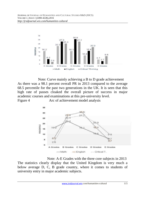

Note: Curve mainly achieving a B to D grade achievement As there was a 98.1 percent overall PR in 2013 compared to the average 68.5 percentile for the past two generations in the UK. It is seen that this high rate of passes cloaked the overall picture of success in major academic courses and examinations at this pre-university level. Figure 4 Arc of achievement model analysis



 Note: Note: A-E Grades with the three core subjects in 2013 The statistics clearly display that the United Kingdom is very much a below average D, C, B grade country, where it comes to students of university entry in major academic subjects.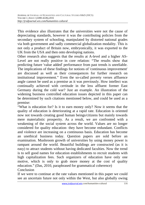This evidence also illustrates that the universities were not the cause of depreciating standards, however it was the contributing policies from the secondary system of schooling, manipulated by distorted national grades via both government and sadly commercial globalization modality. This is not only a product of Britain now, embryonically, it was exported to the UK from the USA and then onto developing nations.

Other research also suggests that the results at A-level and a higher AS-Level are not really positive in core relation: "The results show that predicting future 'value added' performance from past trends is unreliable. The implications of these findings for notions of 'continuous improvement' are discussed as well as their consequences for further research on institutional improvement." Even the so-called poverty verses affluence angle cannot be used as a premise as it was previously. How intellect was continually achieved with certitude in the less affluent former East Germany during the cold war? Just an example. An illustration of the widening business controlled education issues depicted in this paper can be determined by such citations mentioned below, and could be used as a premise:

"What is education for? Is it to earn money only? Now it seems that the quality of education is deteriorating at a rapid rate. Education is oriented now not towards creating good human beings/citizens but mainly towards mere materialistic prosperity. As a result, we are confronted with a weakening of the social system across the world. Values are no longer considered for quality education- they have become redundant. Conflicts and violence are increasing on a continuous basis. Education has become an unethical business today. Question papers are sold before an examination. Mushroom growth of universities by using money power is rampant around the world. Beautiful buildings are constructed (as it is easy) to attract students without having dedicated faculties. Now the trend is to sell good names for education establishments to recruit students with high capitalization fees. Such organizers of education have only one motive, which is only to grab more money at the cost of quality education." (Das, 2010, paraphrased for grammatical coherence) **Conclusion** 

If we were to continue at the rate values mentioned in this paper we could see an uncertain future not only within the West, but also globally owing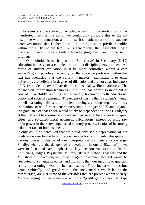to the signs are there already. As plagiarism from the student body has manifested itself as the norm, we could only attribute this to the illdiscipline within education, and the psych-somatic nature of the students perceived notion that Higher Education is a right not a privilege, unlike within the 1950's to the late 1970's generations, they saw obtaining a place at university was a both a life-changing event and immense in privilege.

 One solution is to sharpen the "Bell Curve" in Secondary (K-12) education inclusive of a complete return to a disciplined environment. All forms of student evaluation must be more controlled within a core subject's grading policy. Secondly, as the evidence portrayed within this text has identified that the current mandatory examinations to enter university, are deficient in degrees of difficulty and are not clear indicators of K-12 students' overall academic and social wellness abilities. The reliance on Information technology in tuition, has drifted so much out of control in a child's learning, it has nearly taken-over both educational policy and societal reasoning. The extent of this, is that a student's mental or self-reasoning skill sets in problem solving are being impaired. In my estimation, in one further generation's time in the year 2030 and beyond, the graduates of that epoch would solely be dependent on the IT gadgetry at their deposal to acquire basic data such as geographical (world's capital cities) and so-called metal arithmetic calculations, instead of using raw brain power in the knowledge based memory process, insofar of becoming a dumber race of homo sapiens.

It only could be perceived that we could only see a depreciation of our civilization due to the lack of social interaction and mental discipline in various guises inclusive of our interpretation for general knowledge. Finally, what are the dangers of a devolution in our civilization? If we were to focus and have emphasis on key decision makers of the future: Politicians, Judges, Physicians, Military Officers, School Teachers and the Ministries of Education, we could imagine how much thought would be attributed to a change in ethics, and morality, then our inability to question critical reasoning would be at stake. The increase in crime demographically, and greed within the stock market which led to the recent crash, are just some of the variables that are present within society. Merely paying for an education within a "profit gain apparatus", type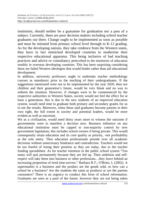institution, should neither be a guarantee for graduation nor a pass of a subject. Currently, there are poor decision makers including school teacher graduates out there. Change ought to be implemented as soon as possible and must be initiated from primary school level through to K-12 grading. As for the developing nations, they take credence from the Western states, they have in fact mimicked developed countries to modernise their respective educational apparatus. This being inclusive of bad teaching practices and advice or consultancy prescribed to the ministries of education notably in overseas developing countries. This has been surprising considering these are failed Western ideologies that would hinder rather than aid educational development.

In addition, university professors ought to undertake teacher methodology courses as mandatory prior to the teaching of their undergraduates. If the suggestions mentioned were not to be implemented by the year 2020, then our children and their generation's future, would be very bleak and no way to redeem the situation. However, if changes were to be countenanced by the respective authorities in Western States, society would not feel the effect for at least a generation, this is due to the new students of an improved education system, would need time to graduate both primary and secondary grades for us to see the results. Moreover, when these said graduates become parents in their own right, the full extent in society and potential leaders, would be more evident as well as uncertain.

We as a civilization, would need thirty years more to witness the outcome if governments were to manifest a decision now. Business influence on any educational institution must be capped to non-majority control by new government legislation, this includes school owners if being private. This would consequently retain education and its core quality as priority, -not profitability as the sole entity. Thus education professionals preside over all academic decisions without unnecessary hindrance and contradiction. Teachers would not be too fearful of losing their position as they are today, due to the teacher funding spreadsheet. As for teacher retention in the public school system "Too many will quit permanently because they are fed up. Their ambition and selfrespect will take them into business or other professions…they leave behind an increasing proportion of tired time-servers." Barbara B.T.; O'Brien, L (2002). A supermarket is a business and the product are the goods sold, so how can a school be a business? Are the students the same as products or are the parents consumers? There is an urgency to conduct this form of school reformation. Graduates are seen as a pool of the future, however they are not being taken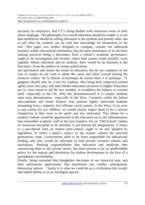seriously by employers, bad CV's being drafted with numerous errors in their native language. The philosophy for overall education should be simple: it is not that institutions should be selling education to the students and parents alike, but to sell what the students can do with that knowledge for themselves in the end…This paper was neither designed to castigate, censure nor admonish business within educational institutions, but the mere dominance of its decision making practices being a disconnect from a school's academic governance, ought to be investigated and revised, where both parties could possibly work together. Minus education and its students, there would be no business in the first place. Even the authors of certain publications

use speculation and notate the issues in education, but do not comment on the root or simply do not wish to admit the cause and effect scenari fearing the Austrian school "de la théorie économique du laissez-faire à la politique.. IT gadgetry should only be a tool for students, thus bring their respective mental agility more into play, and state funded education inclusive of Higher Education per se, must return to aid the less wealthy, to re-address the balance in societal need –especially in the UK. Why the aforementioned? It is simple, students must have determination –especially in the West. Countries within the Indian sub-continent and South Eastern Asia possess highly motivated students emanating from a majority less affluent social system. In the West, if we were to pay tuition for our children, we would always expect them to be a success irrespective if they were to be spoilt and less motivated. This blame for a student's failure would be apportioned to the educators not to the administrators that outnumber academic staff in the first instance. For an "Old School" modus of classroom discipline to be returned, is not beyond the imagination. A return to a non-liberal form of student peer-control, ought to be also adopted by legislation, to return a pupil's respect to the teacher whence the previous generations came. Governments need to be more responsible for educational funding and who would be allocated to lead private sectored schools and institutions. Shirking responsibilities like education and medicine then outsourcing them to the private sector, has been proven to be an unaffordable policy for the masses and devolution for student development in the face of a spreadsheet's profitability.

Finally, being reminded that thoughtless decisions of our historical past, and their unfortunate applications, had manifested into conflict subsequently destroying nations… Surely it is what we could do as a civilization that would, and indeed define us as an intelligent species.